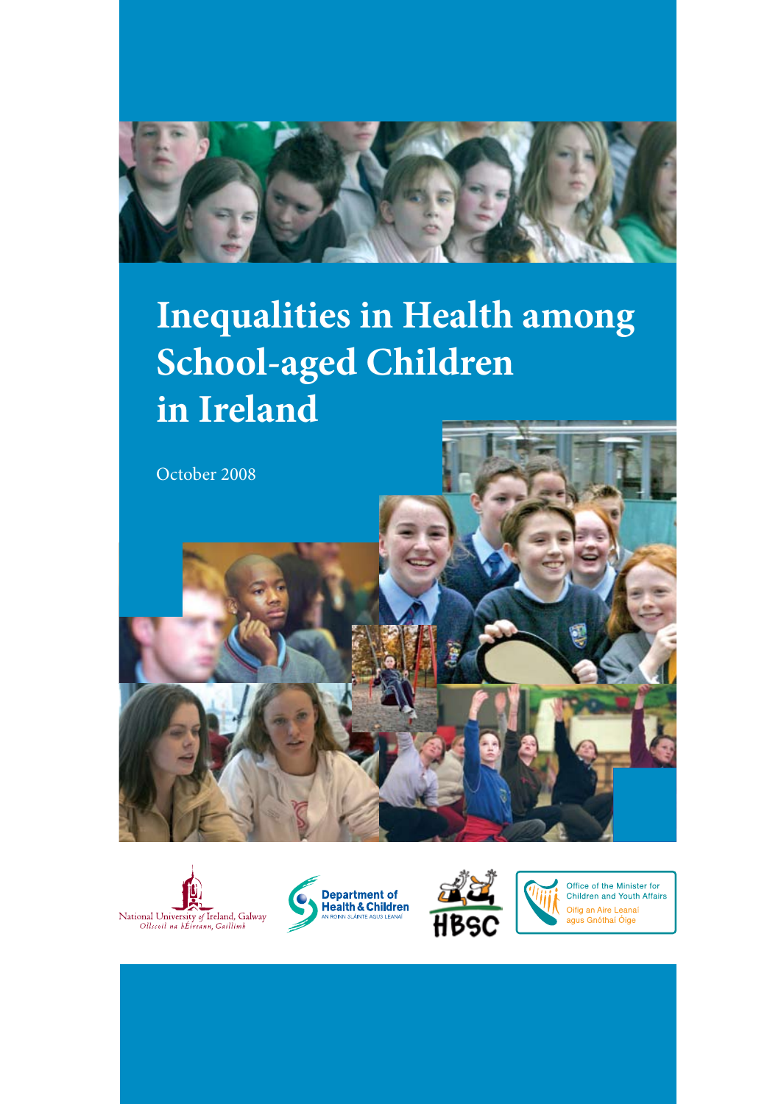

# **Inequalities in Health among School-aged Children in Ireland**

October 2008







Office of the Minister for **Children and Youth Affairs** Oifig an Aire Leanaí agus Gnóthaí Óige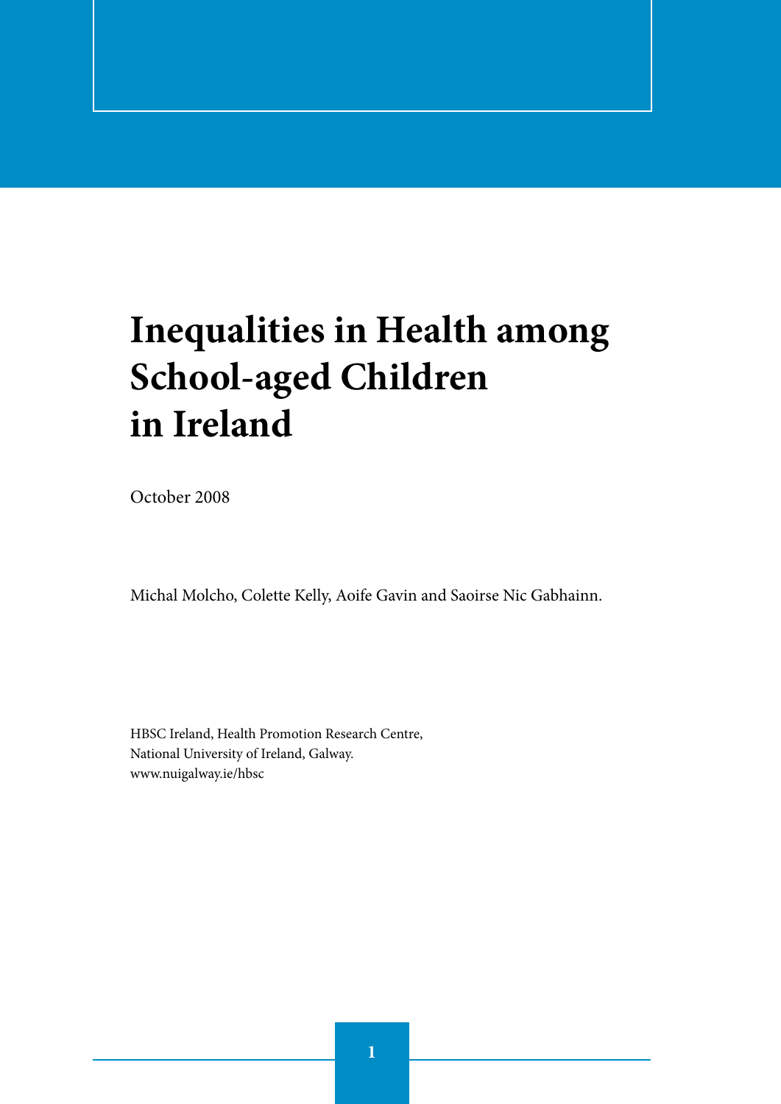# **Inequalities in Health among School-aged Children in Ireland**

October 2008

Michal Molcho, Colette Kelly, Aoife Gavin and Saoirse Nic Gabhainn.

HBSC Ireland, Health Promotion Research Centre, National University of Ireland, Galway. www.nuigalway.ie/hbsc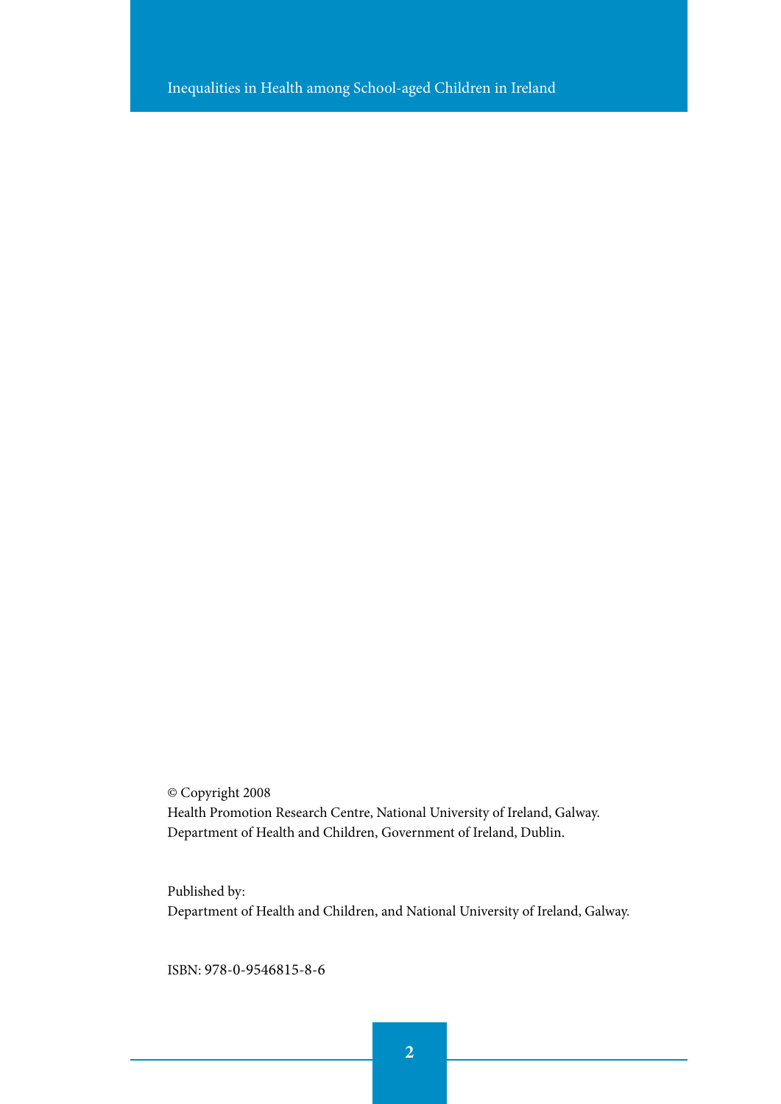© Copyright 2008 Health Promotion Research Centre, National University of Ireland, Galway. Department of Health and Children, Government of Ireland, Dublin.

Published by: Department of Health and Children, and National University of Ireland, Galway.

ISBN: 978-0-9546815-8-6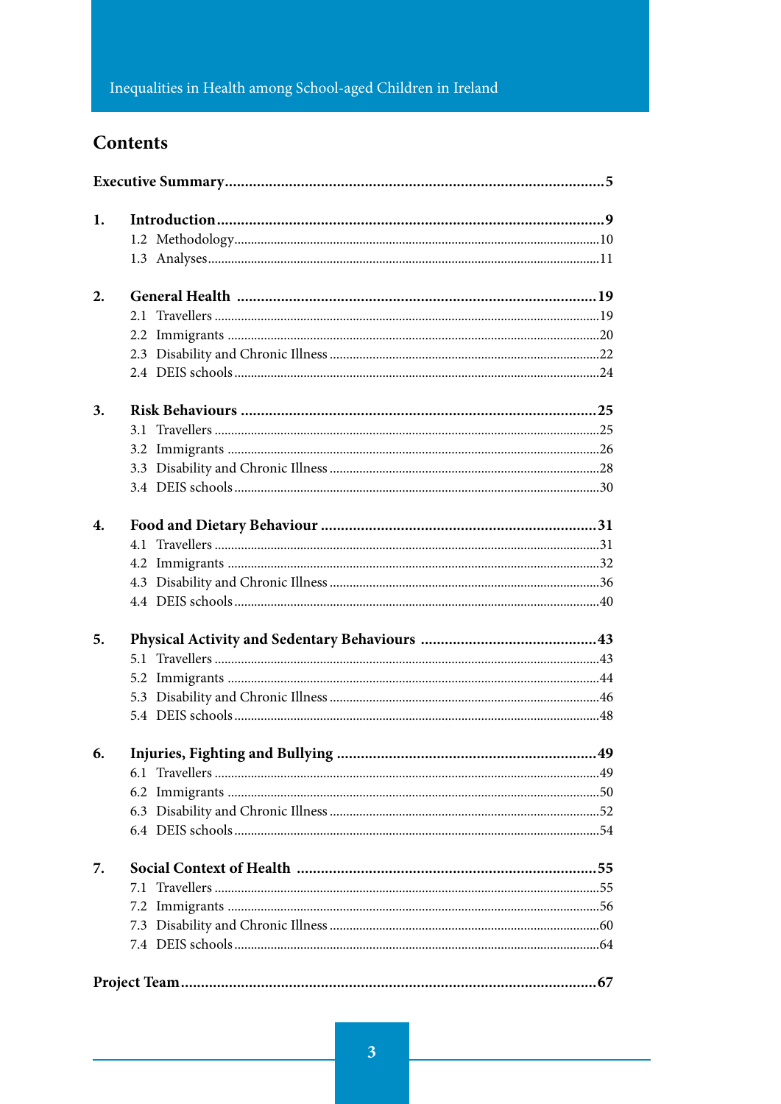# Contents

| 1.               |  |
|------------------|--|
|                  |  |
|                  |  |
| 2.               |  |
|                  |  |
|                  |  |
|                  |  |
|                  |  |
| 3.               |  |
|                  |  |
|                  |  |
|                  |  |
|                  |  |
| $\overline{4}$ . |  |
|                  |  |
|                  |  |
|                  |  |
|                  |  |
| 5.               |  |
|                  |  |
|                  |  |
|                  |  |
|                  |  |
| 6.               |  |
|                  |  |
|                  |  |
|                  |  |
|                  |  |
| 7.               |  |
|                  |  |
|                  |  |
|                  |  |
|                  |  |
|                  |  |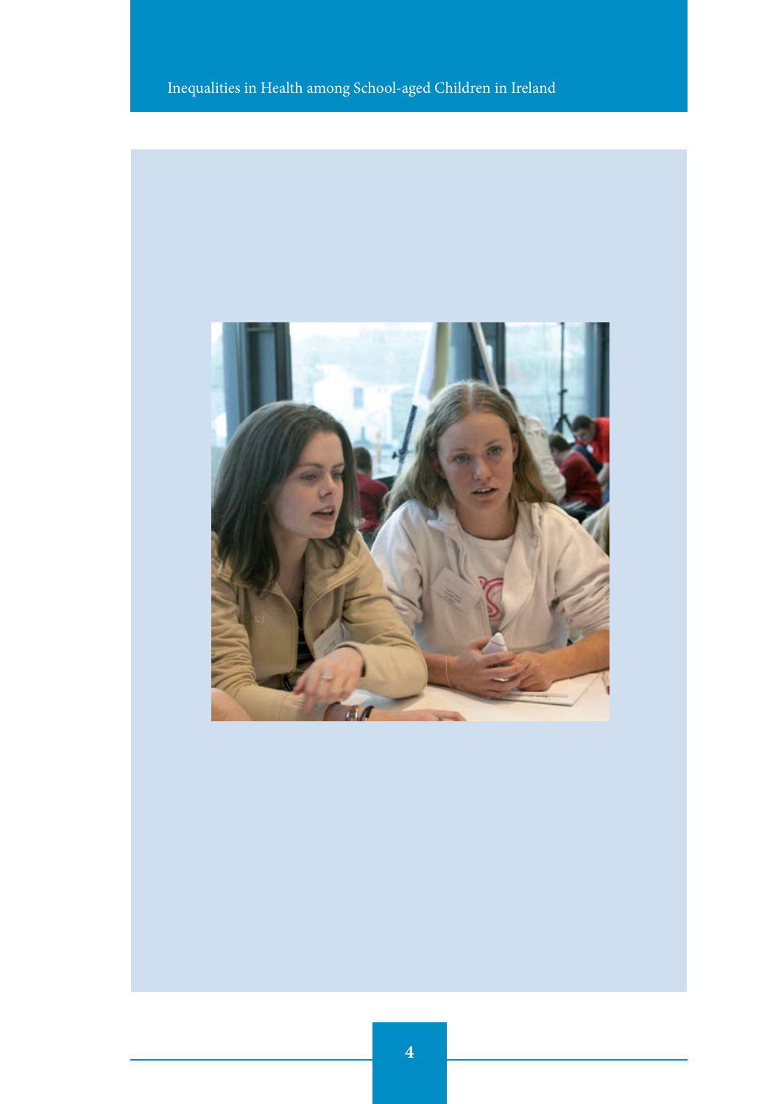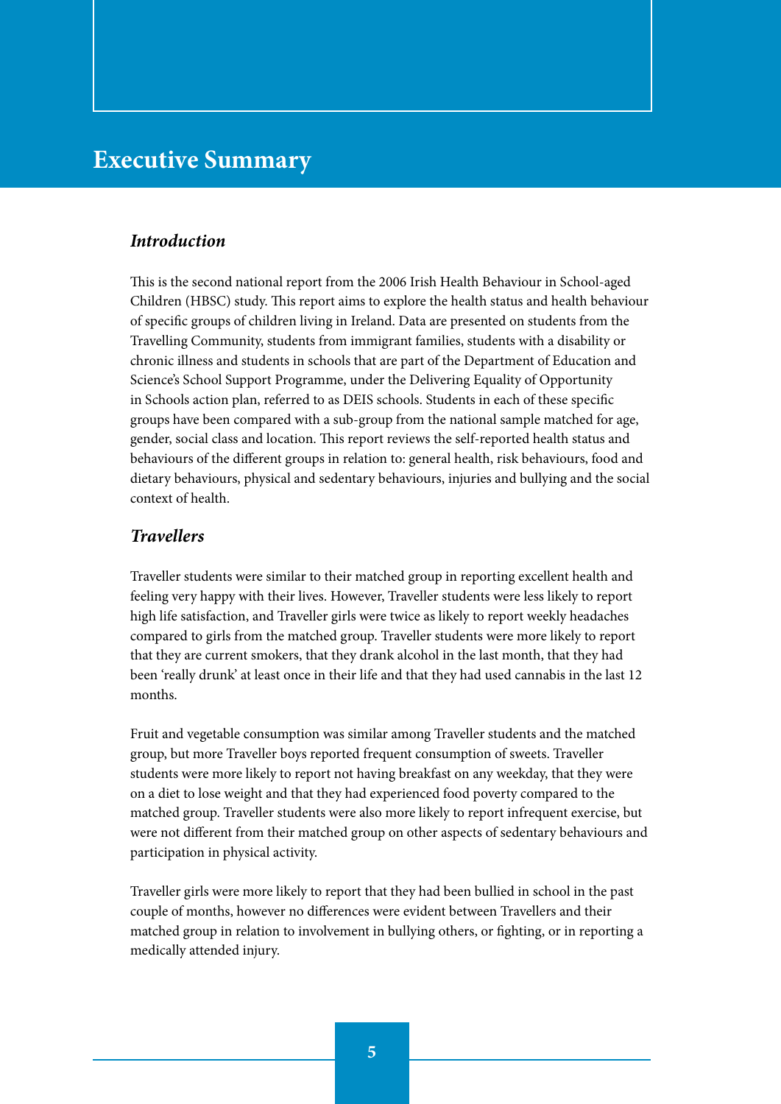# <span id="page-5-0"></span>**Executive Summary**

#### *Introduction*

This is the second national report from the 2006 Irish Health Behaviour in School-aged Children (HBSC) study. This report aims to explore the health status and health behaviour of specific groups of children living in Ireland. Data are presented on students from the Travelling Community, students from immigrant families, students with a disability or chronic illness and students in schools that are part of the Department of Education and Science's School Support Programme, under the Delivering Equality of Opportunity in Schools action plan, referred to as DEIS schools. Students in each of these specific groups have been compared with a sub-group from the national sample matched for age, gender, social class and location. This report reviews the self-reported health status and behaviours of the different groups in relation to: general health, risk behaviours, food and dietary behaviours, physical and sedentary behaviours, injuries and bullying and the social context of health.

## *Travellers*

Traveller students were similar to their matched group in reporting excellent health and feeling very happy with their lives. However, Traveller students were less likely to report high life satisfaction, and Traveller girls were twice as likely to report weekly headaches compared to girls from the matched group. Traveller students were more likely to report that they are current smokers, that they drank alcohol in the last month, that they had been 'really drunk' at least once in their life and that they had used cannabis in the last 12 months.

Fruit and vegetable consumption was similar among Traveller students and the matched group, but more Traveller boys reported frequent consumption of sweets. Traveller students were more likely to report not having breakfast on any weekday, that they were on a diet to lose weight and that they had experienced food poverty compared to the matched group. Traveller students were also more likely to report infrequent exercise, but were not different from their matched group on other aspects of sedentary behaviours and participation in physical activity.

Traveller girls were more likely to report that they had been bullied in school in the past couple of months, however no differences were evident between Travellers and their matched group in relation to involvement in bullying others, or fighting, or in reporting a medically attended injury.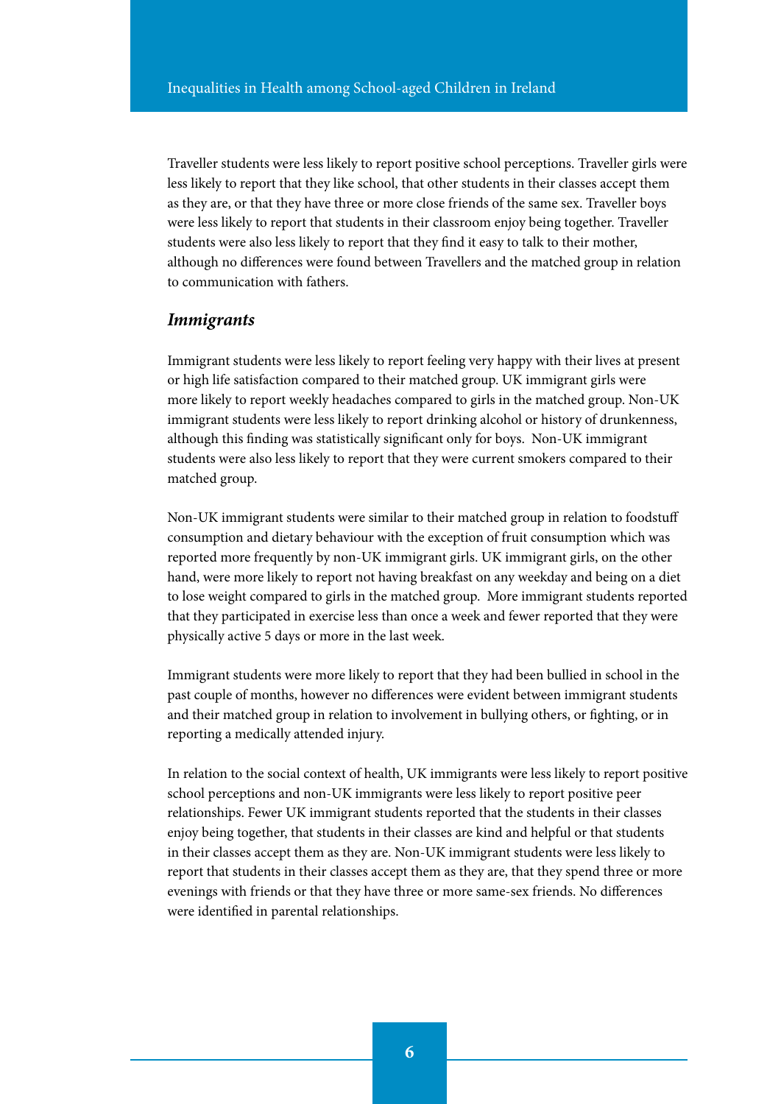Traveller students were less likely to report positive school perceptions. Traveller girls were less likely to report that they like school, that other students in their classes accept them as they are, or that they have three or more close friends of the same sex. Traveller boys were less likely to report that students in their classroom enjoy being together. Traveller students were also less likely to report that they find it easy to talk to their mother, although no differences were found between Travellers and the matched group in relation to communication with fathers.

#### *Immigrants*

Immigrant students were less likely to report feeling very happy with their lives at present or high life satisfaction compared to their matched group. UK immigrant girls were more likely to report weekly headaches compared to girls in the matched group. Non-UK immigrant students were less likely to report drinking alcohol or history of drunkenness, although this finding was statistically significant only for boys. Non-UK immigrant students were also less likely to report that they were current smokers compared to their matched group.

Non-UK immigrant students were similar to their matched group in relation to foodstuff consumption and dietary behaviour with the exception of fruit consumption which was reported more frequently by non-UK immigrant girls. UK immigrant girls, on the other hand, were more likely to report not having breakfast on any weekday and being on a diet to lose weight compared to girls in the matched group. More immigrant students reported that they participated in exercise less than once a week and fewer reported that they were physically active 5 days or more in the last week.

Immigrant students were more likely to report that they had been bullied in school in the past couple of months, however no differences were evident between immigrant students and their matched group in relation to involvement in bullying others, or fighting, or in reporting a medically attended injury.

In relation to the social context of health, UK immigrants were less likely to report positive school perceptions and non-UK immigrants were less likely to report positive peer relationships. Fewer UK immigrant students reported that the students in their classes enjoy being together, that students in their classes are kind and helpful or that students in their classes accept them as they are. Non-UK immigrant students were less likely to report that students in their classes accept them as they are, that they spend three or more evenings with friends or that they have three or more same-sex friends. No differences were identified in parental relationships.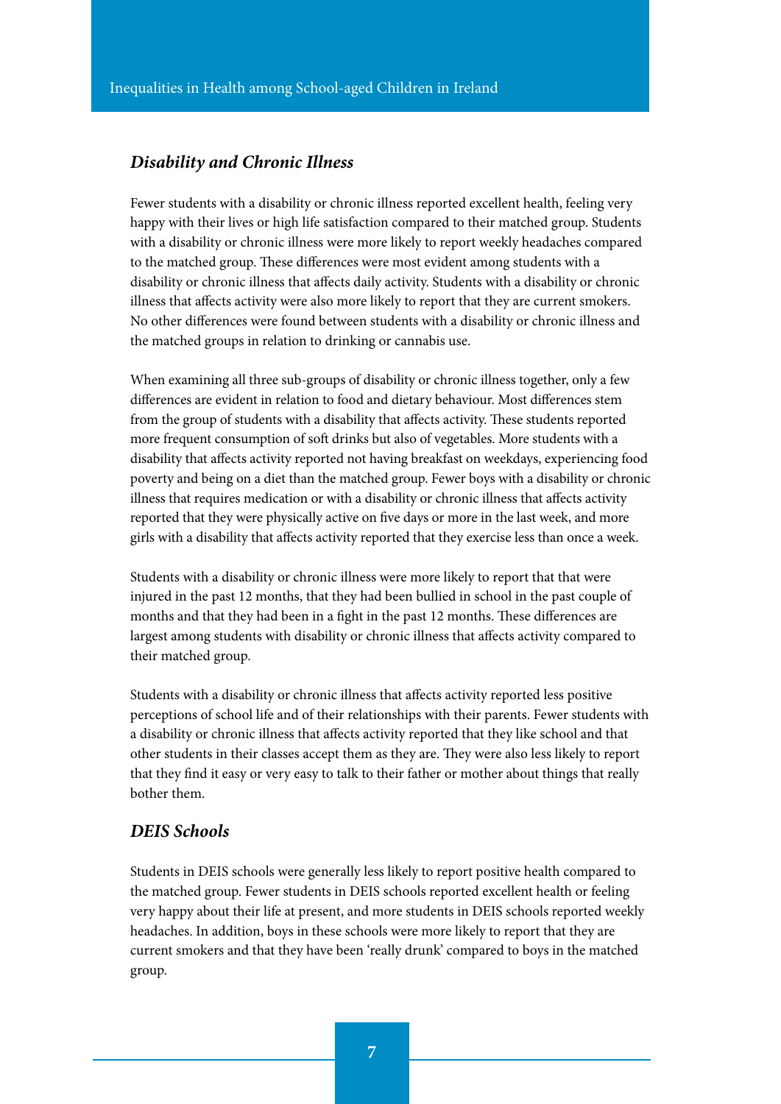### *Disability and Chronic Illness*

Fewer students with a disability or chronic illness reported excellent health, feeling very happy with their lives or high life satisfaction compared to their matched group. Students with a disability or chronic illness were more likely to report weekly headaches compared to the matched group. These differences were most evident among students with a disability or chronic illness that affects daily activity. Students with a disability or chronic illness that affects activity were also more likely to report that they are current smokers. No other differences were found between students with a disability or chronic illness and the matched groups in relation to drinking or cannabis use.

When examining all three sub-groups of disability or chronic illness together, only a few differences are evident in relation to food and dietary behaviour. Most differences stem from the group of students with a disability that affects activity. These students reported more frequent consumption of soft drinks but also of vegetables. More students with a disability that affects activity reported not having breakfast on weekdays, experiencing food poverty and being on a diet than the matched group. Fewer boys with a disability or chronic illness that requires medication or with a disability or chronic illness that affects activity reported that they were physically active on five days or more in the last week, and more girls with a disability that affects activity reported that they exercise less than once a week.

Students with a disability or chronic illness were more likely to report that that were injured in the past 12 months, that they had been bullied in school in the past couple of months and that they had been in a fight in the past 12 months. These differences are largest among students with disability or chronic illness that affects activity compared to their matched group.

Students with a disability or chronic illness that affects activity reported less positive perceptions of school life and of their relationships with their parents. Fewer students with a disability or chronic illness that affects activity reported that they like school and that other students in their classes accept them as they are. They were also less likely to report that they find it easy or very easy to talk to their father or mother about things that really bother them.

#### *DEIS Schools*

Students in DEIS schools were generally less likely to report positive health compared to the matched group. Fewer students in DEIS schools reported excellent health or feeling very happy about their life at present, and more students in DEIS schools reported weekly headaches. In addition, boys in these schools were more likely to report that they are current smokers and that they have been 'really drunk' compared to boys in the matched group.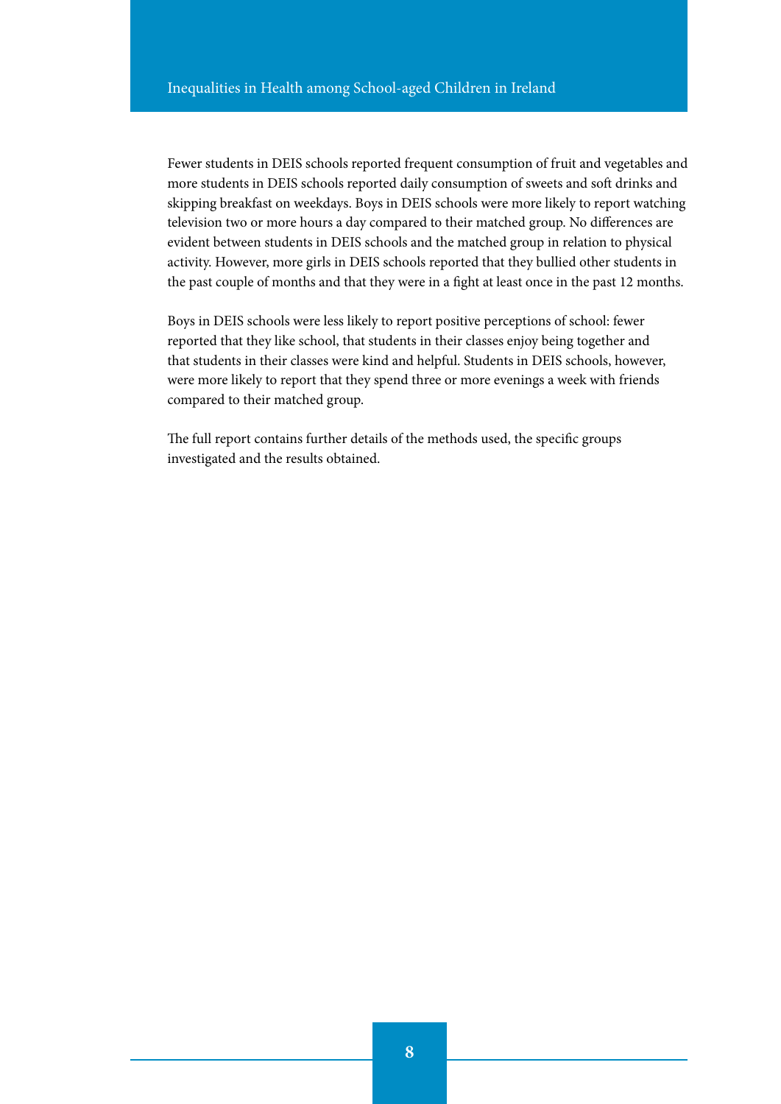Fewer students in DEIS schools reported frequent consumption of fruit and vegetables and more students in DEIS schools reported daily consumption of sweets and soft drinks and skipping breakfast on weekdays. Boys in DEIS schools were more likely to report watching television two or more hours a day compared to their matched group. No differences are evident between students in DEIS schools and the matched group in relation to physical activity. However, more girls in DEIS schools reported that they bullied other students in the past couple of months and that they were in a fight at least once in the past 12 months.

Boys in DEIS schools were less likely to report positive perceptions of school: fewer reported that they like school, that students in their classes enjoy being together and that students in their classes were kind and helpful. Students in DEIS schools, however, were more likely to report that they spend three or more evenings a week with friends compared to their matched group.

The full report contains further details of the methods used, the specific groups investigated and the results obtained.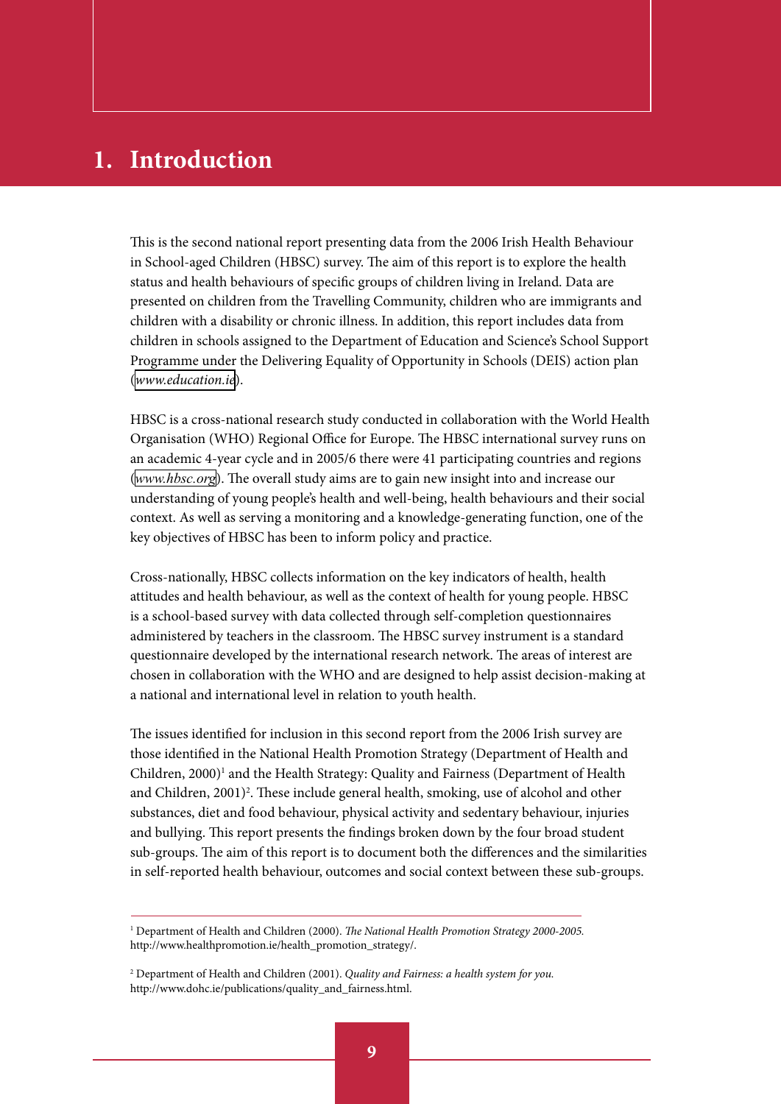# <span id="page-9-0"></span>**1. Introduction**

This is the second national report presenting data from the 2006 Irish Health Behaviour in School-aged Children (HBSC) survey. The aim of this report is to explore the health status and health behaviours of specific groups of children living in Ireland. Data are presented on children from the Travelling Community, children who are immigrants and children with a disability or chronic illness. In addition, this report includes data from children in schools assigned to the Department of Education and Science's School Support Programme under the Delivering Equality of Opportunity in Schools (DEIS) action plan (*[www.education.ie](http://www.education.ie)*).

HBSC is a cross-national research study conducted in collaboration with the World Health Organisation (WHO) Regional Office for Europe. The HBSC international survey runs on an academic 4-year cycle and in 2005/6 there were 41 participating countries and regions (*[www.hbsc.org](http://www.hbsc.org)*). The overall study aims are to gain new insight into and increase our understanding of young people's health and well-being, health behaviours and their social context. As well as serving a monitoring and a knowledge-generating function, one of the key objectives of HBSC has been to inform policy and practice.

Cross-nationally, HBSC collects information on the key indicators of health, health attitudes and health behaviour, as well as the context of health for young people. HBSC is a school-based survey with data collected through self-completion questionnaires administered by teachers in the classroom. The HBSC survey instrument is a standard questionnaire developed by the international research network. The areas of interest are chosen in collaboration with the WHO and are designed to help assist decision-making at a national and international level in relation to youth health.

The issues identified for inclusion in this second report from the 2006 Irish survey are those identified in the National Health Promotion Strategy (Department of Health and Children, 2000)<sup>1</sup> and the Health Strategy: Quality and Fairness (Department of Health and Children, 2001)<sup>2</sup>. These include general health, smoking, use of alcohol and other substances, diet and food behaviour, physical activity and sedentary behaviour, injuries and bullying. This report presents the findings broken down by the four broad student sub-groups. The aim of this report is to document both the differences and the similarities in self-reported health behaviour, outcomes and social context between these sub-groups.

<sup>1</sup> Department of Health and Children (2000). *The National Health Promotion Strategy 2000-2005.*  http://www.healthpromotion.ie/health\_promotion\_strategy/.

<sup>2</sup> Department of Health and Children (2001). *Quality and Fairness: a health system for you.*  http://www.dohc.ie/publications/quality\_and\_fairness.html.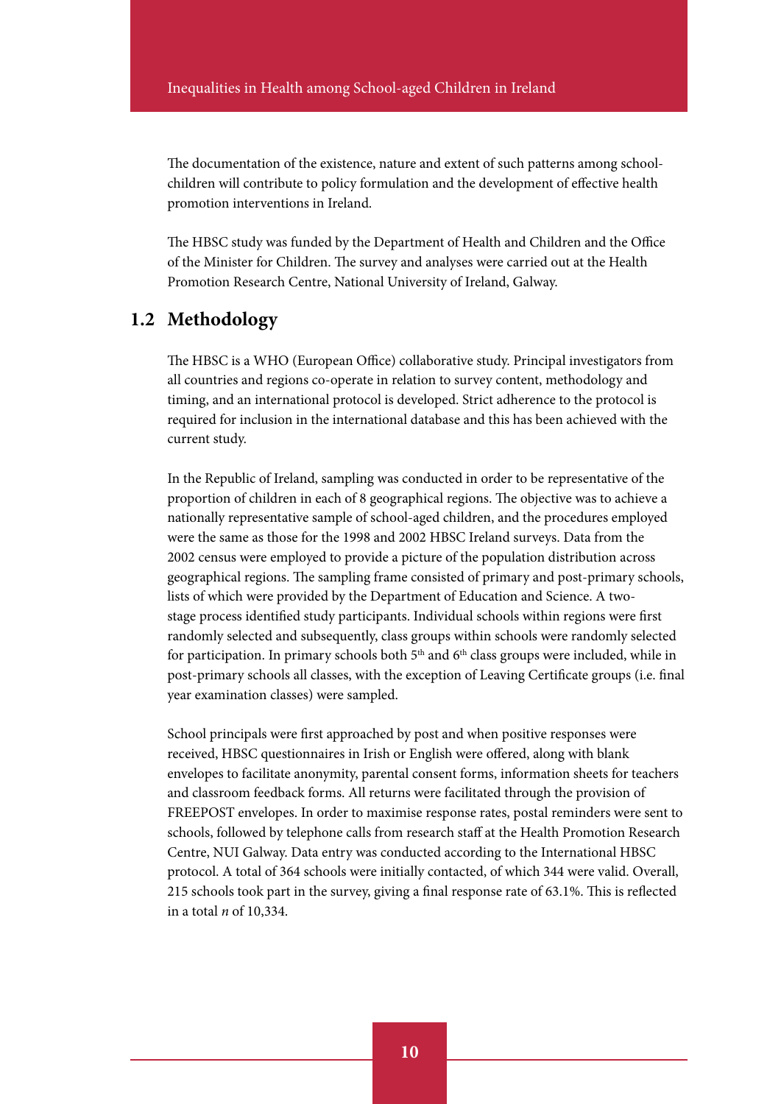<span id="page-10-0"></span>The documentation of the existence, nature and extent of such patterns among schoolchildren will contribute to policy formulation and the development of effective health promotion interventions in Ireland.

The HBSC study was funded by the Department of Health and Children and the Office of the Minister for Children. The survey and analyses were carried out at the Health Promotion Research Centre, National University of Ireland, Galway.

### **1.2 Methodology**

The HBSC is a WHO (European Office) collaborative study. Principal investigators from all countries and regions co-operate in relation to survey content, methodology and timing, and an international protocol is developed. Strict adherence to the protocol is required for inclusion in the international database and this has been achieved with the current study.

In the Republic of Ireland, sampling was conducted in order to be representative of the proportion of children in each of 8 geographical regions. The objective was to achieve a nationally representative sample of school-aged children, and the procedures employed were the same as those for the 1998 and 2002 HBSC Ireland surveys. Data from the 2002 census were employed to provide a picture of the population distribution across geographical regions. The sampling frame consisted of primary and post-primary schools, lists of which were provided by the Department of Education and Science. A twostage process identified study participants. Individual schools within regions were first randomly selected and subsequently, class groups within schools were randomly selected for participation. In primary schools both  $5<sup>th</sup>$  and  $6<sup>th</sup>$  class groups were included, while in post-primary schools all classes, with the exception of Leaving Certificate groups (i.e. final year examination classes) were sampled.

School principals were first approached by post and when positive responses were received, HBSC questionnaires in Irish or English were offered, along with blank envelopes to facilitate anonymity, parental consent forms, information sheets for teachers and classroom feedback forms. All returns were facilitated through the provision of FREEPOST envelopes. In order to maximise response rates, postal reminders were sent to schools, followed by telephone calls from research staff at the Health Promotion Research Centre, NUI Galway. Data entry was conducted according to the International HBSC protocol. A total of 364 schools were initially contacted, of which 344 were valid. Overall, 215 schools took part in the survey, giving a final response rate of 63.1%. This is reflected in a total *n* of 10,334.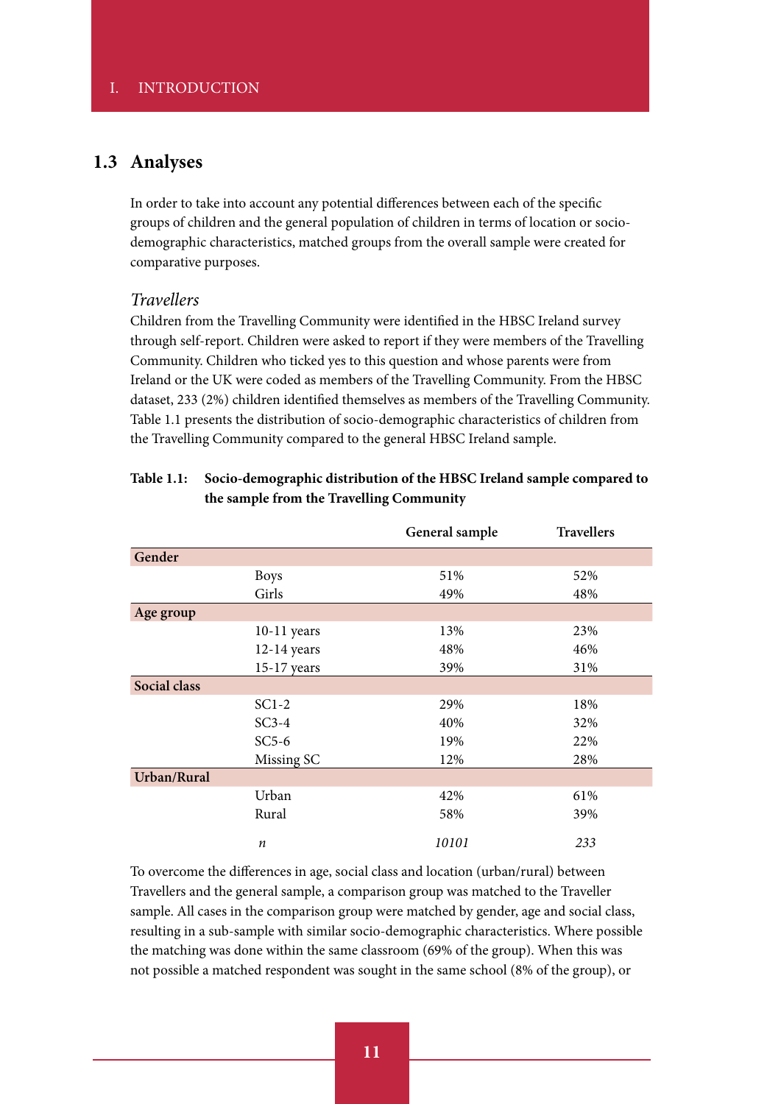# <span id="page-11-0"></span>**1.3 Analyses**

In order to take into account any potential differences between each of the specific groups of children and the general population of children in terms of location or sociodemographic characteristics, matched groups from the overall sample were created for comparative purposes.

#### *Travellers*

Children from the Travelling Community were identified in the HBSC Ireland survey through self-report. Children were asked to report if they were members of the Travelling Community. Children who ticked yes to this question and whose parents were from Ireland or the UK were coded as members of the Travelling Community. From the HBSC dataset, 233 (2%) children identified themselves as members of the Travelling Community. Table 1.1 presents the distribution of socio-demographic characteristics of children from the Travelling Community compared to the general HBSC Ireland sample.

|              |               | General sample | <b>Travellers</b> |
|--------------|---------------|----------------|-------------------|
| Gender       |               |                |                   |
|              | <b>Boys</b>   | 51%            | 52%               |
|              | Girls         | 49%            | 48%               |
| Age group    |               |                |                   |
|              | $10-11$ years | 13%            | 23%               |
|              | $12-14$ years | 48%            | 46%               |
|              | 15-17 years   | 39%            | 31%               |
| Social class |               |                |                   |
|              | $SC1-2$       | 29%            | 18%               |
|              | $SC3-4$       | 40%            | 32%               |
|              | $SC5-6$       | 19%            | 22%               |
|              | Missing SC    | 12%            | 28%               |
| Urban/Rural  |               |                |                   |
|              | Urban         | 42%            | 61%               |
|              | Rural         | 58%            | 39%               |
|              | n             | 10101          | 233               |

#### **Table 1.1: Socio-demographic distribution of the HBSC Ireland sample compared to the sample from the Travelling Community**

To overcome the differences in age, social class and location (urban/rural) between Travellers and the general sample, a comparison group was matched to the Traveller sample. All cases in the comparison group were matched by gender, age and social class, resulting in a sub-sample with similar socio-demographic characteristics. Where possible the matching was done within the same classroom (69% of the group). When this was not possible a matched respondent was sought in the same school (8% of the group), or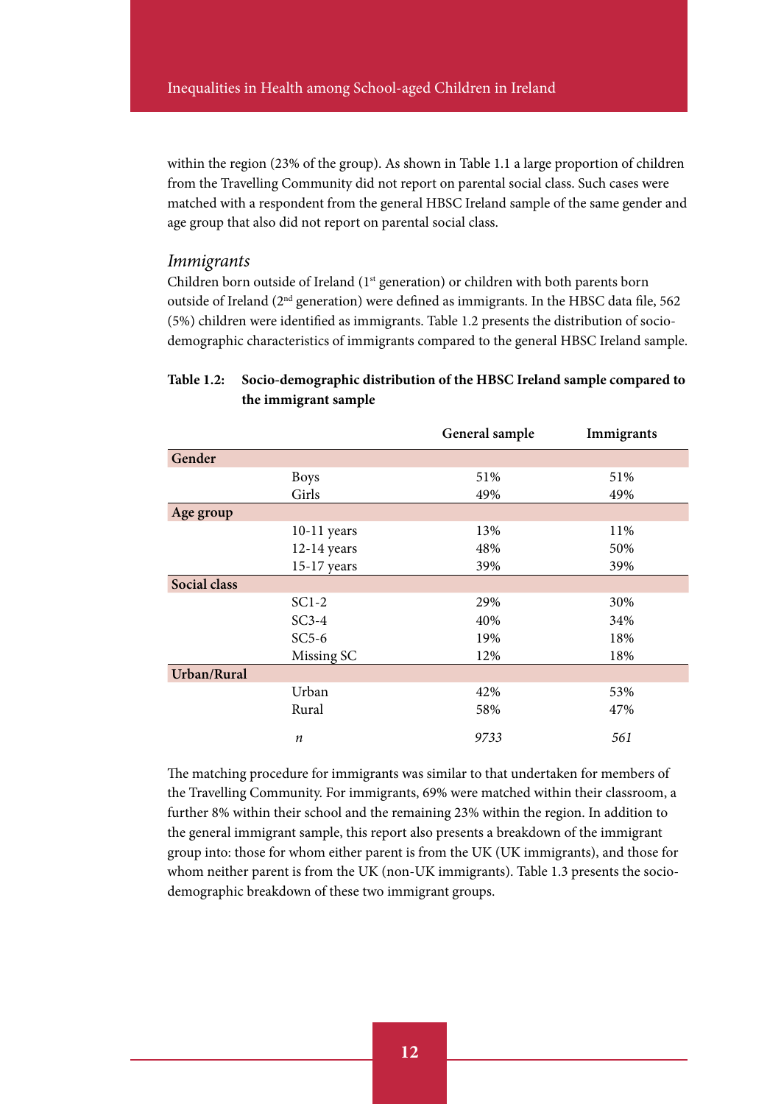within the region (23% of the group). As shown in Table 1.1 a large proportion of children from the Travelling Community did not report on parental social class. Such cases were matched with a respondent from the general HBSC Ireland sample of the same gender and age group that also did not report on parental social class.

#### *Immigrants*

Children born outside of Ireland  $(1<sup>st</sup>$  generation) or children with both parents born outside of Ireland (2<sup>nd</sup> generation) were defined as immigrants. In the HBSC data file, 562 (5%) children were identified as immigrants. Table 1.2 presents the distribution of sociodemographic characteristics of immigrants compared to the general HBSC Ireland sample.

#### **Table 1.2: Socio-demographic distribution of the HBSC Ireland sample compared to the immigrant sample**

|              |                  | General sample | Immigrants |
|--------------|------------------|----------------|------------|
| Gender       |                  |                |            |
|              | <b>Boys</b>      | 51%            | 51%        |
|              | Girls            | 49%            | 49%        |
| Age group    |                  |                |            |
|              | $10-11$ years    | 13%            | 11%        |
|              | $12-14$ years    | 48%            | 50%        |
|              | 15-17 years      | 39%            | 39%        |
| Social class |                  |                |            |
|              | $SC1-2$          | 29%            | 30%        |
|              | $SC3-4$          | 40%            | 34%        |
|              | $SC5-6$          | 19%            | 18%        |
|              | Missing SC       | 12%            | 18%        |
| Urban/Rural  |                  |                |            |
|              | Urban            | 42%            | 53%        |
|              | Rural            | 58%            | 47%        |
|              | $\boldsymbol{n}$ | 9733           | 561        |

The matching procedure for immigrants was similar to that undertaken for members of the Travelling Community. For immigrants, 69% were matched within their classroom, a further 8% within their school and the remaining 23% within the region. In addition to the general immigrant sample, this report also presents a breakdown of the immigrant group into: those for whom either parent is from the UK (UK immigrants), and those for whom neither parent is from the UK (non-UK immigrants). Table 1.3 presents the sociodemographic breakdown of these two immigrant groups.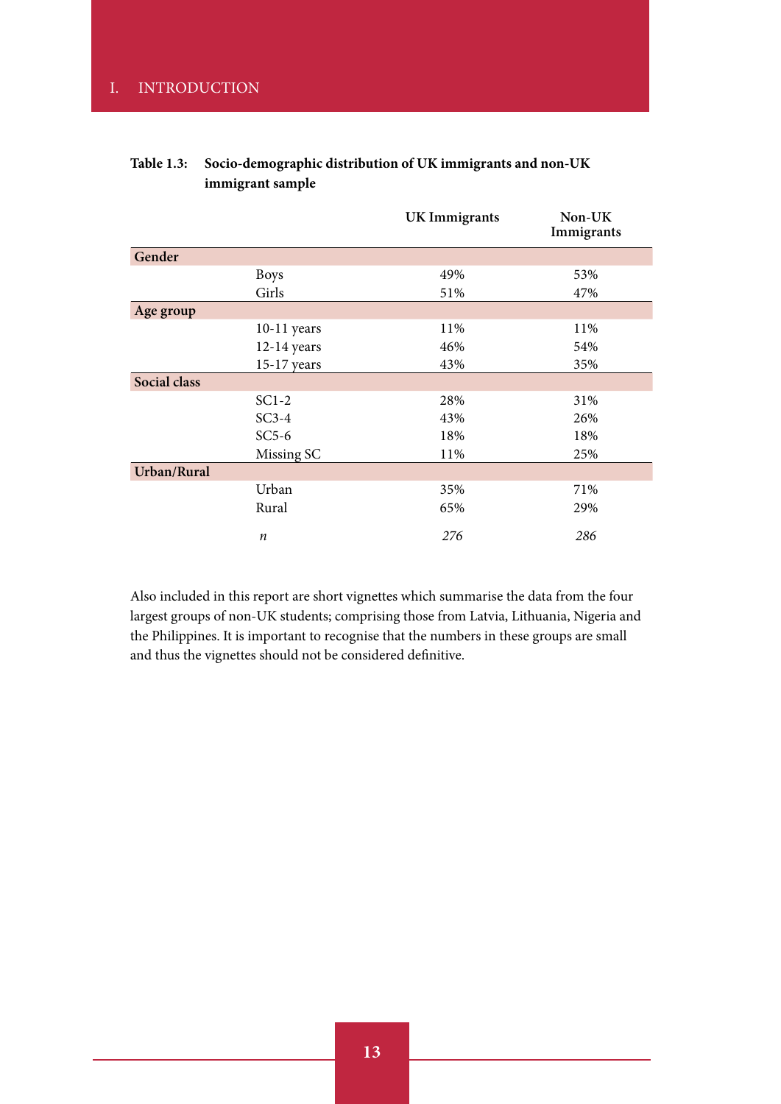|              |               | <b>UK</b> Immigrants | Non-UK<br>Immigrants |
|--------------|---------------|----------------------|----------------------|
| Gender       |               |                      |                      |
|              | <b>Boys</b>   | 49%                  | 53%                  |
|              | Girls         | 51%                  | 47%                  |
| Age group    |               |                      |                      |
|              | $10-11$ years | 11%                  | 11%                  |
|              | 12-14 years   | 46%                  | 54%                  |
|              | 15-17 years   | 43%                  | 35%                  |
| Social class |               |                      |                      |
|              | $SC1-2$       | 28%                  | 31%                  |
|              | $SC3-4$       | 43%                  | 26%                  |
|              | $SC5-6$       | 18%                  | 18%                  |
|              | Missing SC    | 11%                  | 25%                  |
| Urban/Rural  |               |                      |                      |
|              | Urban         | 35%                  | 71%                  |
|              | Rural         | 65%                  | 29%                  |
|              | n             | 276                  | 286                  |

#### **Table 1.3: Socio-demographic distribution of UK immigrants and non-UK immigrant sample**

Also included in this report are short vignettes which summarise the data from the four largest groups of non-UK students; comprising those from Latvia, Lithuania, Nigeria and the Philippines. It is important to recognise that the numbers in these groups are small and thus the vignettes should not be considered definitive.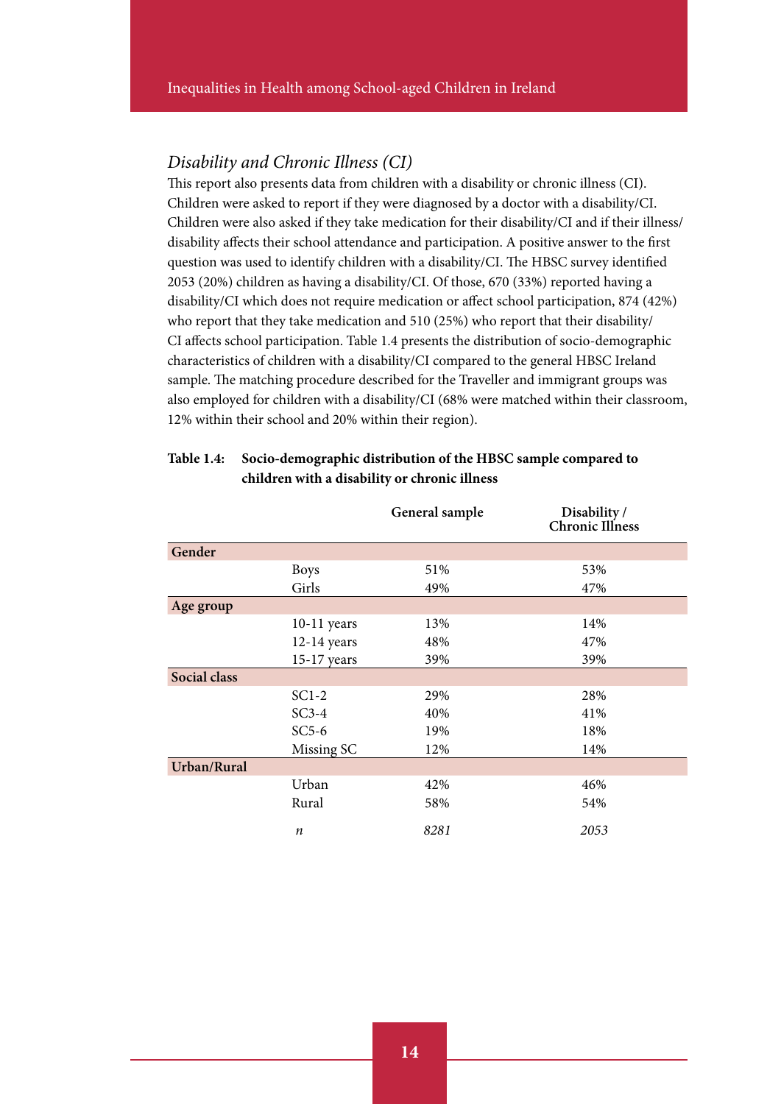#### *Disability and Chronic Illness (CI)*

This report also presents data from children with a disability or chronic illness (CI). Children were asked to report if they were diagnosed by a doctor with a disability/CI. Children were also asked if they take medication for their disability/CI and if their illness/ disability affects their school attendance and participation. A positive answer to the first question was used to identify children with a disability/CI. The HBSC survey identified 2053 (20%) children as having a disability/CI. Of those, 670 (33%) reported having a disability/CI which does not require medication or affect school participation, 874 (42%) who report that they take medication and 510 (25%) who report that their disability/ CI affects school participation. Table 1.4 presents the distribution of socio-demographic characteristics of children with a disability/CI compared to the general HBSC Ireland sample. The matching procedure described for the Traveller and immigrant groups was also employed for children with a disability/CI (68% were matched within their classroom, 12% within their school and 20% within their region).

|                     |                  | General sample | Disability /<br><b>Chronic Illness</b> |
|---------------------|------------------|----------------|----------------------------------------|
| Gender              |                  |                |                                        |
|                     | <b>Boys</b>      | 51%            | 53%                                    |
|                     | Girls            | 49%            | 47%                                    |
| Age group           |                  |                |                                        |
|                     | $10-11$ years    | 13%            | 14%                                    |
|                     | $12-14$ years    | 48%            | 47%                                    |
|                     | 15-17 years      | 39%            | 39%                                    |
| <b>Social class</b> |                  |                |                                        |
|                     | $SC1-2$          | 29%            | 28%                                    |
|                     | $SC3-4$          | 40%            | 41%                                    |
|                     | $SC5-6$          | 19%            | 18%                                    |
|                     | Missing SC       | 12%            | 14%                                    |
| Urban/Rural         |                  |                |                                        |
|                     | Urban            | 42%            | 46%                                    |
|                     | Rural            | 58%            | 54%                                    |
|                     | $\boldsymbol{n}$ | 8281           | 2053                                   |

#### **Table 1.4: Socio-demographic distribution of the HBSC sample compared to children with a disability or chronic illness**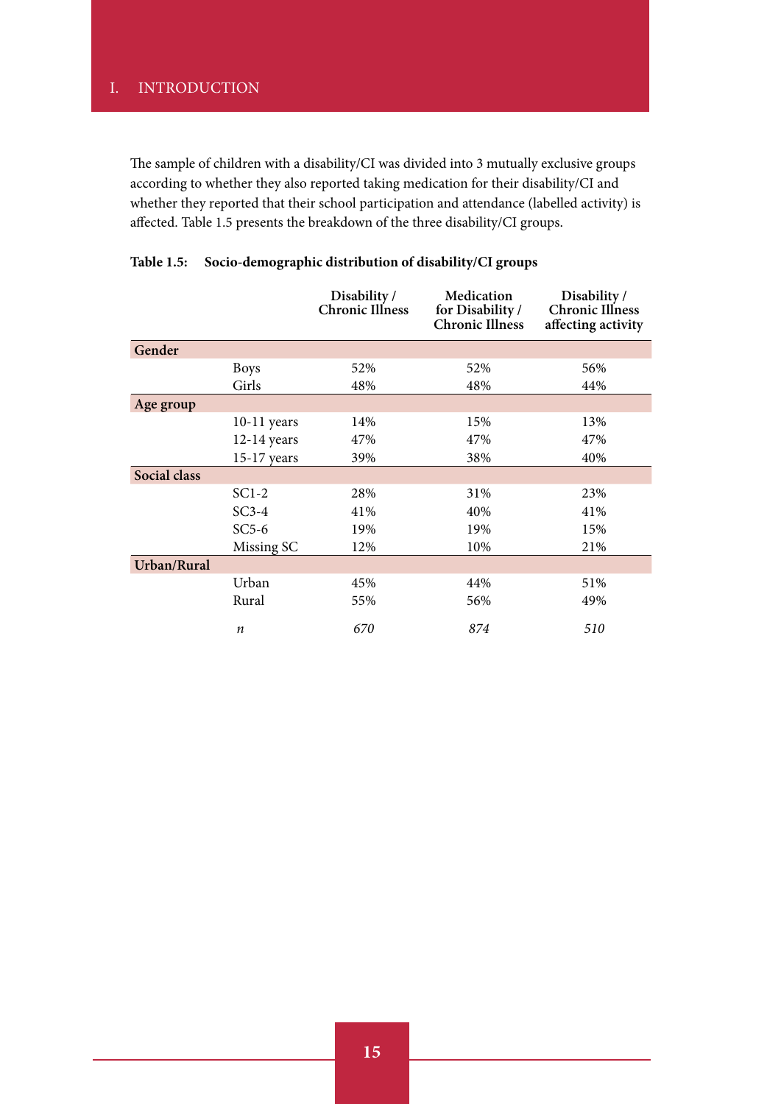The sample of children with a disability/CI was divided into 3 mutually exclusive groups according to whether they also reported taking medication for their disability/CI and whether they reported that their school participation and attendance (labelled activity) is affected. Table 1.5 presents the breakdown of the three disability/CI groups.

|              |               | Disability /<br><b>Chronic Illness</b> | Medication<br>for Disability /<br><b>Chronic Illness</b> | Disability /<br><b>Chronic Illness</b><br>affecting activity |
|--------------|---------------|----------------------------------------|----------------------------------------------------------|--------------------------------------------------------------|
| Gender       |               |                                        |                                                          |                                                              |
|              | <b>Boys</b>   | 52%                                    | 52%                                                      | 56%                                                          |
|              | Girls         | 48%                                    | 48%                                                      | 44%                                                          |
| Age group    |               |                                        |                                                          |                                                              |
|              | $10-11$ years | 14%                                    | 15%                                                      | 13%                                                          |
|              | $12-14$ years | 47%                                    | 47%                                                      | 47%                                                          |
|              | $15-17$ years | 39%                                    | 38%                                                      | 40%                                                          |
| Social class |               |                                        |                                                          |                                                              |
|              | $SC1-2$       | 28%                                    | 31%                                                      | 23%                                                          |
|              | $SC3-4$       | 41%                                    | 40%                                                      | 41%                                                          |
|              | $SC5-6$       | 19%                                    | 19%                                                      | 15%                                                          |
|              | Missing SC    | 12%                                    | 10%                                                      | 21%                                                          |
| Urban/Rural  |               |                                        |                                                          |                                                              |
|              | Urban         | 45%                                    | 44%                                                      | 51%                                                          |
|              | Rural         | 55%                                    | 56%                                                      | 49%                                                          |
|              | п             | 670                                    | 874                                                      | 510                                                          |

**Table 1.5: Socio-demographic distribution of disability/CI groups**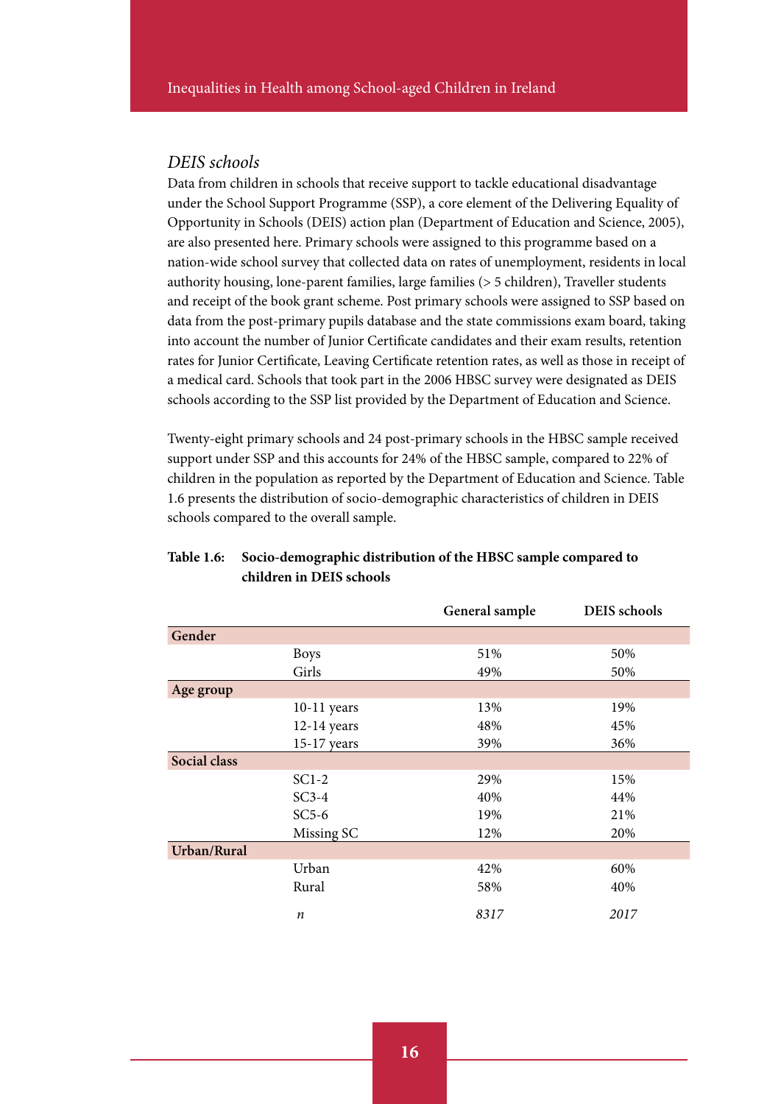#### *DEIS schools*

Data from children in schools that receive support to tackle educational disadvantage under the School Support Programme (SSP), a core element of the Delivering Equality of Opportunity in Schools (DEIS) action plan (Department of Education and Science, 2005), are also presented here. Primary schools were assigned to this programme based on a nation-wide school survey that collected data on rates of unemployment, residents in local authority housing, lone-parent families, large families (> 5 children), Traveller students and receipt of the book grant scheme. Post primary schools were assigned to SSP based on data from the post-primary pupils database and the state commissions exam board, taking into account the number of Junior Certificate candidates and their exam results, retention rates for Junior Certificate, Leaving Certificate retention rates, as well as those in receipt of a medical card. Schools that took part in the 2006 HBSC survey were designated as DEIS schools according to the SSP list provided by the Department of Education and Science.

Twenty-eight primary schools and 24 post-primary schools in the HBSC sample received support under SSP and this accounts for 24% of the HBSC sample, compared to 22% of children in the population as reported by the Department of Education and Science. Table 1.6 presents the distribution of socio-demographic characteristics of children in DEIS schools compared to the overall sample.

|              |               | General sample | <b>DEIS</b> schools |
|--------------|---------------|----------------|---------------------|
| Gender       |               |                |                     |
|              | <b>Boys</b>   | 51%            | 50%                 |
|              | Girls         | 49%            | 50%                 |
| Age group    |               |                |                     |
|              | $10-11$ years | 13%            | 19%                 |
|              | $12-14$ years | 48%            | 45%                 |
|              | 15-17 years   | 39%            | 36%                 |
| Social class |               |                |                     |
|              | $SC1-2$       | 29%            | 15%                 |
|              | $SC3-4$       | 40%            | 44%                 |
|              | $SC5-6$       | 19%            | 21%                 |
|              | Missing SC    | 12%            | 20%                 |
| Urban/Rural  |               |                |                     |
|              | Urban         | 42%            | 60%                 |
|              | Rural         | 58%            | 40%                 |
|              | n             | 8317           | 2017                |

#### **Table 1.6: Socio-demographic distribution of the HBSC sample compared to children in DEIS schools**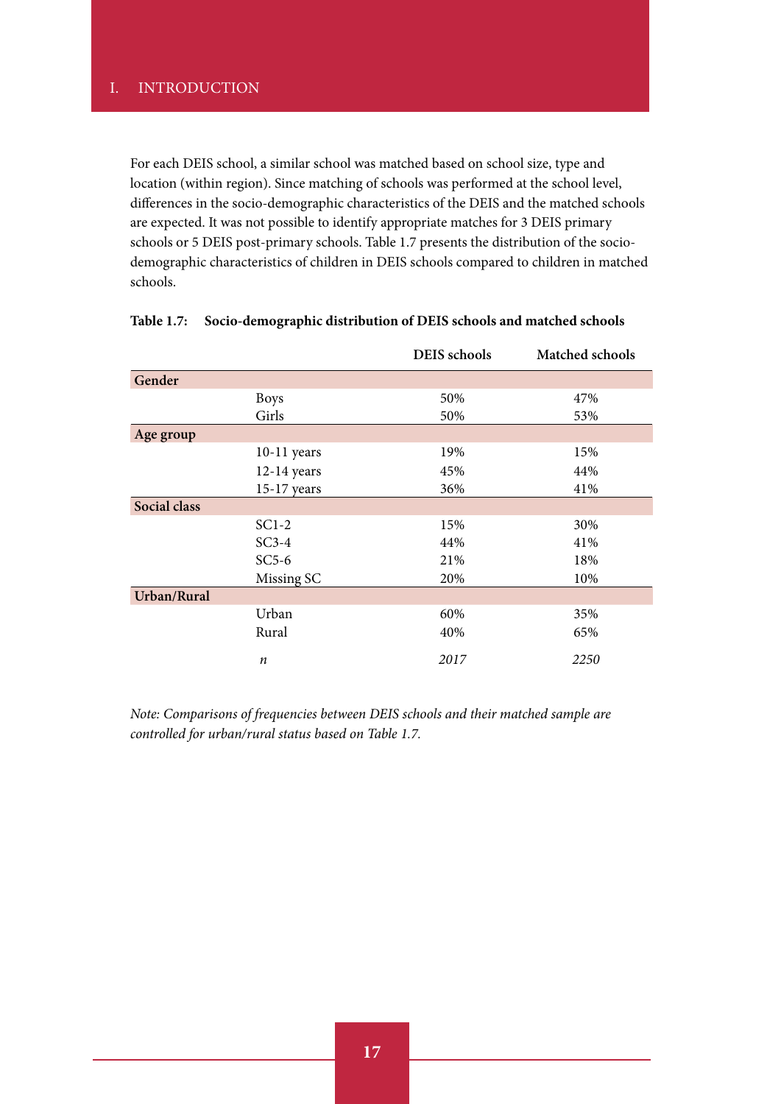For each DEIS school, a similar school was matched based on school size, type and location (within region). Since matching of schools was performed at the school level, differences in the socio-demographic characteristics of the DEIS and the matched schools are expected. It was not possible to identify appropriate matches for 3 DEIS primary schools or 5 DEIS post-primary schools. Table 1.7 presents the distribution of the sociodemographic characteristics of children in DEIS schools compared to children in matched schools.

|              |                  | DEIS schools | Matched schools |
|--------------|------------------|--------------|-----------------|
| Gender       |                  |              |                 |
|              | <b>Boys</b>      | 50%          | 47%             |
|              | Girls            | 50%          | 53%             |
| Age group    |                  |              |                 |
|              | $10-11$ years    | 19%          | 15%             |
|              | $12-14$ years    | 45%          | 44%             |
|              | 15-17 years      | 36%          | 41%             |
| Social class |                  |              |                 |
|              | $SC1-2$          | 15%          | 30%             |
|              | $SC3-4$          | 44%          | 41%             |
|              | $SC5-6$          | 21%          | 18%             |
|              | Missing SC       | 20%          | 10%             |
| Urban/Rural  |                  |              |                 |
|              | Urban            | 60%          | 35%             |
|              | Rural            | 40%          | 65%             |
|              | $\boldsymbol{n}$ | 2017         | 2250            |

#### **Table 1.7: Socio-demographic distribution of DEIS schools and matched schools**

*Note: Comparisons of frequencies between DEIS schools and their matched sample are controlled for urban/rural status based on Table 1.7.*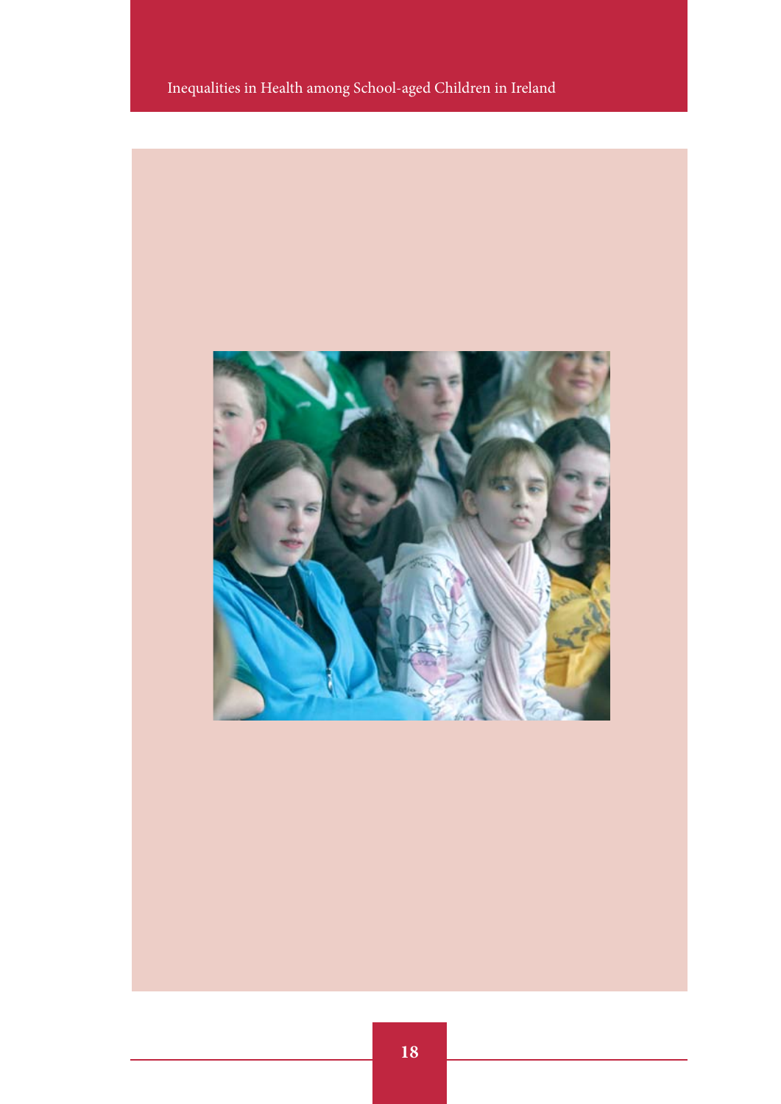# Inequalities in Health among School-aged Children in Ireland

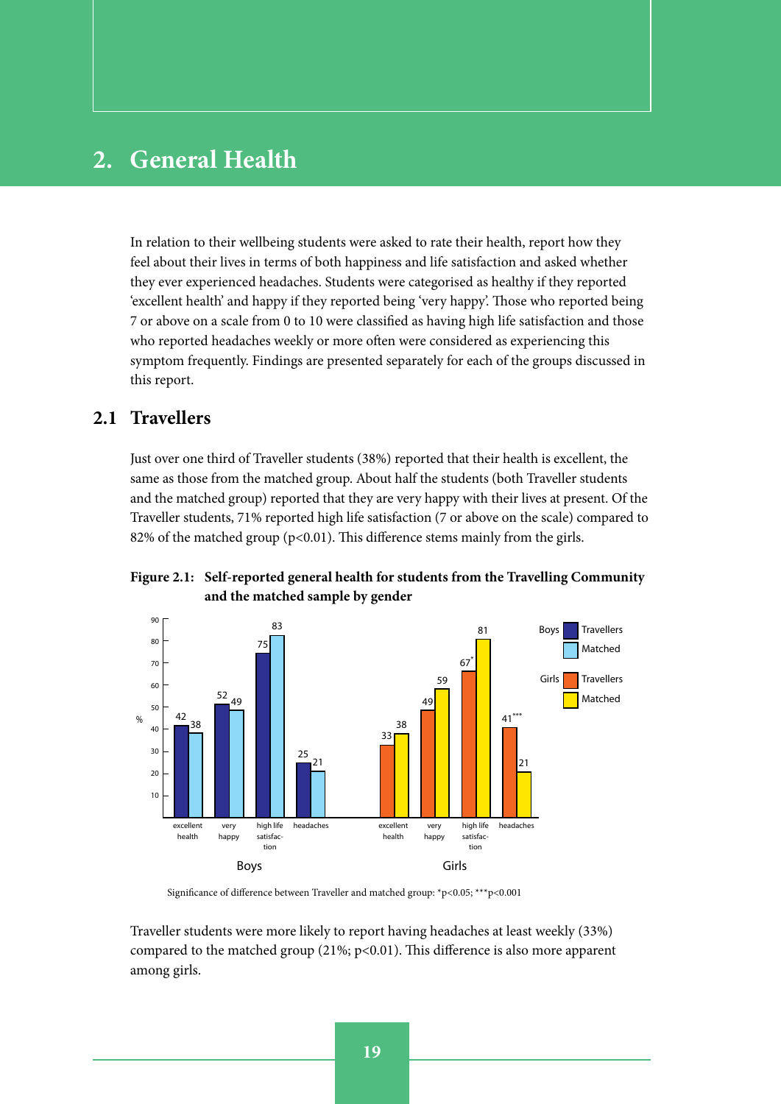# <span id="page-19-0"></span>**2. General Health**

In relation to their wellbeing students were asked to rate their health, report how they feel about their lives in terms of both happiness and life satisfaction and asked whether they ever experienced headaches. Students were categorised as healthy if they reported 'excellent health' and happy if they reported being 'very happy'. Those who reported being 7 or above on a scale from 0 to 10 were classified as having high life satisfaction and those who reported headaches weekly or more often were considered as experiencing this symptom frequently. Findings are presented separately for each of the groups discussed in this report.

## **2.1 Travellers**

Just over one third of Traveller students (38%) reported that their health is excellent, the same as those from the matched group. About half the students (both Traveller students and the matched group) reported that they are very happy with their lives at present. Of the Traveller students, 71% reported high life satisfaction (7 or above on the scale) compared to 82% of the matched group ( $p$ <0.01). This difference stems mainly from the girls.

#### **Figure 2.1: Self-reported general health for students from the Travelling Community and the matched sample by gender**



Significance of difference between Traveller and matched group: \*p<0.05; \*\*\*p<0.001

Traveller students were more likely to report having headaches at least weekly (33%) compared to the matched group (21%;  $p<0.01$ ). This difference is also more apparent among girls.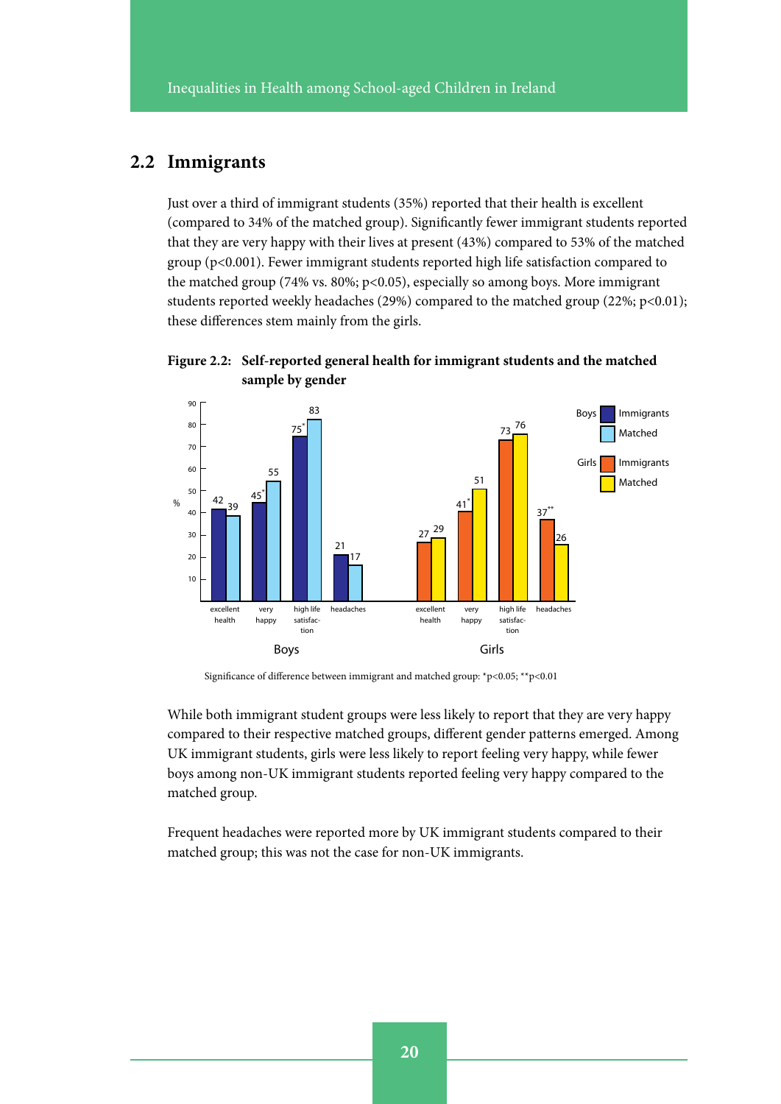# <span id="page-20-0"></span>**2.2 Immigrants**

Just over a third of immigrant students (35%) reported that their health is excellent (compared to 34% of the matched group). Significantly fewer immigrant students reported that they are very happy with their lives at present (43%) compared to 53% of the matched group ( $p<0.001$ ). Fewer immigrant students reported high life satisfaction compared to the matched group (74% vs. 80%;  $p<0.05$ ), especially so among boys. More immigrant students reported weekly headaches (29%) compared to the matched group (22%;  $p<0.01$ ); these differences stem mainly from the girls.





Significance of difference between immigrant and matched group: \*p<0.05; \*\*p<0.01

While both immigrant student groups were less likely to report that they are very happy compared to their respective matched groups, different gender patterns emerged. Among UK immigrant students, girls were less likely to report feeling very happy, while fewer boys among non-UK immigrant students reported feeling very happy compared to the matched group.

Frequent headaches were reported more by UK immigrant students compared to their matched group; this was not the case for non-UK immigrants.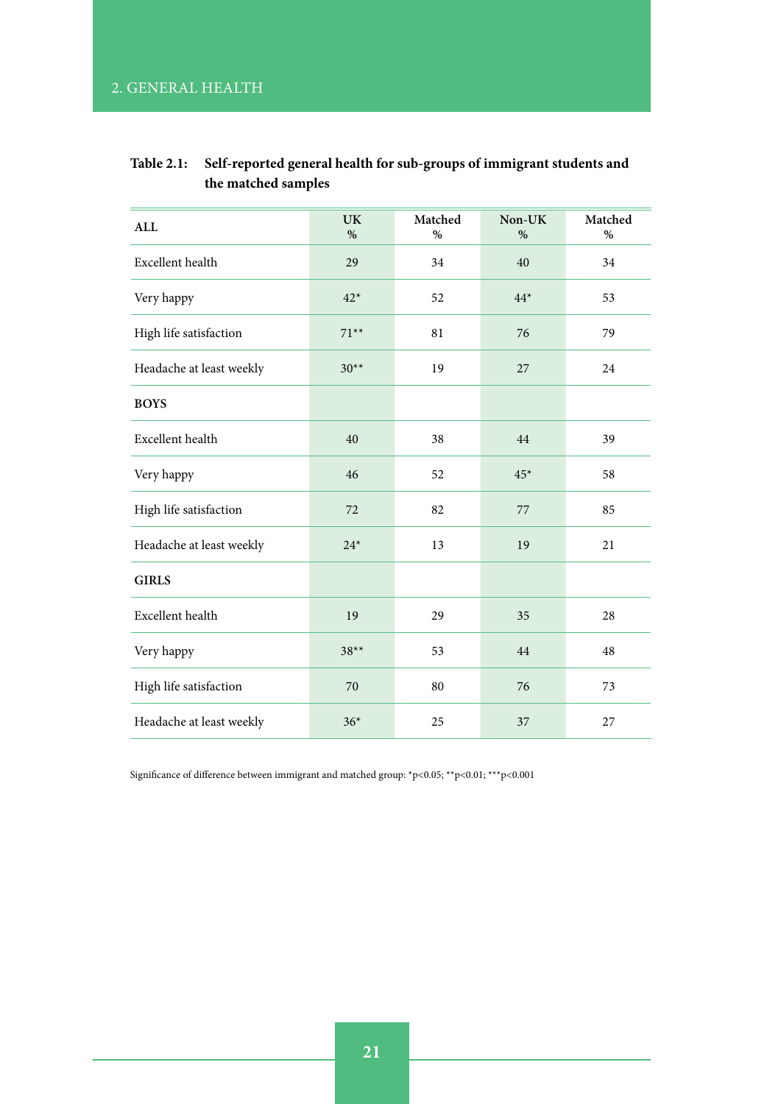| <b>ALL</b>               | <b>UK</b><br>$\%$ | Matched<br>% | Non-UK<br>% | Matched<br>% |
|--------------------------|-------------------|--------------|-------------|--------------|
| Excellent health         | 29                | 34           | 40          | 34           |
| Very happy               | $42*$             | 52           | $44*$       | 53           |
| High life satisfaction   | $71***$           | 81           | 76          | 79           |
| Headache at least weekly | $30**$            | 19           | 27          | 24           |
| <b>BOYS</b>              |                   |              |             |              |
| Excellent health         | 40                | 38           | 44          | 39           |
| Very happy               | 46                | 52           | $45*$       | 58           |
| High life satisfaction   | 72                | 82           | 77          | 85           |
| Headache at least weekly | $24*$             | 13           | 19          | 21           |
| <b>GIRLS</b>             |                   |              |             |              |
| Excellent health         | 19                | 29           | 35          | 28           |
| Very happy               | $38**$            | 53           | 44          | 48           |
| High life satisfaction   | 70                | 80           | 76          | 73           |
| Headache at least weekly | $36*$             | 25           | 37          | 27           |

#### **Table 2.1: Self-reported general health for sub-groups of immigrant students and the matched samples**

Significance of difference between immigrant and matched group: \*p<0.05; \*\*p<0.01; \*\*\*p<0.001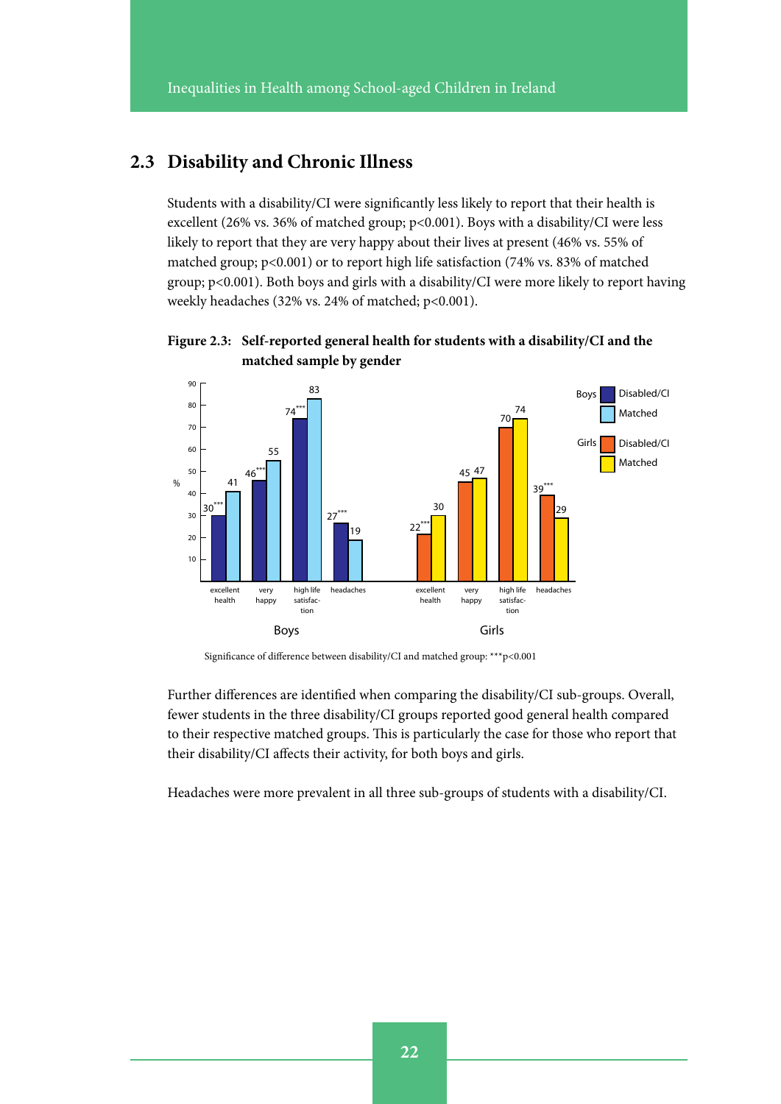# <span id="page-22-0"></span>**2.3 Disability and Chronic Illness**

Students with a disability/CI were significantly less likely to report that their health is excellent (26% vs. 36% of matched group; p<0.001). Boys with a disability/CI were less likely to report that they are very happy about their lives at present (46% vs. 55% of matched group;  $p<0.001$ ) or to report high life satisfaction (74% vs. 83% of matched group; p<0.001). Both boys and girls with a disability/CI were more likely to report having weekly headaches (32% vs. 24% of matched; p<0.001).





Significance of difference between disability/CI and matched group: \*\*\*p<0.001

Further differences are identified when comparing the disability/CI sub-groups. Overall, fewer students in the three disability/CI groups reported good general health compared to their respective matched groups. This is particularly the case for those who report that their disability/CI affects their activity, for both boys and girls.

Headaches were more prevalent in all three sub-groups of students with a disability/CI.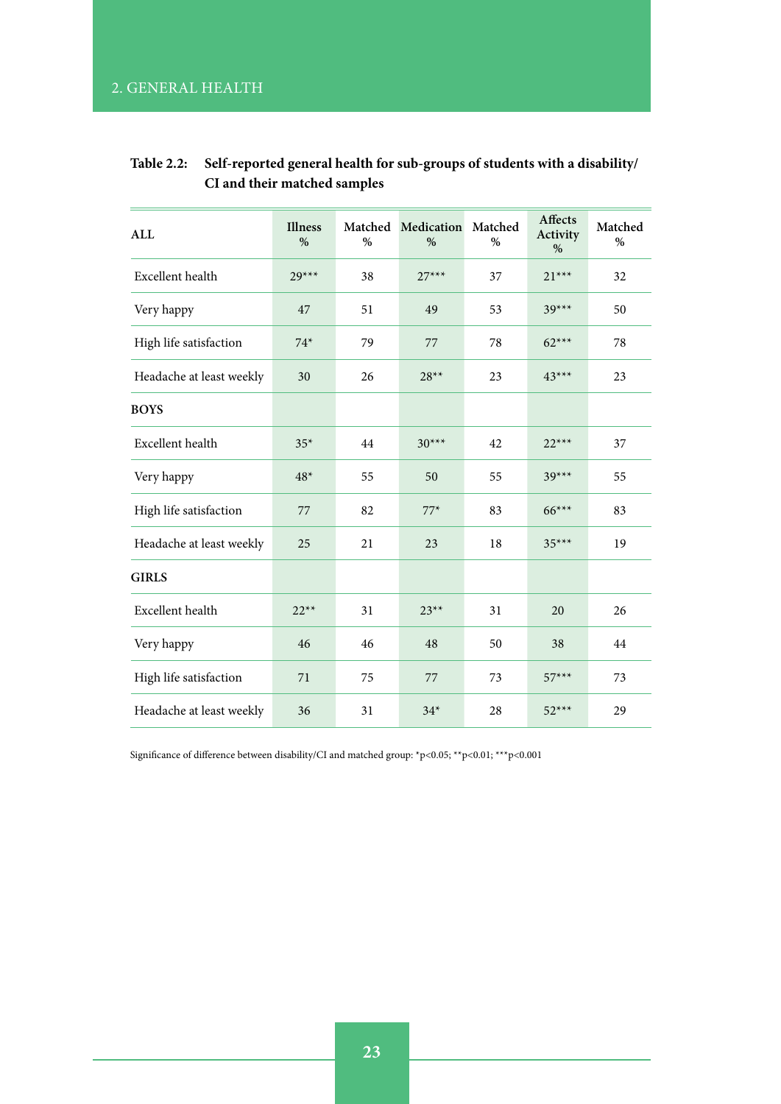| ALL                      | Illness<br>$\%$ | %  | Matched Medication<br>$\%$ | Matched<br>$\%$ | Affects<br>Activity<br>$\%$ | Matched<br>$\frac{0}{0}$ |
|--------------------------|-----------------|----|----------------------------|-----------------|-----------------------------|--------------------------|
| Excellent health         | $29***$         | 38 | $27***$                    | 37              | $21***$                     | 32                       |
| Very happy               | 47              | 51 | 49                         | 53              | $39***$                     | 50                       |
| High life satisfaction   | $74*$           | 79 | 77                         | 78              | $62***$                     | 78                       |
| Headache at least weekly | 30              | 26 | $28**$                     | 23              | $43***$                     | 23                       |
| <b>BOYS</b>              |                 |    |                            |                 |                             |                          |
| Excellent health         | $35*$           | 44 | $30***$                    | 42              | $22***$                     | 37                       |
| Very happy               | $48*$           | 55 | 50                         | 55              | $39***$                     | 55                       |
| High life satisfaction   | 77              | 82 | $77*$                      | 83              | $66***$                     | 83                       |
| Headache at least weekly | 25              | 21 | 23                         | 18              | $35***$                     | 19                       |
| <b>GIRLS</b>             |                 |    |                            |                 |                             |                          |
| Excellent health         | $22**$          | 31 | $23**$                     | 31              | 20                          | 26                       |
| Very happy               | 46              | 46 | 48                         | 50              | 38                          | 44                       |
| High life satisfaction   | 71              | 75 | 77                         | 73              | $57***$                     | 73                       |
| Headache at least weekly | 36              | 31 | $34*$                      | 28              | $52***$                     | 29                       |

## **Table 2.2: Self-reported general health for sub-groups of students with a disability/ CI and their matched samples**

Significance of difference between disability/CI and matched group: \*p<0.05; \*\*p<0.01; \*\*\*p<0.001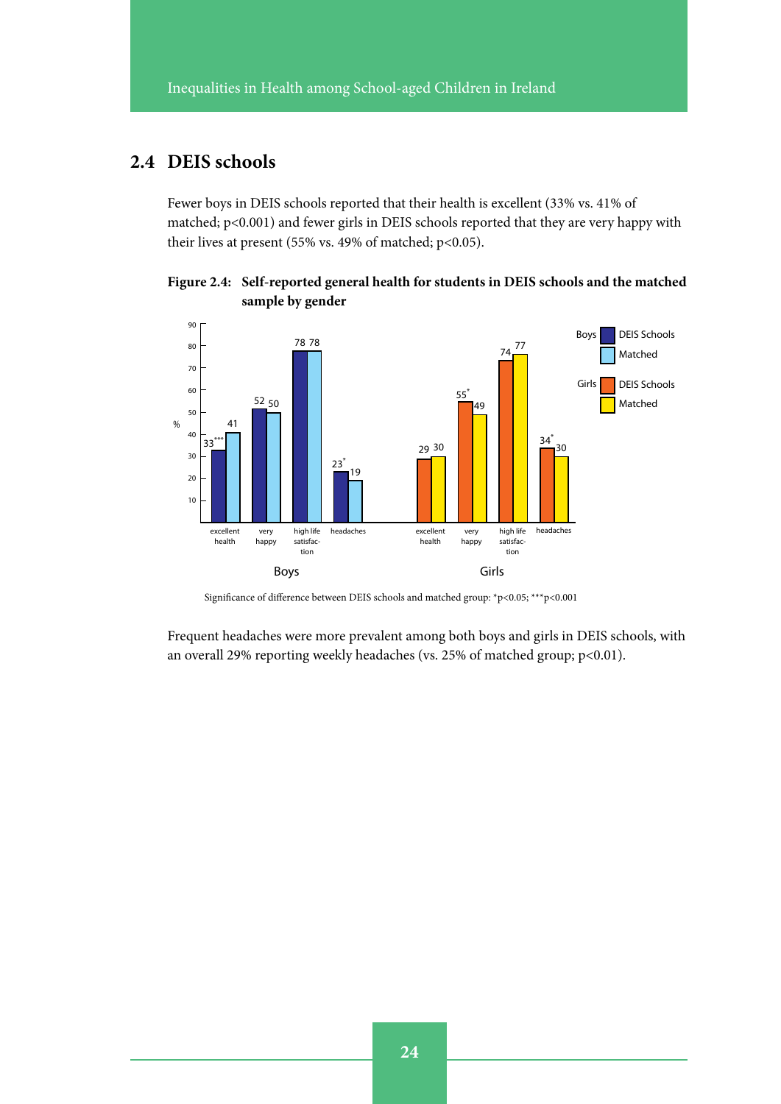## <span id="page-24-0"></span>**2.4 DEIS schools**

Fewer boys in DEIS schools reported that their health is excellent (33% vs. 41% of matched; p<0.001) and fewer girls in DEIS schools reported that they are very happy with their lives at present (55% vs. 49% of matched;  $p<0.05$ ).

**Figure 2.4: Self-reported general health for students in DEIS schools and the matched sample by gender**



Significance of difference between DEIS schools and matched group: \*p<0.05; \*\*\*p<0.001

Frequent headaches were more prevalent among both boys and girls in DEIS schools, with an overall 29% reporting weekly headaches (vs. 25% of matched group;  $p<0.01$ ).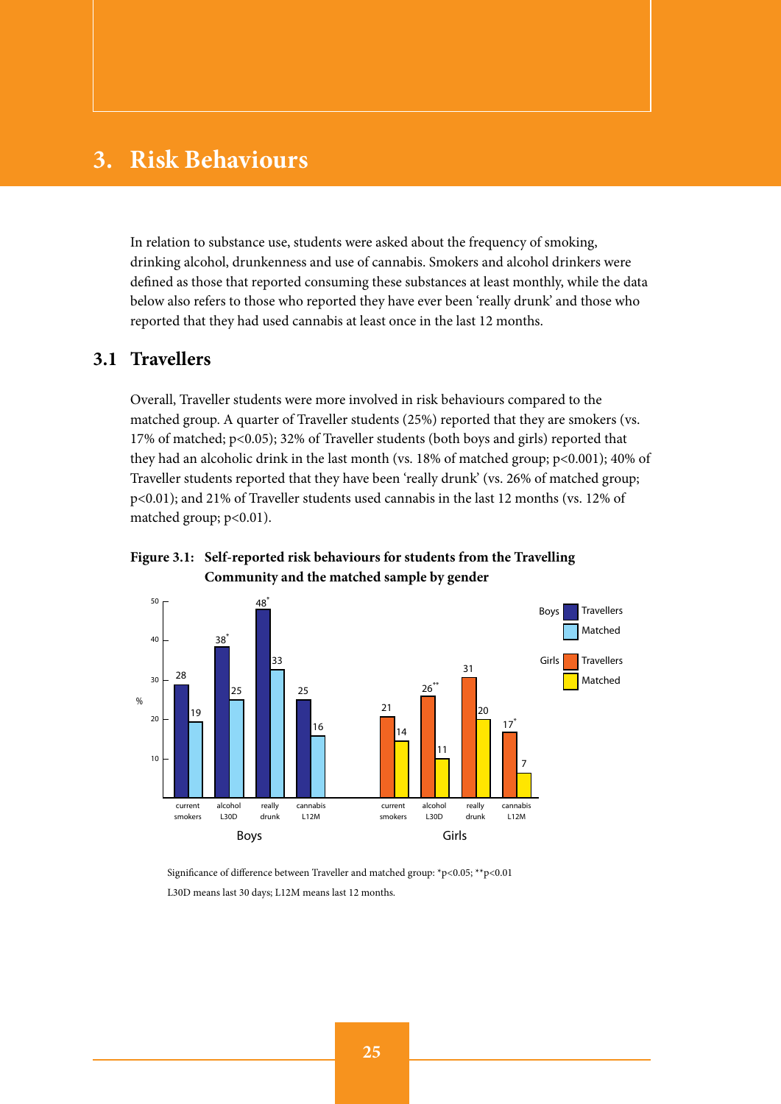# <span id="page-25-0"></span>**3. Risk Behaviours**

In relation to substance use, students were asked about the frequency of smoking, drinking alcohol, drunkenness and use of cannabis. Smokers and alcohol drinkers were defined as those that reported consuming these substances at least monthly, while the data below also refers to those who reported they have ever been 'really drunk' and those who reported that they had used cannabis at least once in the last 12 months.

#### **3.1 Travellers**

Overall, Traveller students were more involved in risk behaviours compared to the matched group. A quarter of Traveller students (25%) reported that they are smokers (vs. 17% of matched; p<0.05); 32% of Traveller students (both boys and girls) reported that they had an alcoholic drink in the last month (vs. 18% of matched group; p<0.001); 40% of Traveller students reported that they have been 'really drunk' (vs. 26% of matched group; p<0.01); and 21% of Traveller students used cannabis in the last 12 months (vs. 12% of matched group;  $p<0.01$ ).

#### **Figure 3.1: Self-reported risk behaviours for students from the Travelling Community and the matched sample by gender**



Significance of difference between Traveller and matched group: \*p<0.05; \*\*p<0.01 L30D means last 30 days; L12M means last 12 months.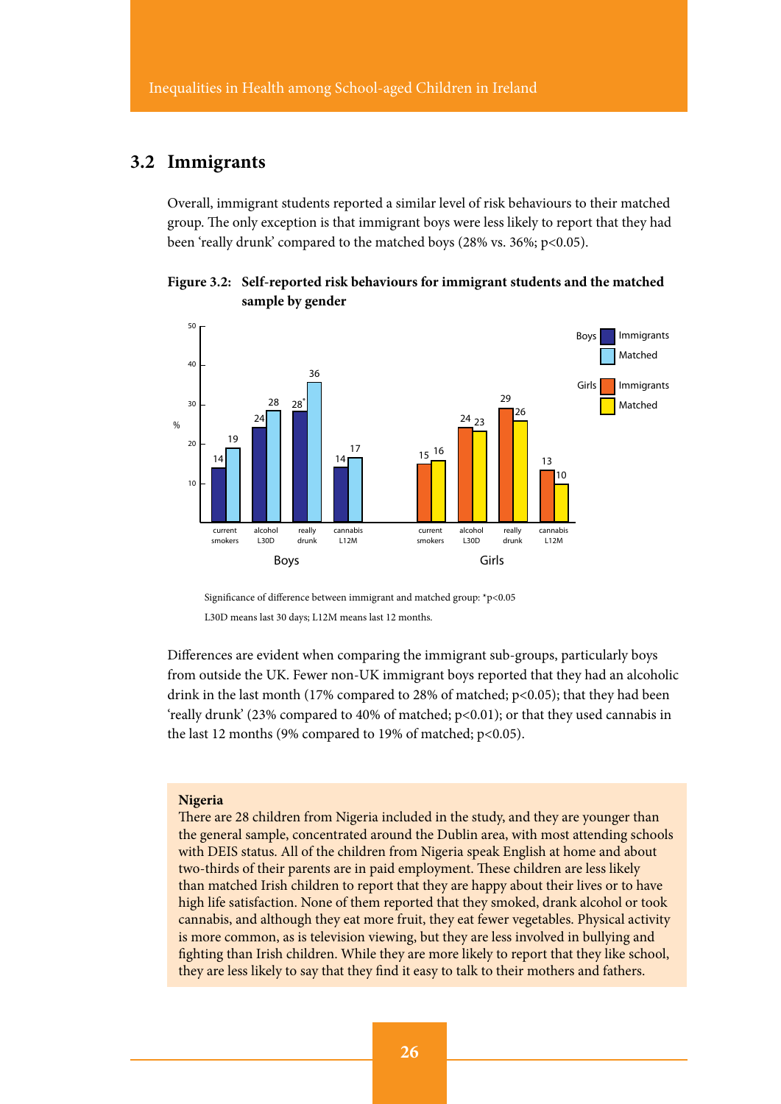#### <span id="page-26-0"></span>**3.2 Immigrants**

Overall, immigrant students reported a similar level of risk behaviours to their matched group. The only exception is that immigrant boys were less likely to report that they had been 'really drunk' compared to the matched boys (28% vs. 36%; p<0.05).

**Figure 3.2: Self-reported risk behaviours for immigrant students and the matched sample by gender**



Significance of difference between immigrant and matched group: \*p<0.05 L30D means last 30 days; L12M means last 12 months.

Differences are evident when comparing the immigrant sub-groups, particularly boys from outside the UK. Fewer non-UK immigrant boys reported that they had an alcoholic drink in the last month (17% compared to 28% of matched; p<0.05); that they had been 'really drunk' (23% compared to 40% of matched; p<0.01); or that they used cannabis in the last 12 months (9% compared to 19% of matched; p<0.05).

#### **Nigeria**

There are 28 children from Nigeria included in the study, and they are younger than the general sample, concentrated around the Dublin area, with most attending schools with DEIS status. All of the children from Nigeria speak English at home and about two-thirds of their parents are in paid employment. These children are less likely than matched Irish children to report that they are happy about their lives or to have high life satisfaction. None of them reported that they smoked, drank alcohol or took cannabis, and although they eat more fruit, they eat fewer vegetables. Physical activity is more common, as is television viewing, but they are less involved in bullying and fighting than Irish children. While they are more likely to report that they like school, they are less likely to say that they find it easy to talk to their mothers and fathers.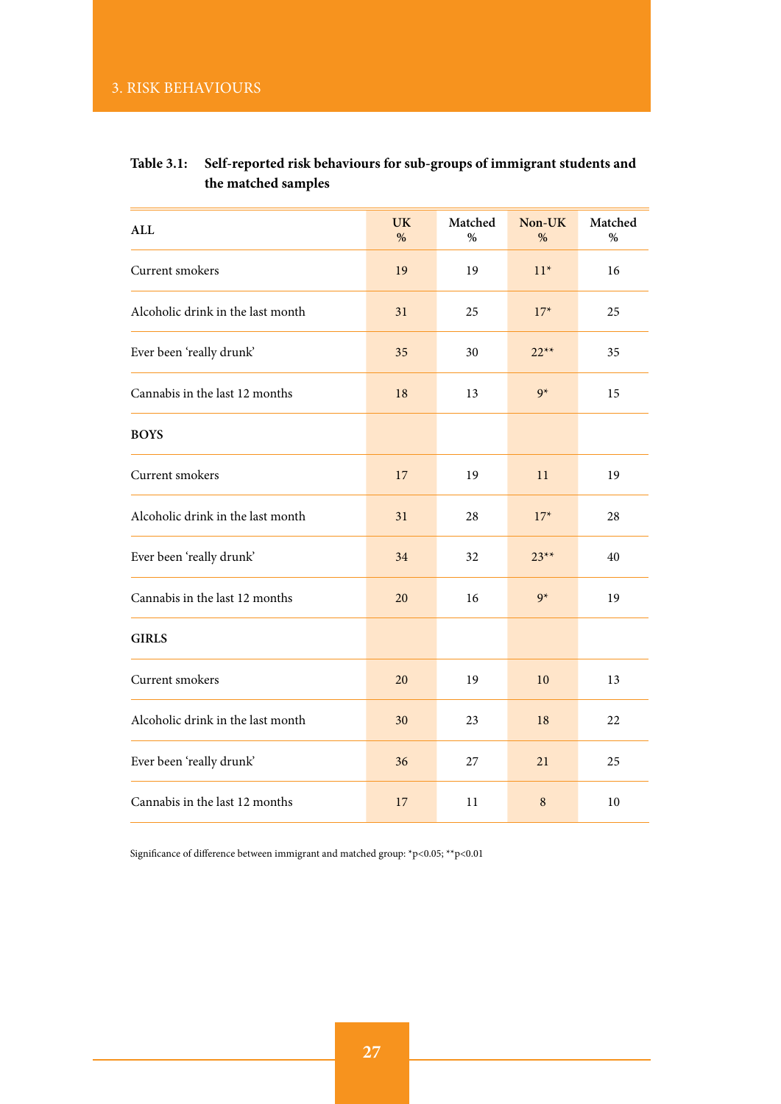| <b>ALL</b>                        | <b>UK</b><br>$\%$ | Matched<br>$\%$ | Non-UK<br>$\%$ | Matched<br>% |
|-----------------------------------|-------------------|-----------------|----------------|--------------|
| Current smokers                   | 19                | 19              | $11*$          | 16           |
| Alcoholic drink in the last month | 31                | 25              | $17*$          | 25           |
| Ever been 'really drunk'          | 35                | 30              | $22**$         | 35           |
| Cannabis in the last 12 months    | 18                | 13              | $9*$           | 15           |
| <b>BOYS</b>                       |                   |                 |                |              |
| Current smokers                   | 17                | 19              | 11             | 19           |
| Alcoholic drink in the last month | 31                | 28              | $17*$          | 28           |
| Ever been 'really drunk'          | 34                | 32              | $23**$         | 40           |
| Cannabis in the last 12 months    | 20                | 16              | $9*$           | 19           |
| <b>GIRLS</b>                      |                   |                 |                |              |
| Current smokers                   | 20                | 19              | 10             | 13           |
| Alcoholic drink in the last month | 30                | 23              | 18             | 22           |
| Ever been 'really drunk'          | 36                | 27              | 21             | 25           |
| Cannabis in the last 12 months    | 17                | 11              | $\bf 8$        | 10           |

## **Table 3.1: Self-reported risk behaviours for sub-groups of immigrant students and the matched samples**

Significance of difference between immigrant and matched group: \*p<0.05; \*\*p<0.01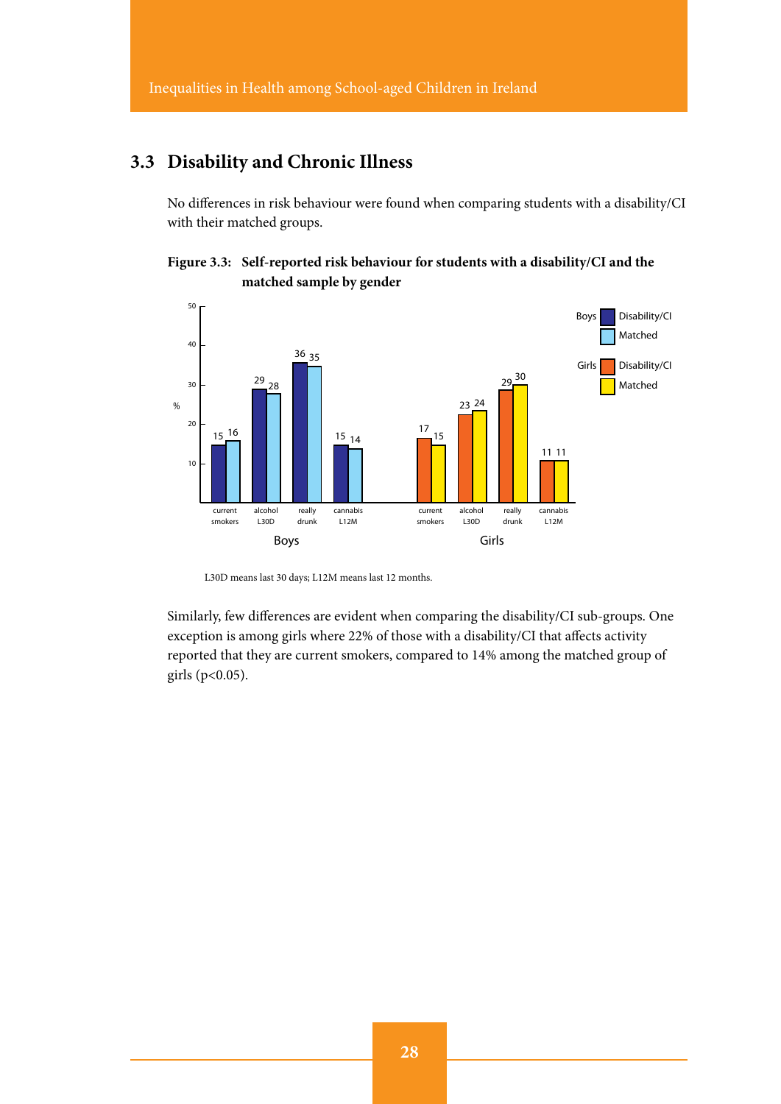# <span id="page-28-0"></span>**3.3 Disability and Chronic Illness**

No differences in risk behaviour were found when comparing students with a disability/CI with their matched groups.





L30D means last 30 days; L12M means last 12 months.

Similarly, few differences are evident when comparing the disability/CI sub-groups. One exception is among girls where 22% of those with a disability/CI that affects activity reported that they are current smokers, compared to 14% among the matched group of girls (p<0.05).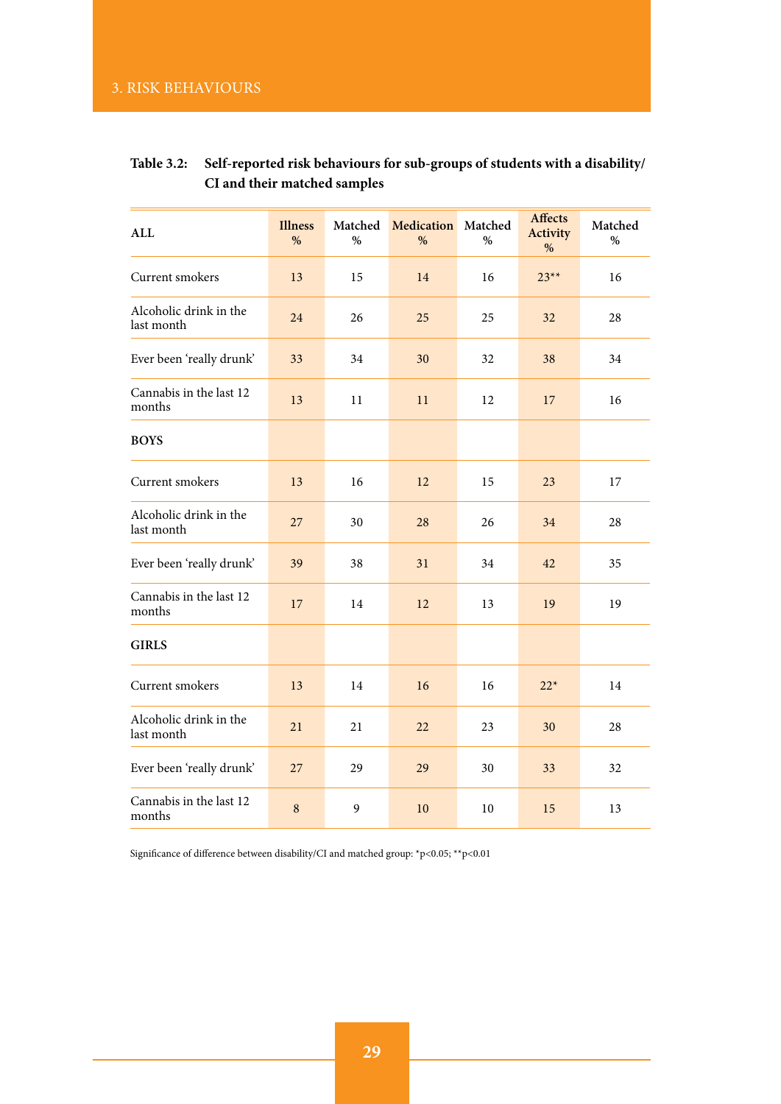| <b>ALL</b>                           | <b>Illness</b><br>% | Matched<br>$\%$ | Medication<br>$\%$ | Matched<br>$\frac{0}{0}$ | Affects<br><b>Activity</b><br>$\%$ | Matched<br>$\%$ |
|--------------------------------------|---------------------|-----------------|--------------------|--------------------------|------------------------------------|-----------------|
| Current smokers                      | 13                  | 15              | 14                 | 16                       | $23**$                             | 16              |
| Alcoholic drink in the<br>last month | 24                  | 26              | 25                 | 25                       | 32                                 | 28              |
| Ever been 'really drunk'             | 33                  | 34              | 30                 | 32                       | 38                                 | 34              |
| Cannabis in the last 12<br>months    | 13                  | 11              | 11                 | 12                       | 17                                 | 16              |
| <b>BOYS</b>                          |                     |                 |                    |                          |                                    |                 |
| Current smokers                      | 13                  | 16              | 12                 | 15                       | 23                                 | 17              |
| Alcoholic drink in the<br>last month | 27                  | 30              | 28                 | 26                       | 34                                 | 28              |
| Ever been 'really drunk'             | 39                  | 38              | 31                 | 34                       | 42                                 | 35              |
| Cannabis in the last 12<br>months    | 17                  | 14              | 12                 | 13                       | 19                                 | 19              |
| <b>GIRLS</b>                         |                     |                 |                    |                          |                                    |                 |
| Current smokers                      | 13                  | 14              | 16                 | 16                       | $22*$                              | 14              |
| Alcoholic drink in the<br>last month | 21                  | 21              | 22                 | 23                       | 30                                 | 28              |
| Ever been 'really drunk'             | 27                  | 29              | 29                 | 30                       | 33                                 | 32              |
| Cannabis in the last 12<br>months    | 8                   | 9               | 10                 | 10                       | 15                                 | 13              |

## **Table 3.2: Self-reported risk behaviours for sub-groups of students with a disability/ CI and their matched samples**

Significance of difference between disability/CI and matched group: \*p<0.05; \*\*p<0.01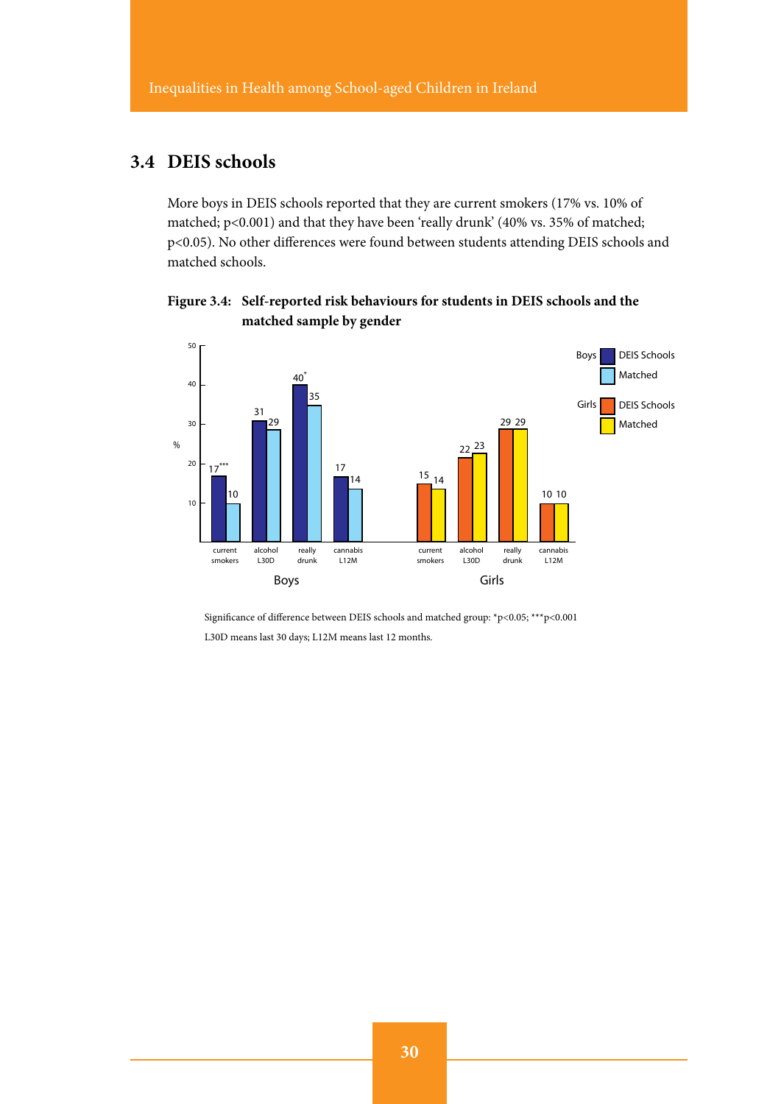# <span id="page-30-0"></span>**3.4 DEIS schools**

More boys in DEIS schools reported that they are current smokers (17% vs. 10% of matched; p<0.001) and that they have been 'really drunk' (40% vs. 35% of matched; p<0.05). No other differences were found between students attending DEIS schools and matched schools.

**Figure 3.4: Self-reported risk behaviours for students in DEIS schools and the matched sample by gender**



Significance of difference between DEIS schools and matched group: \*p<0.05; \*\*\*p<0.001 L30D means last 30 days; L12M means last 12 months.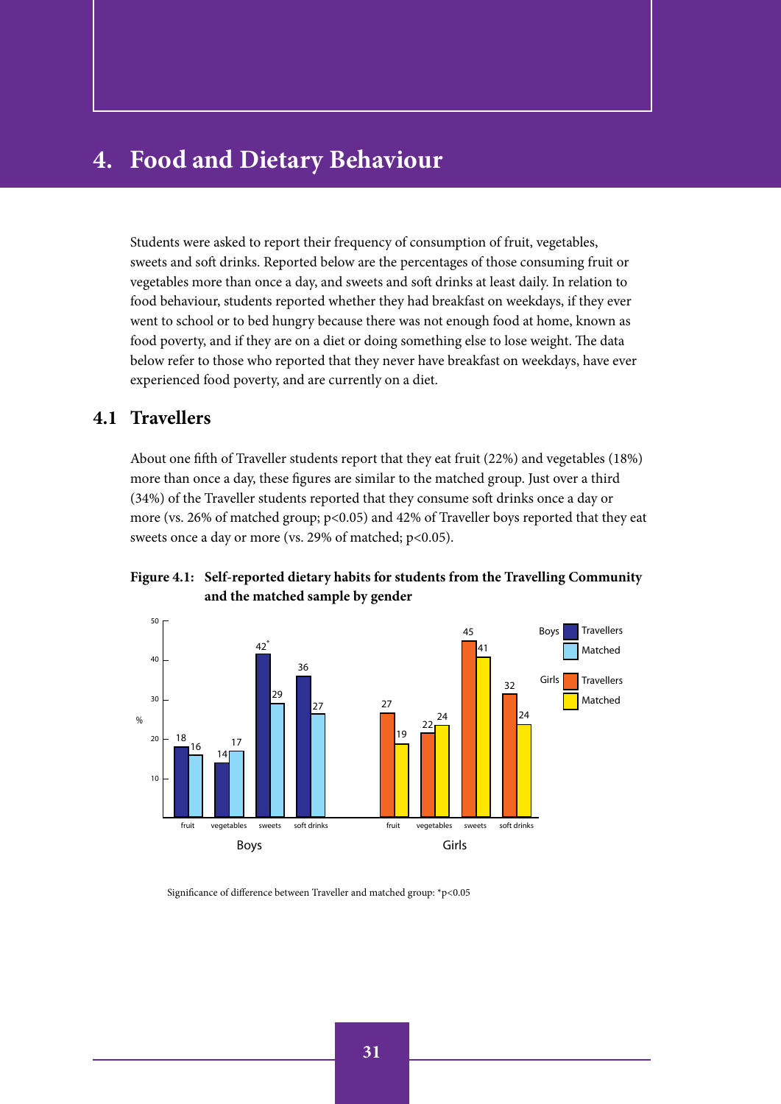# <span id="page-31-0"></span>**4. Food and Dietary Behaviour**

Students were asked to report their frequency of consumption of fruit, vegetables, sweets and soft drinks. Reported below are the percentages of those consuming fruit or vegetables more than once a day, and sweets and soft drinks at least daily. In relation to food behaviour, students reported whether they had breakfast on weekdays, if they ever went to school or to bed hungry because there was not enough food at home, known as food poverty, and if they are on a diet or doing something else to lose weight. The data below refer to those who reported that they never have breakfast on weekdays, have ever experienced food poverty, and are currently on a diet.

## **4.1 Travellers**

About one fifth of Traveller students report that they eat fruit (22%) and vegetables (18%) more than once a day, these figures are similar to the matched group. Just over a third (34%) of the Traveller students reported that they consume soft drinks once a day or more (vs. 26% of matched group;  $p$ <0.05) and 42% of Traveller boys reported that they eat sweets once a day or more (vs. 29% of matched; p<0.05).

#### **Figure 4.1: Self-reported dietary habits for students from the Travelling Community and the matched sample by gender**



Significance of difference between Traveller and matched group: \*p<0.05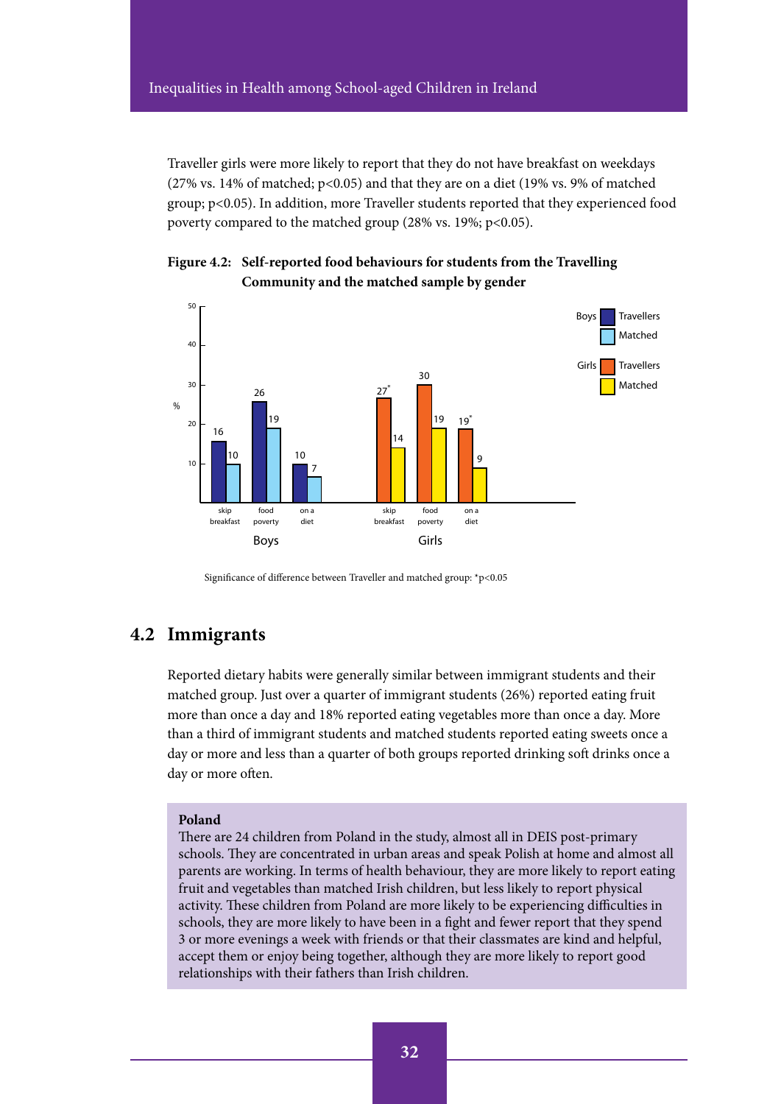<span id="page-32-0"></span>Traveller girls were more likely to report that they do not have breakfast on weekdays  $(27\% \text{ vs. } 14\% \text{ of matched: } p < 0.05)$  and that they are on a diet (19% vs. 9% of matched group; p<0.05). In addition, more Traveller students reported that they experienced food poverty compared to the matched group (28% vs. 19%; p<0.05).





Significance of difference between Traveller and matched group: \*p<0.05

#### **4.2 Immigrants**

Reported dietary habits were generally similar between immigrant students and their matched group. Just over a quarter of immigrant students (26%) reported eating fruit more than once a day and 18% reported eating vegetables more than once a day. More than a third of immigrant students and matched students reported eating sweets once a day or more and less than a quarter of both groups reported drinking soft drinks once a day or more often.

#### **Poland**

There are 24 children from Poland in the study, almost all in DEIS post-primary schools. They are concentrated in urban areas and speak Polish at home and almost all parents are working. In terms of health behaviour, they are more likely to report eating fruit and vegetables than matched Irish children, but less likely to report physical activity. These children from Poland are more likely to be experiencing difficulties in schools, they are more likely to have been in a fight and fewer report that they spend 3 or more evenings a week with friends or that their classmates are kind and helpful, accept them or enjoy being together, although they are more likely to report good relationships with their fathers than Irish children.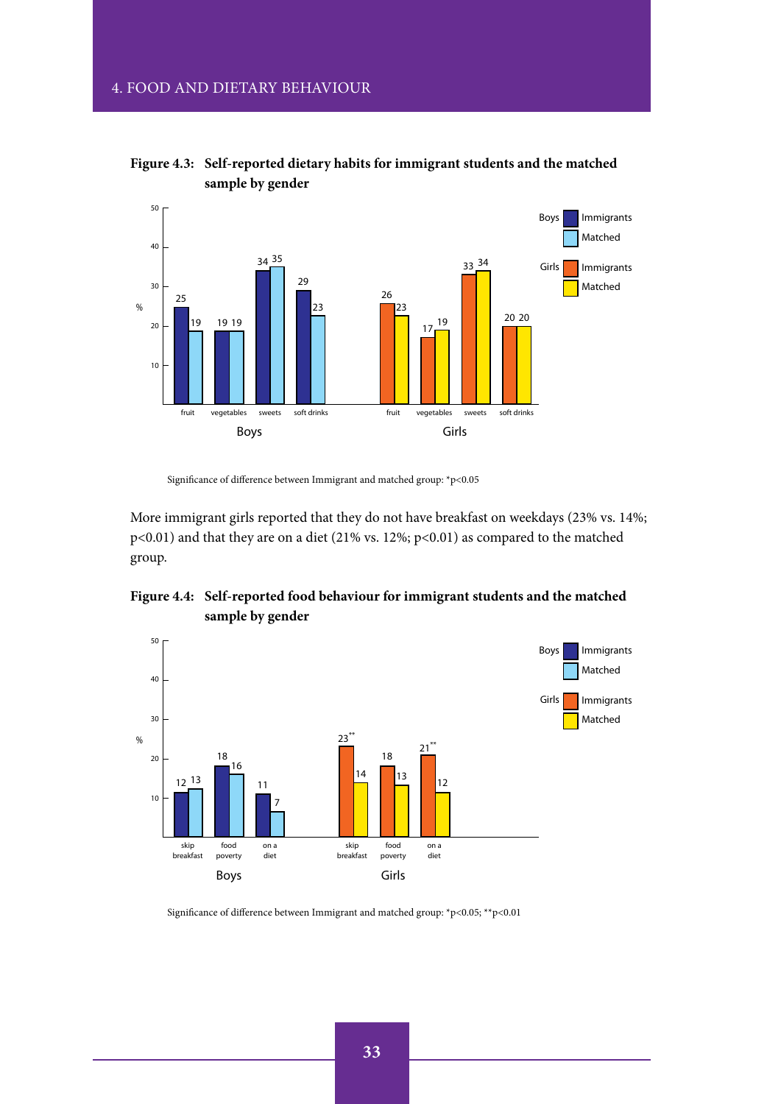

**Figure 4.3: Self-reported dietary habits for immigrant students and the matched sample by gender**

Significance of difference between Immigrant and matched group: \*p<0.05

More immigrant girls reported that they do not have breakfast on weekdays (23% vs. 14%; p<0.01) and that they are on a diet (21% vs. 12%; p<0.01) as compared to the matched group.





Significance of difference between Immigrant and matched group: \*p<0.05; \*\*p<0.01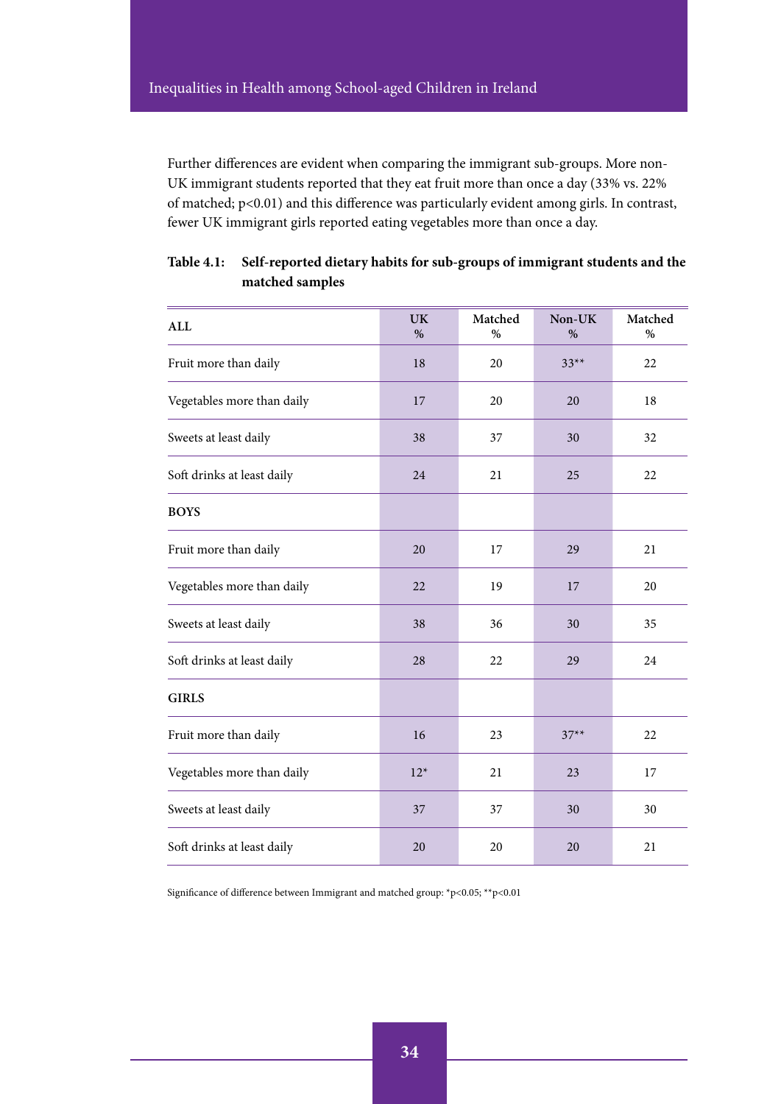Further differences are evident when comparing the immigrant sub-groups. More non-UK immigrant students reported that they eat fruit more than once a day (33% vs. 22% of matched; p<0.01) and this difference was particularly evident among girls. In contrast, fewer UK immigrant girls reported eating vegetables more than once a day.

| <b>ALL</b>                 | <b>UK</b><br>% | Matched<br>% | Non-UK<br>$\%$ | Matched<br>$\%$ |
|----------------------------|----------------|--------------|----------------|-----------------|
| Fruit more than daily      | 18             | 20           | $33**$         | 22              |
| Vegetables more than daily | 17             | 20           | 20             | 18              |
| Sweets at least daily      | 38             | 37           | 30             | 32              |
| Soft drinks at least daily | 24             | 21           | 25             | 22              |
| <b>BOYS</b>                |                |              |                |                 |
| Fruit more than daily      | 20             | 17           | 29             | 21              |
| Vegetables more than daily | 22             | 19           | 17             | 20              |
| Sweets at least daily      | 38             | 36           | 30             | 35              |
| Soft drinks at least daily | 28             | 22           | 29             | 24              |
| <b>GIRLS</b>               |                |              |                |                 |
| Fruit more than daily      | 16             | 23           | $37**$         | 22              |
| Vegetables more than daily | $12*$          | 21           | 23             | 17              |
| Sweets at least daily      | 37             | 37           | 30             | 30              |
| Soft drinks at least daily | 20             | 20           | 20             | 21              |

#### **Table 4.1: Self-reported dietary habits for sub-groups of immigrant students and the matched samples**

Significance of difference between Immigrant and matched group: \*p<0.05; \*\*p<0.01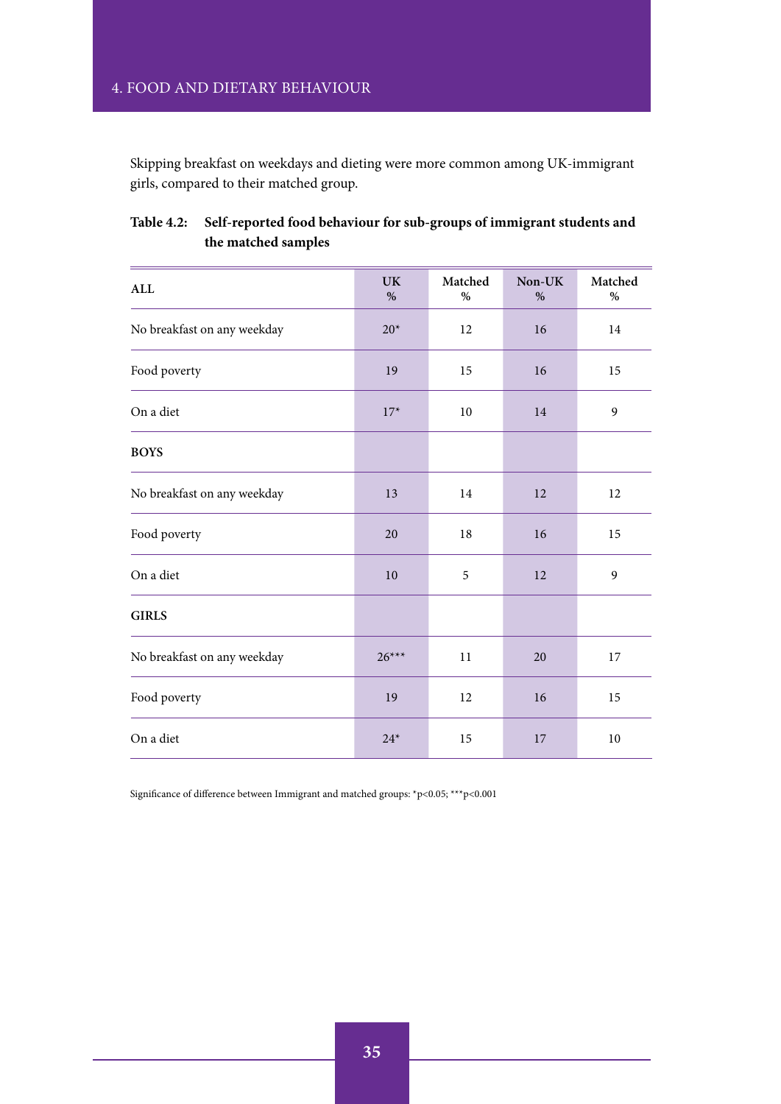Skipping breakfast on weekdays and dieting were more common among UK-immigrant girls, compared to their matched group.

| <b>ALL</b>                  | <b>UK</b><br>% | Matched<br>%  | Non-UK<br>% | Matched<br>% |
|-----------------------------|----------------|---------------|-------------|--------------|
| No breakfast on any weekday | $20*$          | 12            | 16          | 14           |
| Food poverty                | 19             | 15            | 16          | 15           |
| On a diet                   | $17*$          | 10            | 14          | 9            |
| <b>BOYS</b>                 |                |               |             |              |
| No breakfast on any weekday | 13<br>14       |               | 12          | $12\,$       |
| Food poverty                | 20             | 18            | 16          | 15           |
| On a diet                   | 10             | $\mathfrak s$ | 12          | 9            |
| <b>GIRLS</b>                |                |               |             |              |
| No breakfast on any weekday | $26***$        | 11            | 20          | 17           |
| Food poverty                | 19             | 12            | 16          | 15           |
| On a diet                   | $24*$          | 15            | 17          | 10           |

## **Table 4.2: Self-reported food behaviour for sub-groups of immigrant students and the matched samples**

Significance of difference between Immigrant and matched groups: \*p<0.05; \*\*\*p<0.001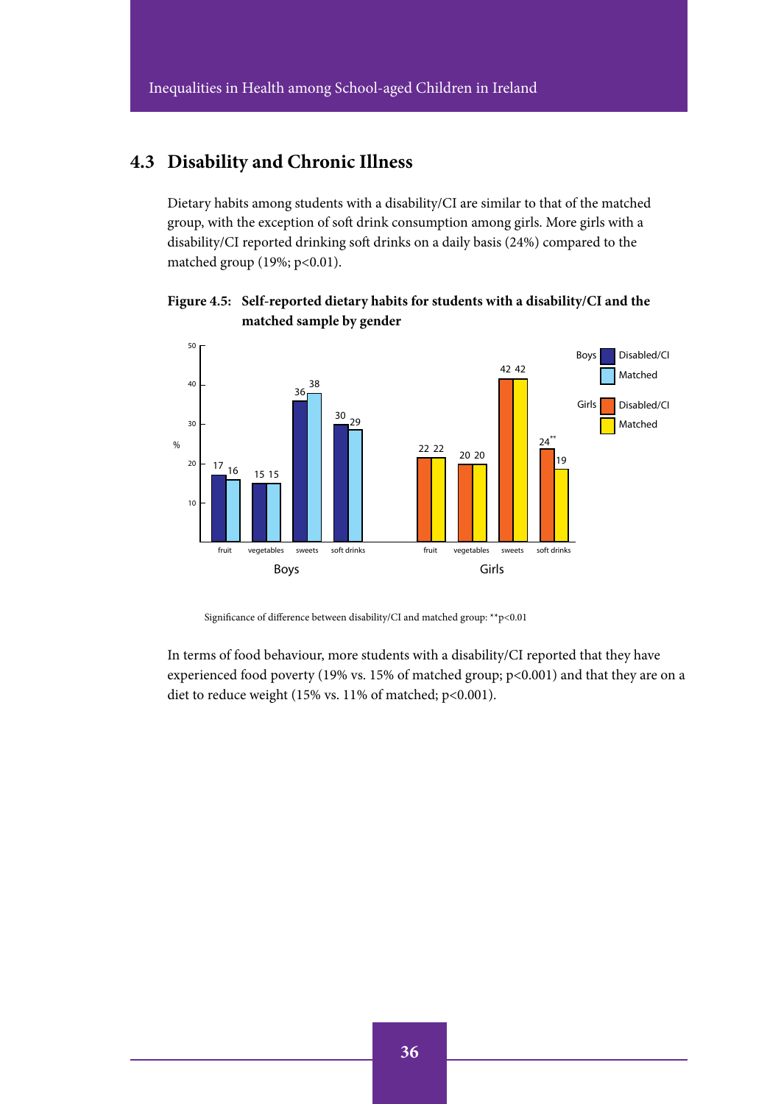# <span id="page-36-0"></span>**4.3 Disability and Chronic Illness**

Dietary habits among students with a disability/CI are similar to that of the matched group, with the exception of soft drink consumption among girls. More girls with a disability/CI reported drinking soft drinks on a daily basis (24%) compared to the matched group (19%; p<0.01).

**Figure 4.5: Self-reported dietary habits for students with a disability/CI and the matched sample by gender**



Significance of difference between disability/CI and matched group: \*\*p<0.01

In terms of food behaviour, more students with a disability/CI reported that they have experienced food poverty (19% vs. 15% of matched group; p<0.001) and that they are on a diet to reduce weight (15% vs. 11% of matched; p<0.001).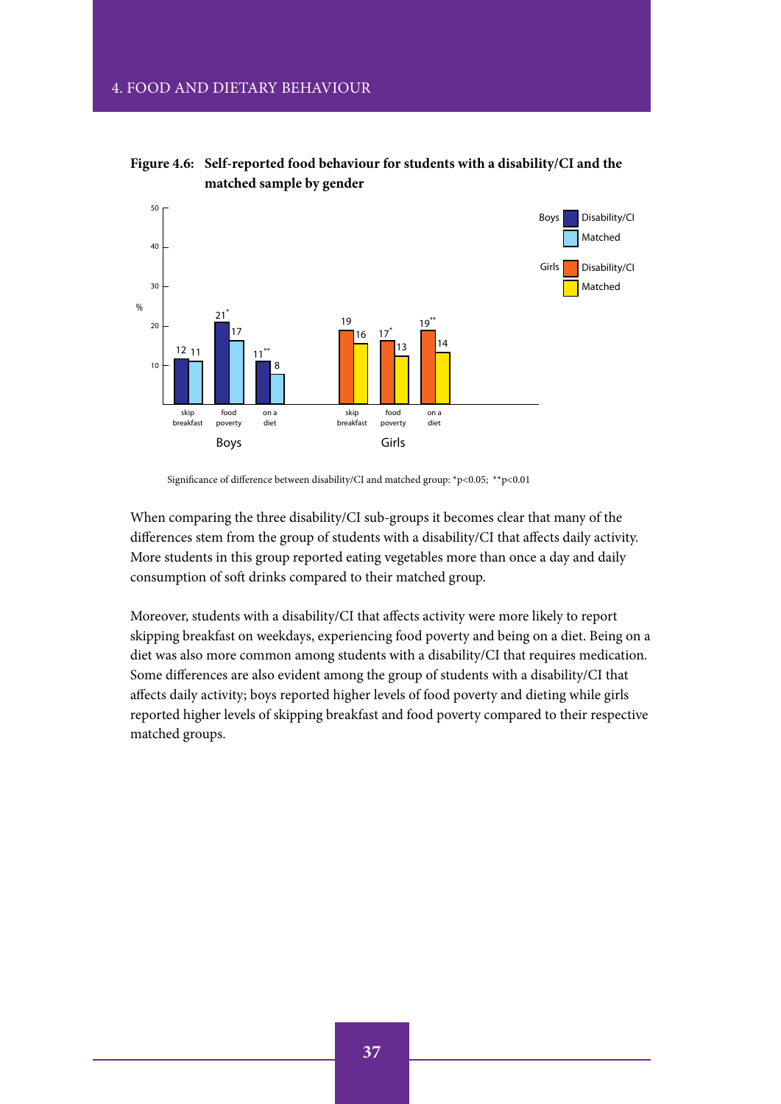

**Figure 4.6: Self-reported food behaviour for students with a disability/CI and the matched sample by gender**

Significance of difference between disability/CI and matched group: \*p<0.05; \*\*p<0.01

When comparing the three disability/CI sub-groups it becomes clear that many of the differences stem from the group of students with a disability/CI that affects daily activity. More students in this group reported eating vegetables more than once a day and daily consumption of soft drinks compared to their matched group.

Moreover, students with a disability/CI that affects activity were more likely to report skipping breakfast on weekdays, experiencing food poverty and being on a diet. Being on a diet was also more common among students with a disability/CI that requires medication. Some differences are also evident among the group of students with a disability/CI that affects daily activity; boys reported higher levels of food poverty and dieting while girls reported higher levels of skipping breakfast and food poverty compared to their respective matched groups.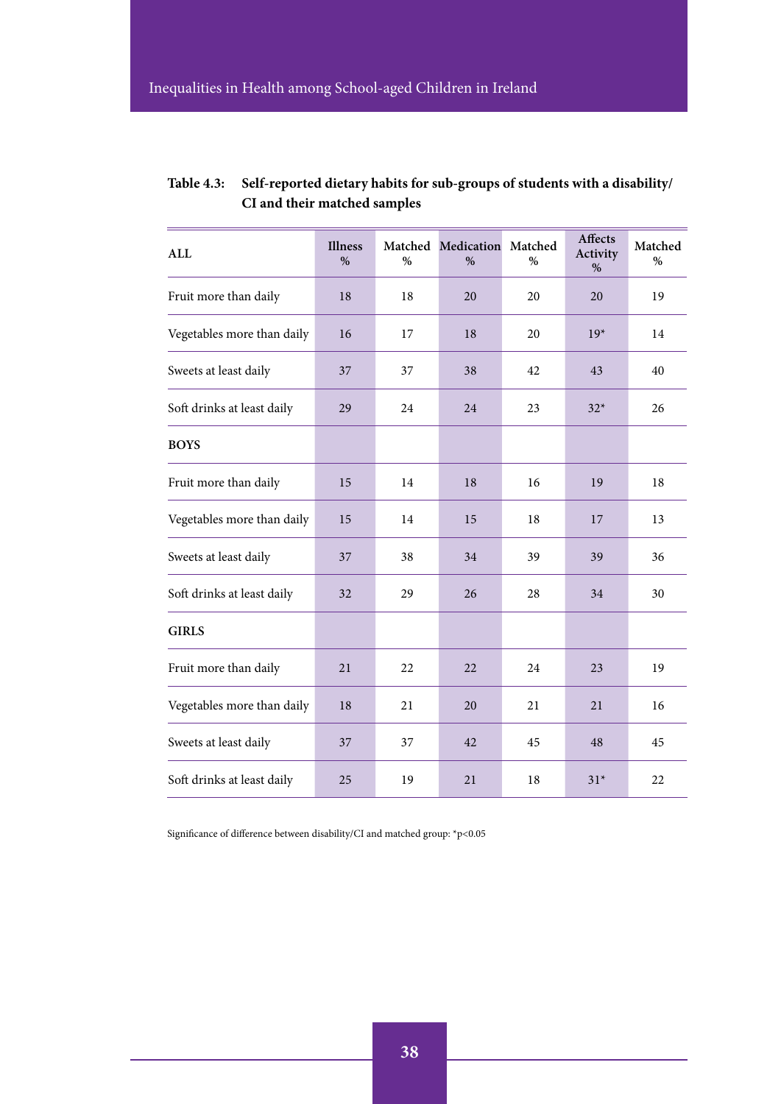| <b>ALL</b>                 | Illness<br>$\%$ | $\%$ | Matched Medication Matched<br>$\%$ | $\%$ | Affects<br>Activity<br>% | Matched<br>% |
|----------------------------|-----------------|------|------------------------------------|------|--------------------------|--------------|
| Fruit more than daily      | 18              | 18   | 20                                 | 20   | 20                       | 19           |
| Vegetables more than daily | 16              | 17   | 18                                 | 20   | $19*$                    | 14           |
| Sweets at least daily      | 37              | 37   | 38                                 | 42   | 43                       | 40           |
| Soft drinks at least daily | 29              | 24   | 24                                 | 23   | $32*$                    | 26           |
| <b>BOYS</b>                |                 |      |                                    |      |                          |              |
| Fruit more than daily      | 15              | 14   | 18                                 | 16   | 19                       | 18           |
| Vegetables more than daily | 15              | 14   | 15                                 | 18   | 17                       | 13           |
| Sweets at least daily      | 37              | 38   | 34                                 | 39   | 39                       | 36           |
| Soft drinks at least daily | 32              | 29   | 26                                 | 28   | 34                       | 30           |
| <b>GIRLS</b>               |                 |      |                                    |      |                          |              |
| Fruit more than daily      | 21              | 22   | 22                                 | 24   | 23                       | 19           |
| Vegetables more than daily | 18              | 21   | 20                                 | 21   | 21                       | 16           |
| Sweets at least daily      | 37              | 37   | 42                                 | 45   | 48                       | 45           |
| Soft drinks at least daily | 25              | 19   | 21                                 | 18   | $31*$                    | 22           |

## **Table 4.3: Self-reported dietary habits for sub-groups of students with a disability/ CI and their matched samples**

Significance of difference between disability/CI and matched group: \*p<0.05  $\,$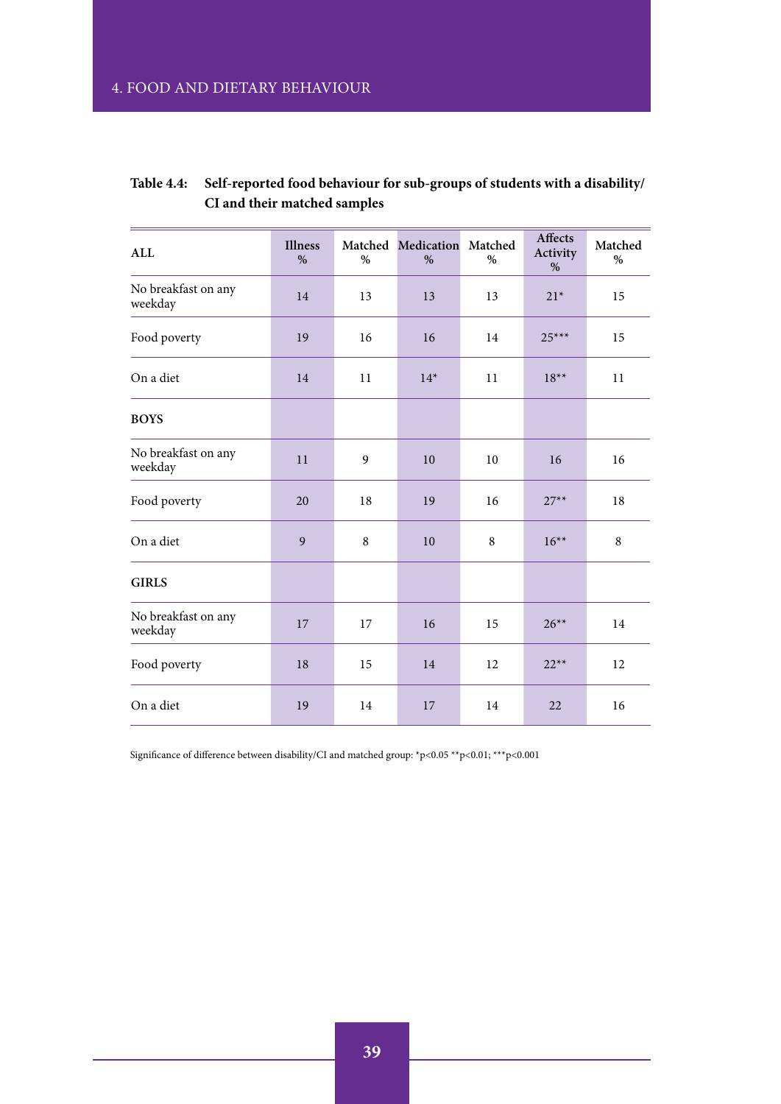| <b>ALL</b>                     | Illness<br>% | $\%$ | Matched Medication Matched<br>$\%$ | $\%$ | <b>Affects</b><br>Activity<br>$\%$ | Matched<br>$\%$ |
|--------------------------------|--------------|------|------------------------------------|------|------------------------------------|-----------------|
| No breakfast on any<br>weekday | 14           | 13   | 13                                 | 13   | $21*$                              | 15              |
| Food poverty                   | 19           | 16   | 16                                 | 14   | $25***$                            | 15              |
| On a diet                      | 14           | 11   | $14*$                              | 11   | $18***$                            | 11              |
| <b>BOYS</b>                    |              |      |                                    |      |                                    |                 |
| No breakfast on any<br>weekday | 11           | 9    | 10                                 | 10   | 16                                 | 16              |
| Food poverty                   | 20           | 18   | 19                                 | 16   | $27**$                             | 18              |
| On a diet                      | 9            | 8    | 10                                 | 8    | $16***$                            | 8               |
| <b>GIRLS</b>                   |              |      |                                    |      |                                    |                 |
| No breakfast on any<br>weekday | 17           | 17   | 16                                 | 15   | $26***$                            | 14              |
| Food poverty                   | 18           | 15   | 14                                 | 12   | $22**$                             | 12              |
| On a diet                      | 19           | 14   | 17                                 | 14   | 22                                 | 16              |

# **Table 4.4: Self-reported food behaviour for sub-groups of students with a disability/ CI and their matched samples**

Significance of difference between disability/CI and matched group: \*p<0.05 \*\*p<0.01; \*\*\*p<0.001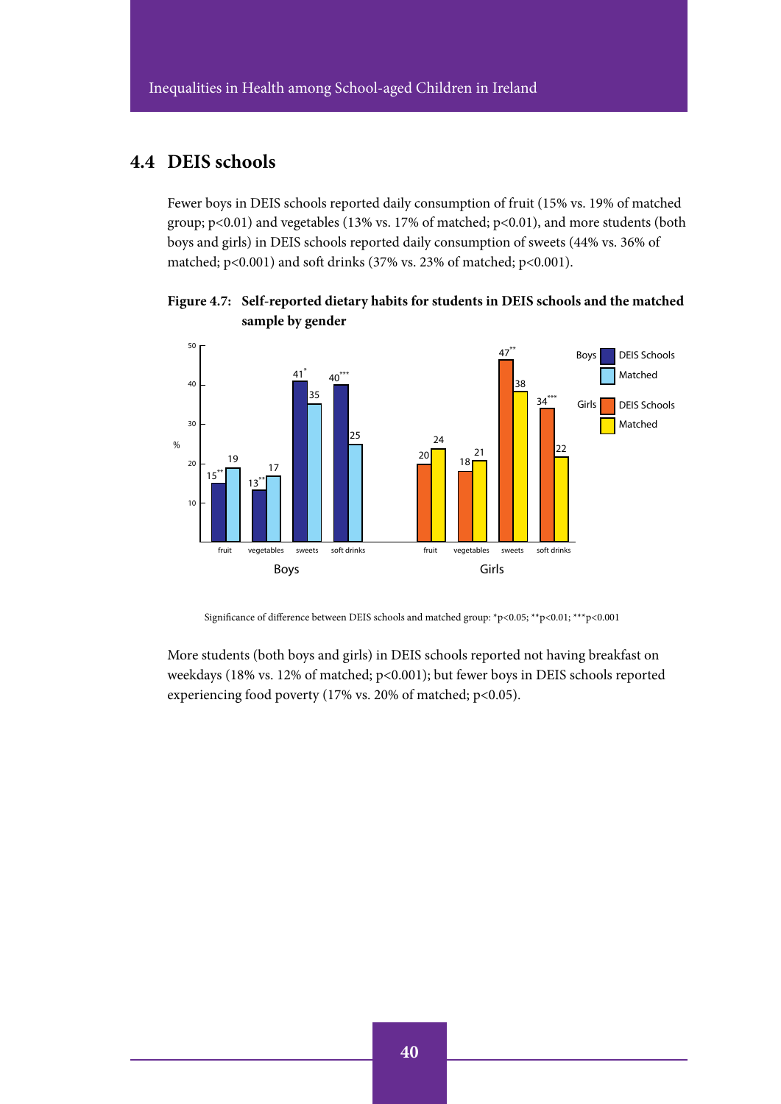## <span id="page-40-0"></span>**4.4 DEIS schools**

Fewer boys in DEIS schools reported daily consumption of fruit (15% vs. 19% of matched group;  $p<0.01$ ) and vegetables (13% vs. 17% of matched;  $p<0.01$ ), and more students (both boys and girls) in DEIS schools reported daily consumption of sweets (44% vs. 36% of matched; p<0.001) and soft drinks (37% vs. 23% of matched; p<0.001).

**Figure 4.7: Self-reported dietary habits for students in DEIS schools and the matched sample by gender**



Significance of difference between DEIS schools and matched group: \*p<0.05; \*\*p<0.01; \*\*\*p<0.001

More students (both boys and girls) in DEIS schools reported not having breakfast on weekdays (18% vs. 12% of matched; p<0.001); but fewer boys in DEIS schools reported experiencing food poverty (17% vs. 20% of matched; p<0.05).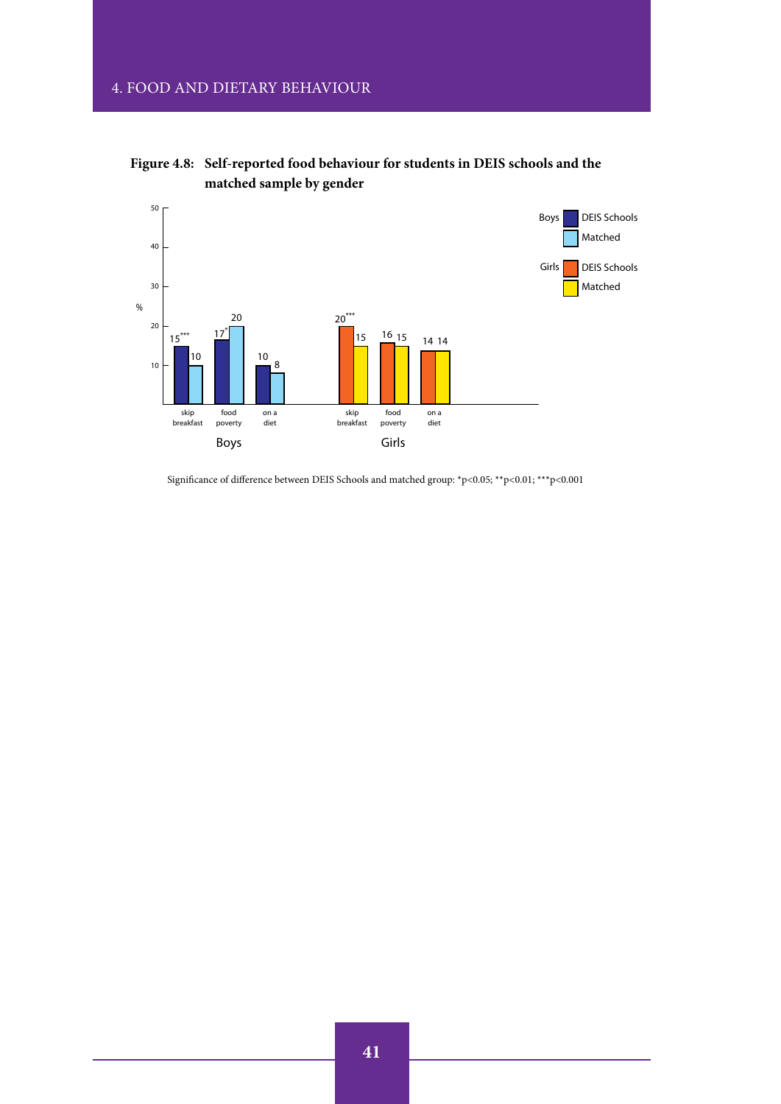

**Figure 4.8: Self-reported food behaviour for students in DEIS schools and the matched sample by gender**

Significance of difference between DEIS Schools and matched group: \*p<0.05; \*\*p<0.01; \*\*\*p<0.001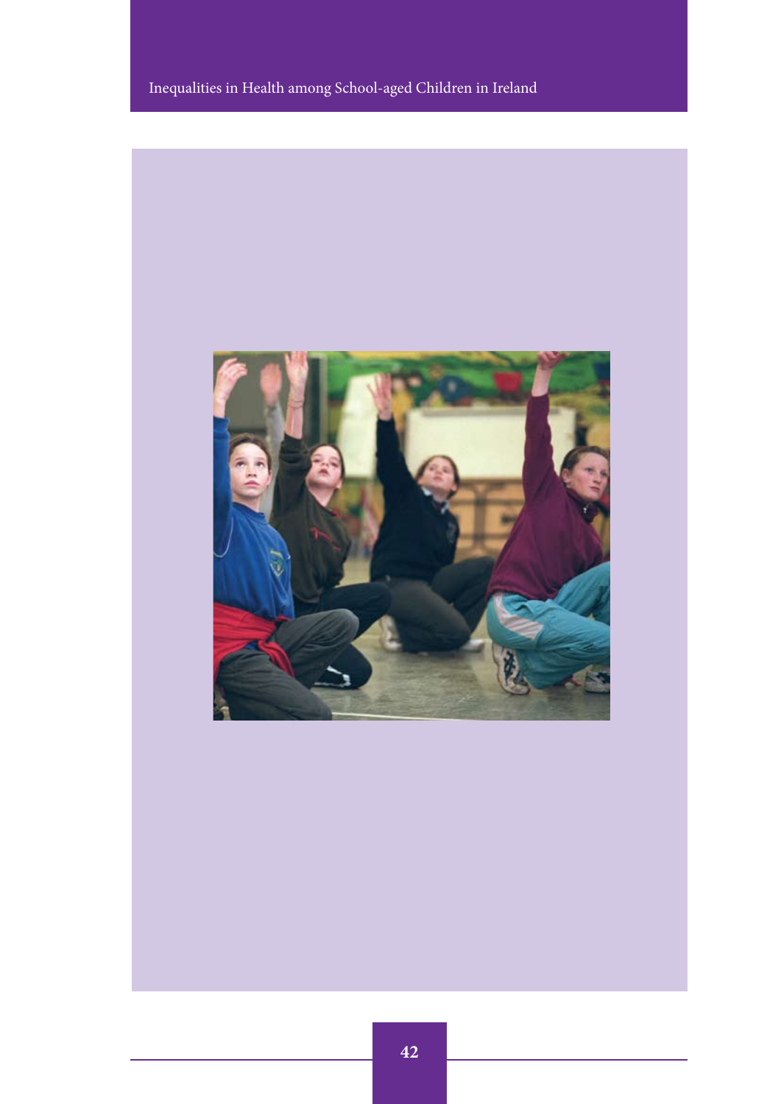# Inequalities in Health among School-aged Children in Ireland

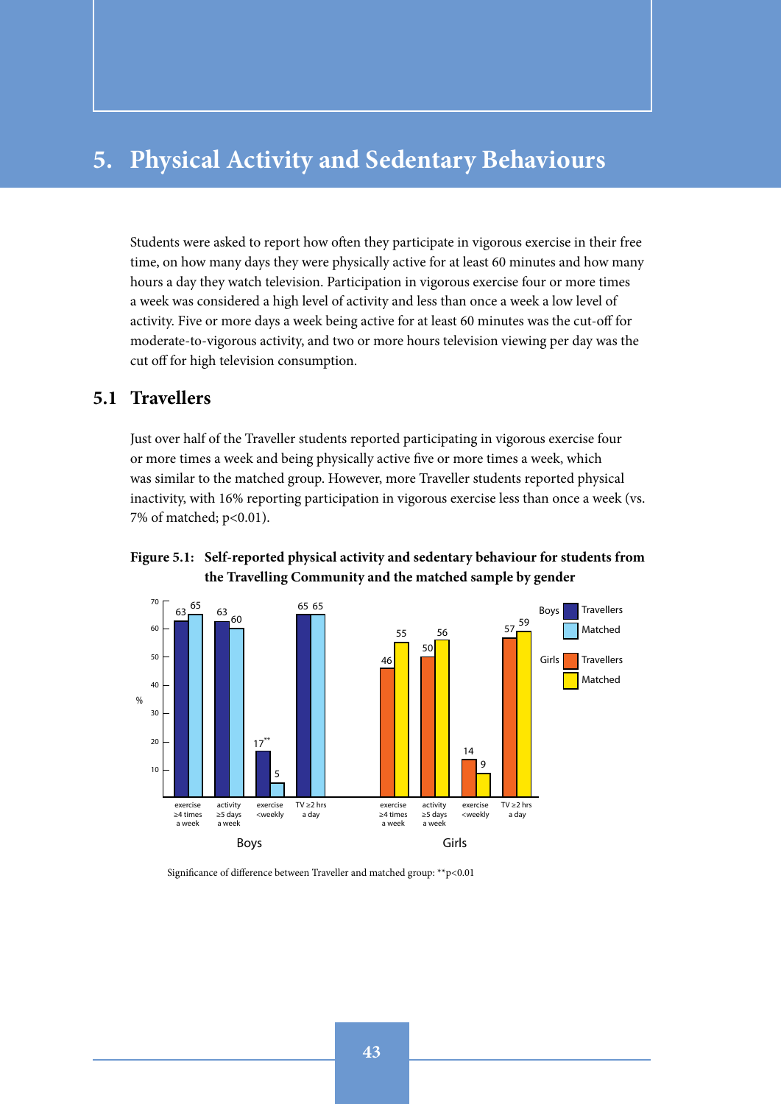# <span id="page-43-0"></span>**5. Physical Activity and Sedentary Behaviours**

Students were asked to report how often they participate in vigorous exercise in their free time, on how many days they were physically active for at least 60 minutes and how many hours a day they watch television. Participation in vigorous exercise four or more times a week was considered a high level of activity and less than once a week a low level of activity. Five or more days a week being active for at least 60 minutes was the cut-off for moderate-to-vigorous activity, and two or more hours television viewing per day was the cut off for high television consumption.

### **5.1 Travellers**

Just over half of the Traveller students reported participating in vigorous exercise four or more times a week and being physically active five or more times a week, which was similar to the matched group. However, more Traveller students reported physical inactivity, with 16% reporting participation in vigorous exercise less than once a week (vs. 7% of matched; p<0.01).

#### **Figure 5.1: Self-reported physical activity and sedentary behaviour for students from the Travelling Community and the matched sample by gender**



Significance of difference between Traveller and matched group: \*\*p<0.01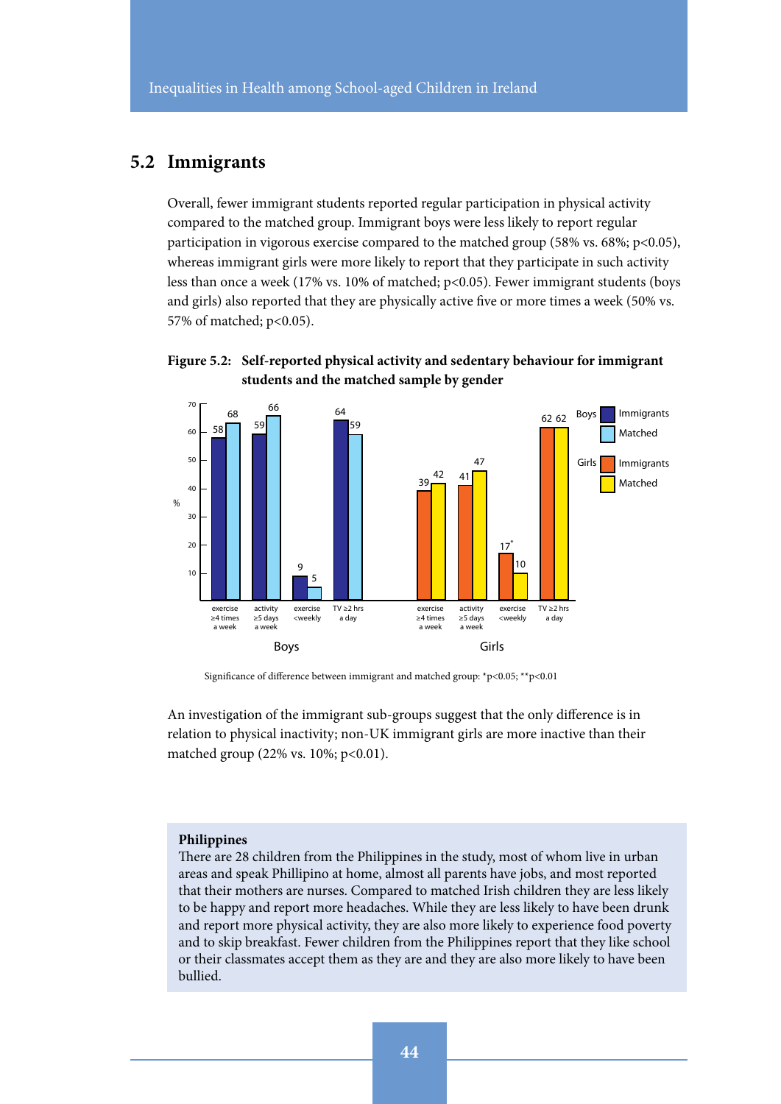#### <span id="page-44-0"></span>**5.2 Immigrants**

Overall, fewer immigrant students reported regular participation in physical activity compared to the matched group. Immigrant boys were less likely to report regular participation in vigorous exercise compared to the matched group (58% vs. 68%; p<0.05), whereas immigrant girls were more likely to report that they participate in such activity less than once a week (17% vs. 10% of matched; p<0.05). Fewer immigrant students (boys and girls) also reported that they are physically active five or more times a week (50% vs. 57% of matched; p<0.05).





Significance of difference between immigrant and matched group: \*p<0.05; \*\*p<0.01

An investigation of the immigrant sub-groups suggest that the only difference is in relation to physical inactivity; non-UK immigrant girls are more inactive than their matched group (22% vs. 10%; p<0.01).

#### **Philippines**

There are 28 children from the Philippines in the study, most of whom live in urban areas and speak Phillipino at home, almost all parents have jobs, and most reported that their mothers are nurses. Compared to matched Irish children they are less likely to be happy and report more headaches. While they are less likely to have been drunk and report more physical activity, they are also more likely to experience food poverty and to skip breakfast. Fewer children from the Philippines report that they like school or their classmates accept them as they are and they are also more likely to have been bullied.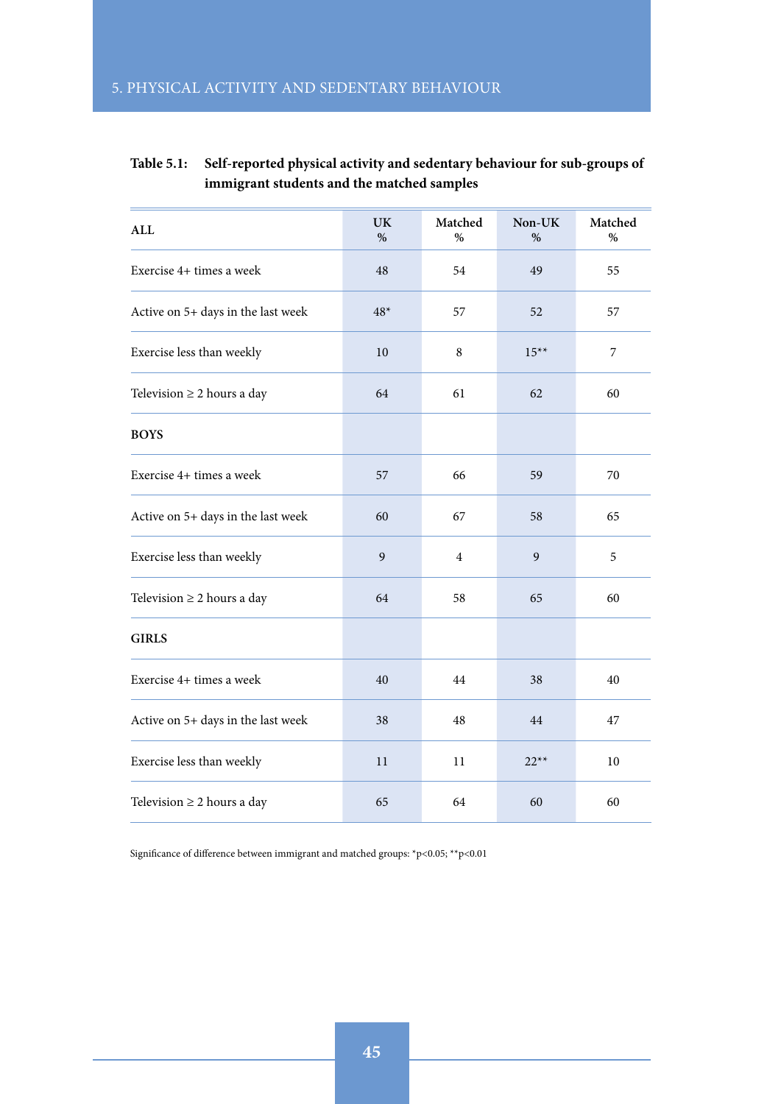| <b>ALL</b>                         | <b>UK</b><br>$\%$ | Matched<br>$\%$ | Non-UK<br>$\%$ | Matched<br>$\%$ |
|------------------------------------|-------------------|-----------------|----------------|-----------------|
| Exercise 4+ times a week           | 48                | 54              | 49             | 55              |
| Active on 5+ days in the last week | $48^{\ast}$       | 57              | 52             | 57              |
| Exercise less than weekly          | 10                | 8               | $15***$        | 7               |
| Television $\geq 2$ hours a day    | 64                | 61              | 62             | 60              |
| <b>BOYS</b>                        |                   |                 |                |                 |
| Exercise 4+ times a week           | 57                | 66              | 59             | 70              |
| Active on 5+ days in the last week | 60                | 67              | 58             | 65              |
| Exercise less than weekly          | 9                 | $\overline{4}$  | 9              | 5               |
| Television $\geq 2$ hours a day    | 64                | 58              | 65             | 60              |
| <b>GIRLS</b>                       |                   |                 |                |                 |
| Exercise 4+ times a week           | 40                | 44              | 38             | 40              |
| Active on 5+ days in the last week | 38                | 48              | 44             | 47              |
| Exercise less than weekly          | 11                | 11              | $22**$         | $10\,$          |
| Television $\geq 2$ hours a day    | 65                | 64              | 60             | 60              |

# **Table 5.1: Self-reported physical activity and sedentary behaviour for sub-groups of immigrant students and the matched samples**

Significance of difference between immigrant and matched groups: \*p<0.05; \*\*p<0.01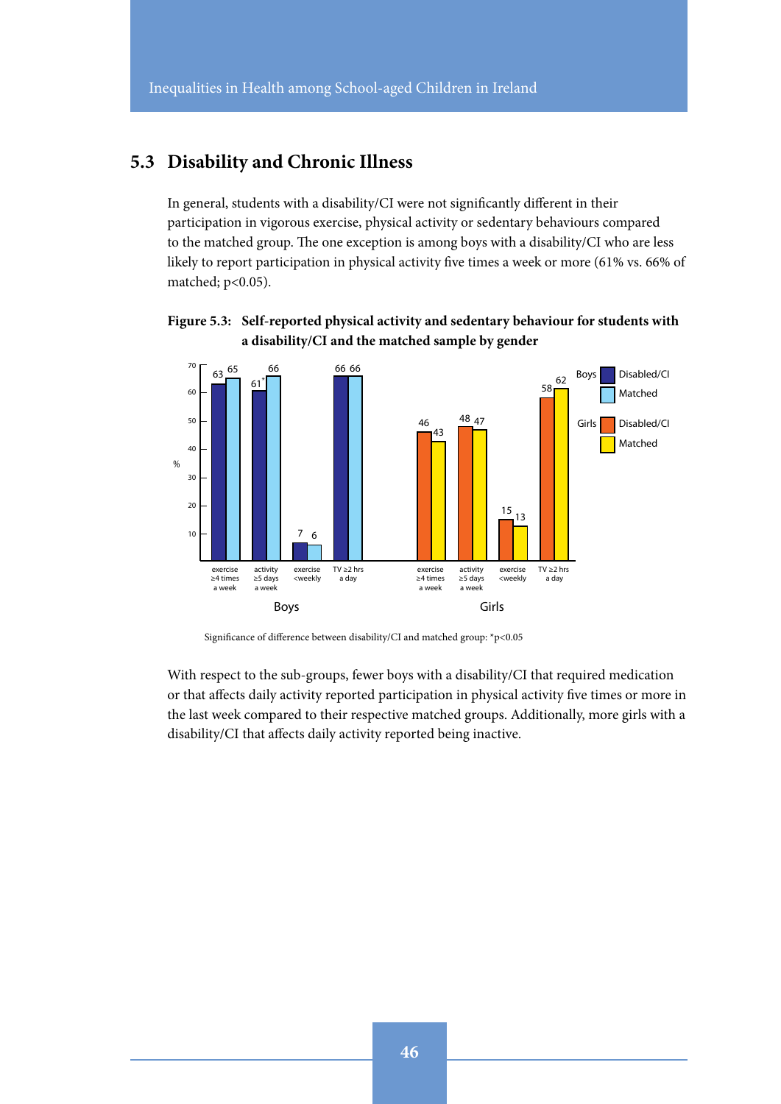# <span id="page-46-0"></span>**5.3 Disability and Chronic Illness**

In general, students with a disability/CI were not significantly different in their participation in vigorous exercise, physical activity or sedentary behaviours compared to the matched group. The one exception is among boys with a disability/CI who are less likely to report participation in physical activity five times a week or more (61% vs. 66% of matched;  $p<0.05$ ).

#### **Figure 5.3: Self-reported physical activity and sedentary behaviour for students with a disability/CI and the matched sample by gender**



Significance of difference between disability/CI and matched group: \*p<0.05

With respect to the sub-groups, fewer boys with a disability/CI that required medication or that affects daily activity reported participation in physical activity five times or more in the last week compared to their respective matched groups. Additionally, more girls with a disability/CI that affects daily activity reported being inactive.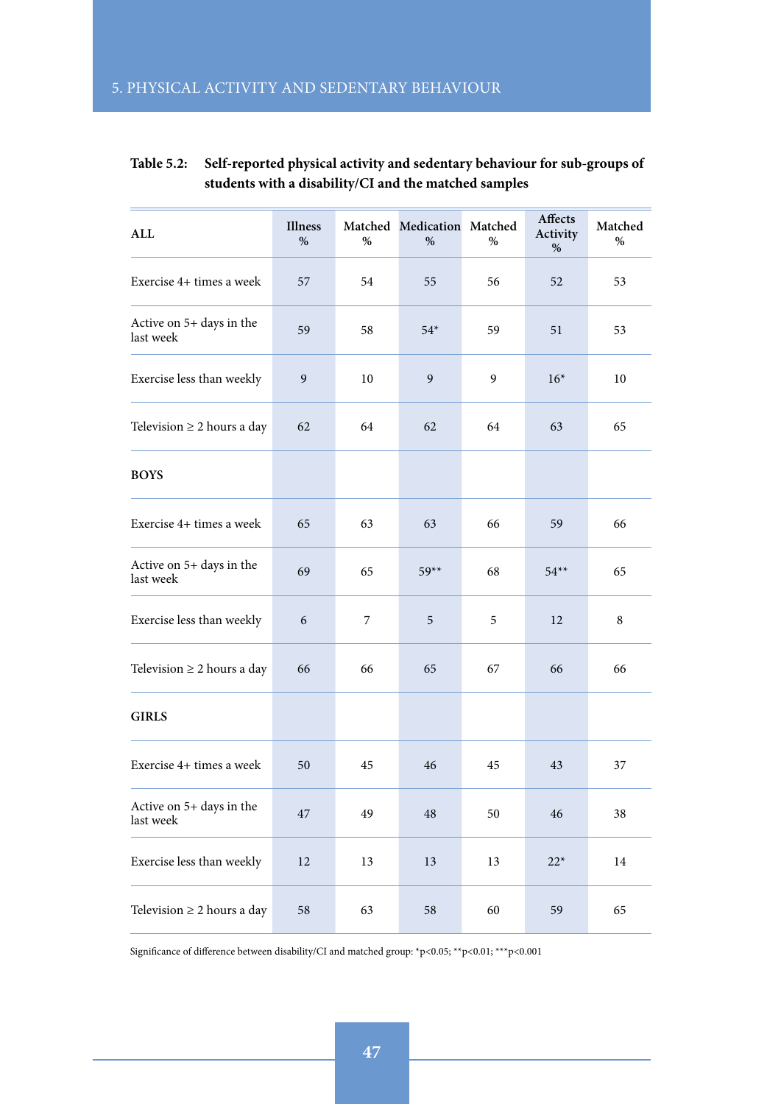| <b>ALL</b>                            | Illness<br>$\%$ | $\%$ | Matched Medication Matched<br>$\%$ | $\%$ | Affects<br>Activity<br>$\%$ | Matched<br>$\%$ |
|---------------------------------------|-----------------|------|------------------------------------|------|-----------------------------|-----------------|
| Exercise 4+ times a week              | 57              | 54   | 55                                 | 56   | 52                          | 53              |
| Active on 5+ days in the<br>last week | 59              | 58   | $54*$                              | 59   | 51                          | 53              |
| Exercise less than weekly             | 9               | 10   | 9                                  | 9    | $16*$                       | 10              |
| Television $\geq 2$ hours a day       | 62              | 64   | 62                                 | 64   | 63                          | 65              |
| <b>BOYS</b>                           |                 |      |                                    |      |                             |                 |
| Exercise 4+ times a week              | 65              | 63   | 63                                 | 66   | 59                          | 66              |
| Active on 5+ days in the<br>last week | 69              | 65   | $59**$                             | 68   | $54**$                      | 65              |
| Exercise less than weekly             | 6               | 7    | 5                                  | 5    | 12                          | 8               |
| Television $\geq 2$ hours a day       | 66              | 66   | 65                                 | 67   | 66                          | 66              |
| <b>GIRLS</b>                          |                 |      |                                    |      |                             |                 |
| Exercise 4+ times a week              | 50              | 45   | 46                                 | 45   | 43                          | 37              |
| Active on 5+ days in the<br>last week | $47\,$          | 49   | $\bf 48$                           | 50   | $\sqrt{46}$                 | 38              |
| Exercise less than weekly             | $12\,$          | 13   | 13                                 | 13   | $22*$                       | 14              |
| Television $\geq 2$ hours a day       | 58              | 63   | 58                                 | 60   | 59                          | 65              |

### **Table 5.2: Self-reported physical activity and sedentary behaviour for sub-groups of students with a disability/CI and the matched samples**

Significance of difference between disability/CI and matched group: \*p<0.05; \*\*p<0.01; \*\*\*p<0.001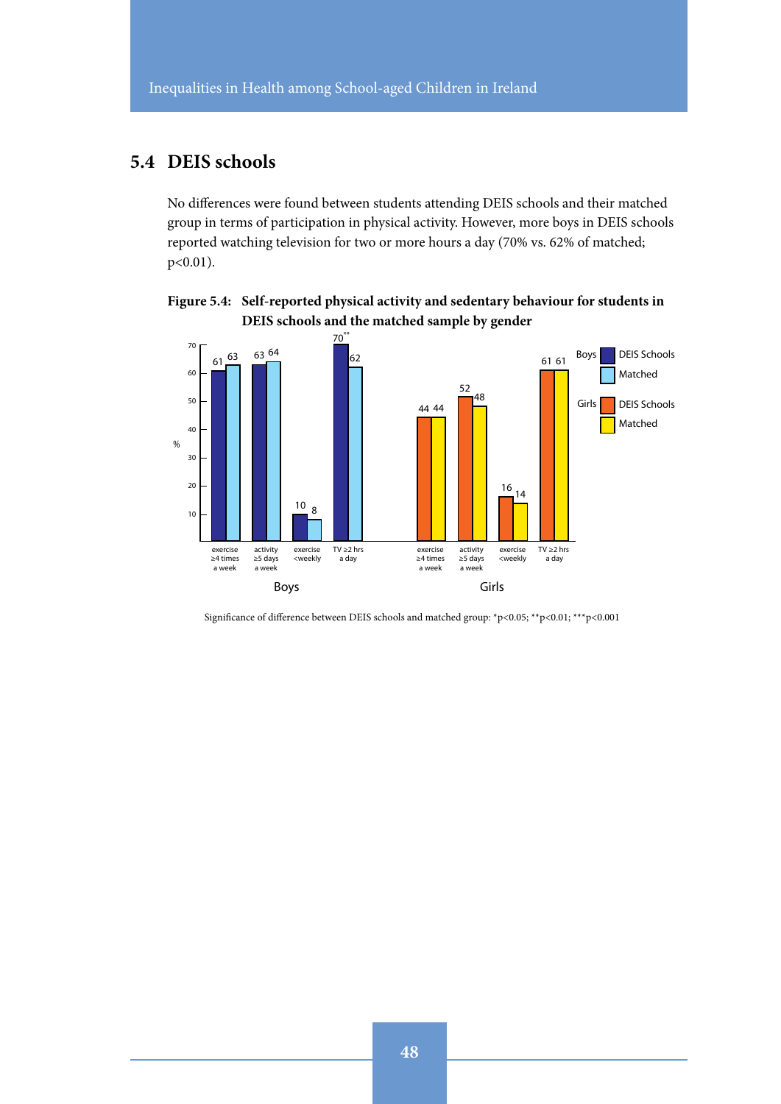# <span id="page-48-0"></span>**5.4 DEIS schools**

No differences were found between students attending DEIS schools and their matched group in terms of participation in physical activity. However, more boys in DEIS schools reported watching television for two or more hours a day (70% vs. 62% of matched; p<0.01).





Significance of difference between DEIS schools and matched group: \*p<0.05; \*\*p<0.01; \*\*\*p<0.001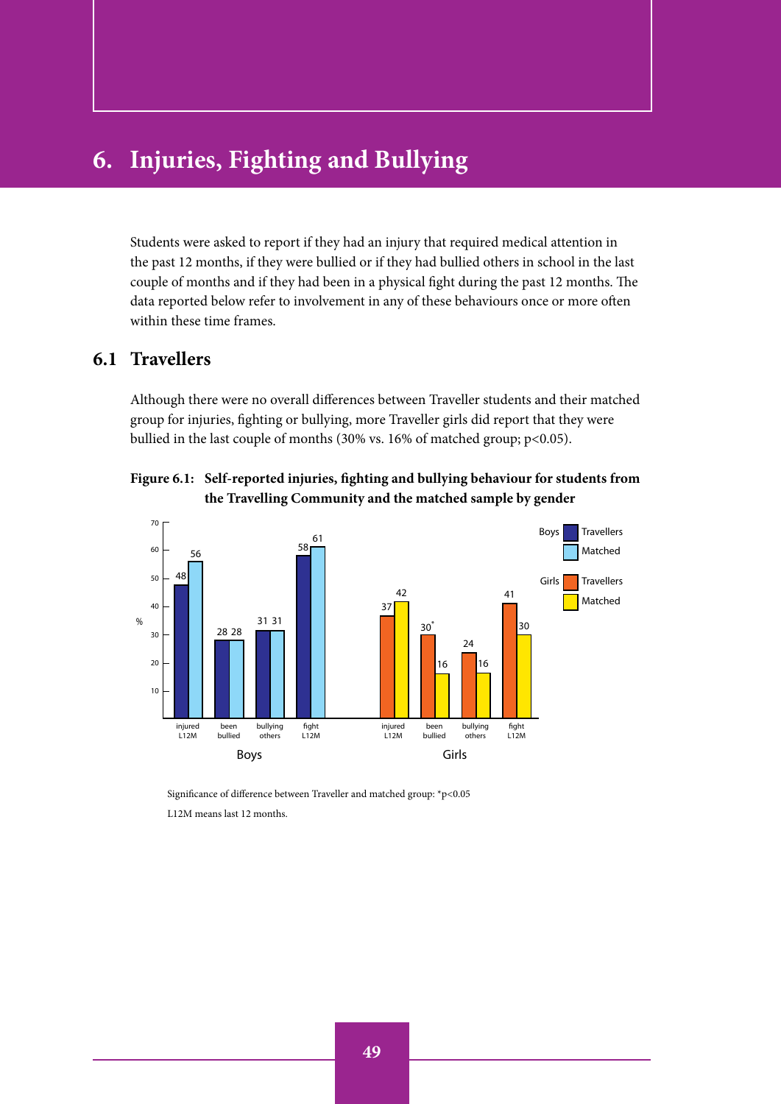# <span id="page-49-0"></span>**6. Injuries, Fighting and Bullying**

Students were asked to report if they had an injury that required medical attention in the past 12 months, if they were bullied or if they had bullied others in school in the last couple of months and if they had been in a physical fight during the past 12 months. The data reported below refer to involvement in any of these behaviours once or more often within these time frames.

# **6.1 Travellers**

Although there were no overall differences between Traveller students and their matched group for injuries, fighting or bullying, more Traveller girls did report that they were bullied in the last couple of months (30% vs.  $16\%$  of matched group; p<0.05).





Significance of difference between Traveller and matched group: \*p<0.05 L12M means last 12 months.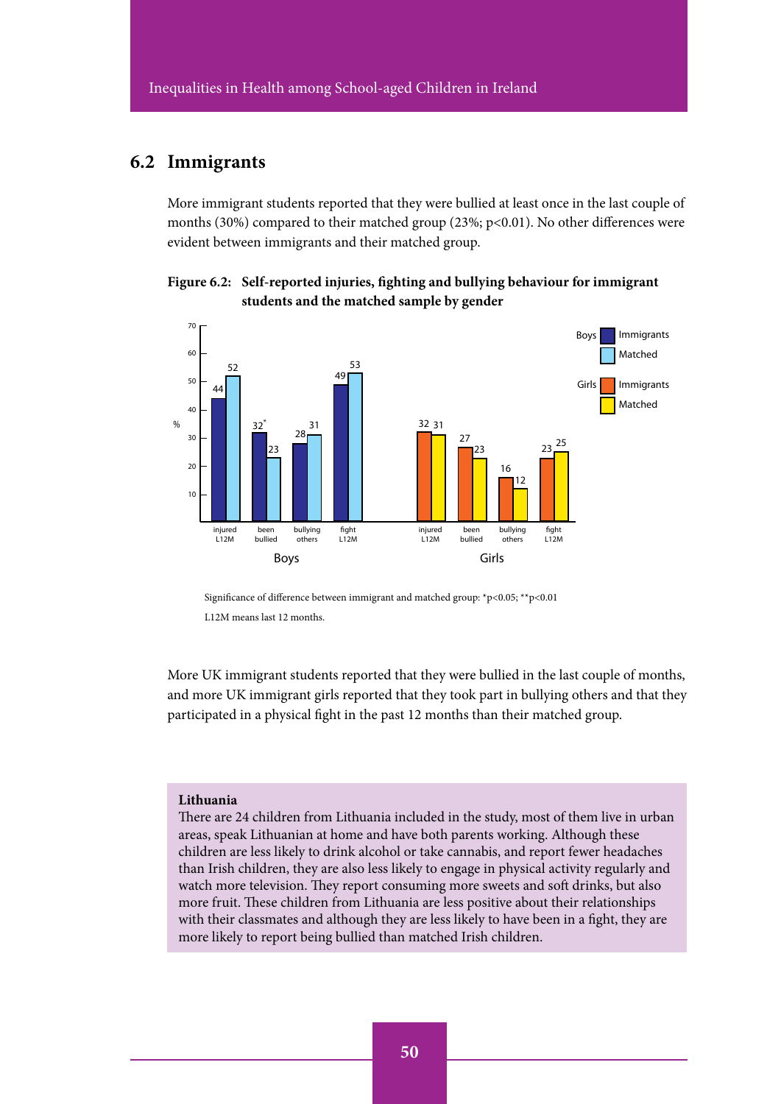#### <span id="page-50-0"></span>**6.2 Immigrants**

More immigrant students reported that they were bullied at least once in the last couple of months (30%) compared to their matched group (23%;  $p<0.01$ ). No other differences were evident between immigrants and their matched group.

#### **Figure 6.2: Self-reported injuries, fighting and bullying behaviour for immigrant students and the matched sample by gender**



Significance of difference between immigrant and matched group: \*p<0.05; \*\*p<0.01 L12M means last 12 months.

More UK immigrant students reported that they were bullied in the last couple of months, and more UK immigrant girls reported that they took part in bullying others and that they participated in a physical fight in the past 12 months than their matched group.

#### **Lithuania**

There are 24 children from Lithuania included in the study, most of them live in urban areas, speak Lithuanian at home and have both parents working. Although these children are less likely to drink alcohol or take cannabis, and report fewer headaches than Irish children, they are also less likely to engage in physical activity regularly and watch more television. They report consuming more sweets and soft drinks, but also more fruit. These children from Lithuania are less positive about their relationships with their classmates and although they are less likely to have been in a fight, they are more likely to report being bullied than matched Irish children.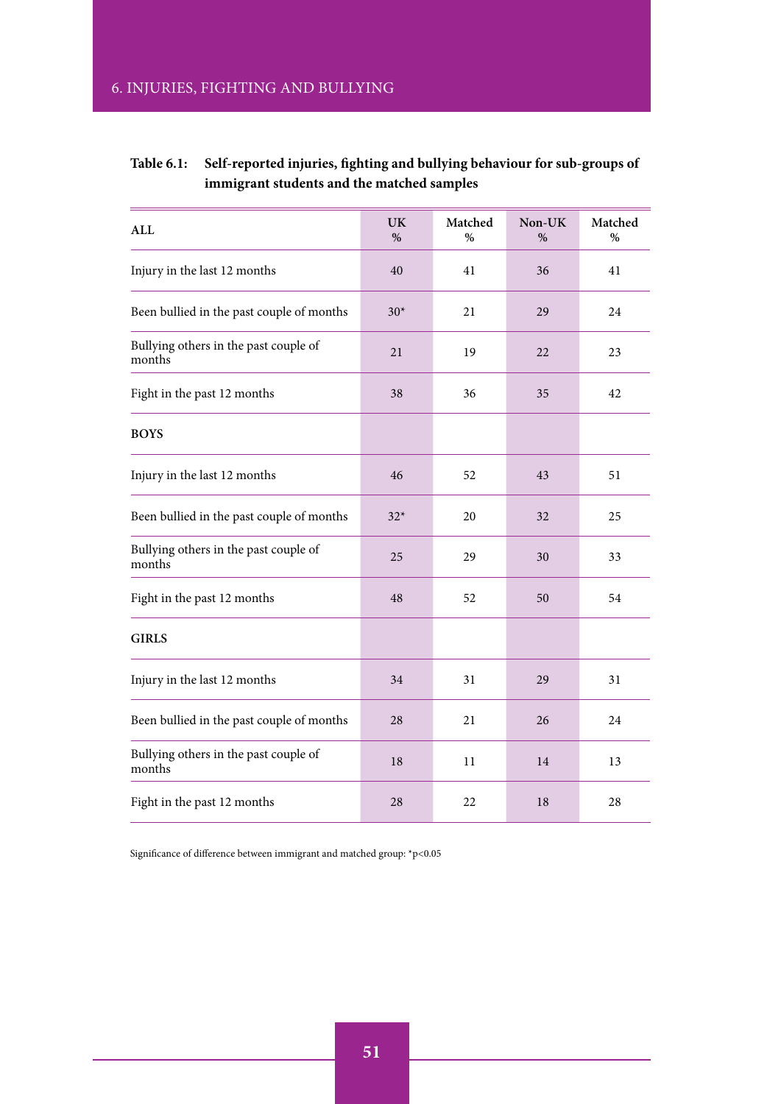| <b>ALL</b>                                      | <b>UK</b><br>$\%$ | Matched<br>$\frac{0}{0}$ | Non-UK<br>$\%$ | Matched<br>$\%$ |
|-------------------------------------------------|-------------------|--------------------------|----------------|-----------------|
| Injury in the last 12 months                    | 40                | 41                       | 36             | 41              |
| Been bullied in the past couple of months       | $30*$             | 21                       | 29             | 24              |
| Bullying others in the past couple of<br>months | 21                | 19                       | 22             | 23              |
| Fight in the past 12 months                     | 38                | 36                       | 35             | 42              |
| <b>BOYS</b>                                     |                   |                          |                |                 |
| Injury in the last 12 months                    | 46                | 52                       |                | 51              |
| Been bullied in the past couple of months       | $32*$<br>20       |                          | 32             | 25              |
| Bullying others in the past couple of<br>months | 25                | 29                       | 30             | 33              |
| Fight in the past 12 months                     | 48                | 52                       | 50             | 54              |
| <b>GIRLS</b>                                    |                   |                          |                |                 |
| Injury in the last 12 months                    | 34                | 31                       | 29             | 31              |
| Been bullied in the past couple of months       | 28                | 21                       | 26             | 24              |
| Bullying others in the past couple of<br>months | 18                | 11                       | 14             | 13              |
| Fight in the past 12 months                     | 28                | 22                       | 18             | 28              |

## **Table 6.1: Self-reported injuries, fighting and bullying behaviour for sub-groups of immigrant students and the matched samples**

Significance of difference between immigrant and matched group: \*p<0.05  $\,$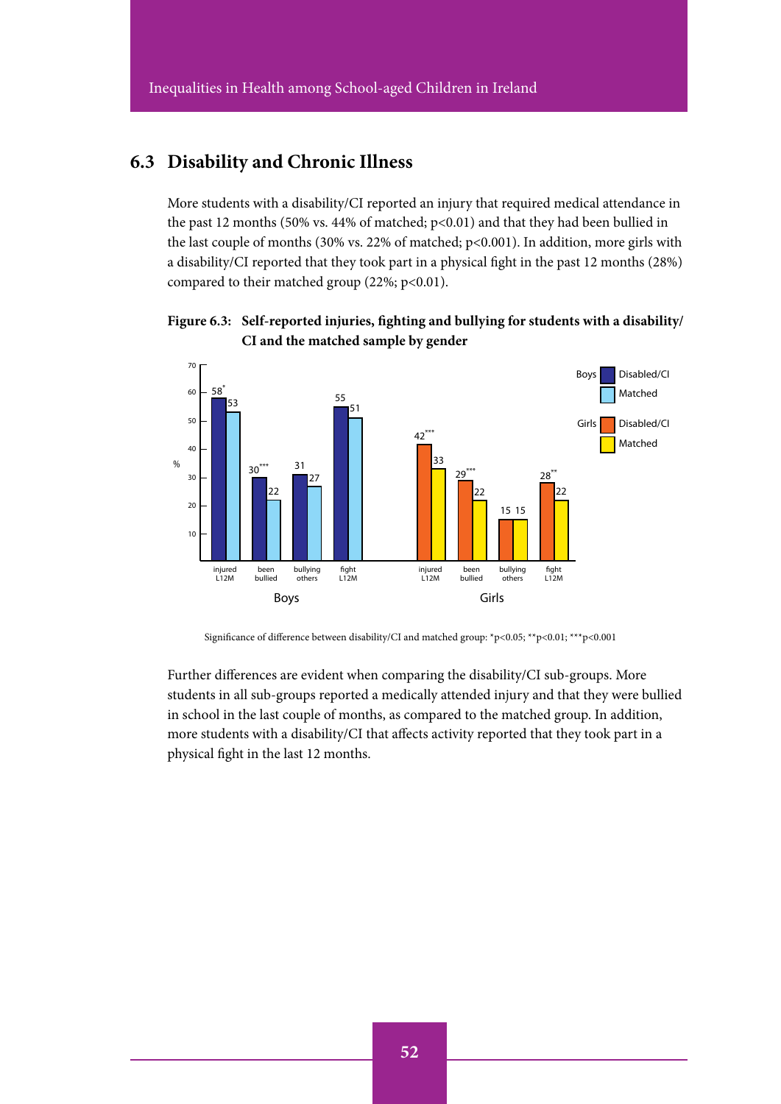# <span id="page-52-0"></span>**6.3 Disability and Chronic Illness**

More students with a disability/CI reported an injury that required medical attendance in the past 12 months (50% vs. 44% of matched; p<0.01) and that they had been bullied in the last couple of months (30% vs. 22% of matched; p<0.001). In addition, more girls with a disability/CI reported that they took part in a physical fight in the past 12 months (28%) compared to their matched group  $(22\%; p<0.01)$ .

#### **Figure 6.3: Self-reported injuries, fighting and bullying for students with a disability/ CI and the matched sample by gender**



Significance of difference between disability/CI and matched group: \*p<0.05; \*\*p<0.01; \*\*\*p<0.001

Further differences are evident when comparing the disability/CI sub-groups. More students in all sub-groups reported a medically attended injury and that they were bullied in school in the last couple of months, as compared to the matched group. In addition, more students with a disability/CI that affects activity reported that they took part in a physical fight in the last 12 months.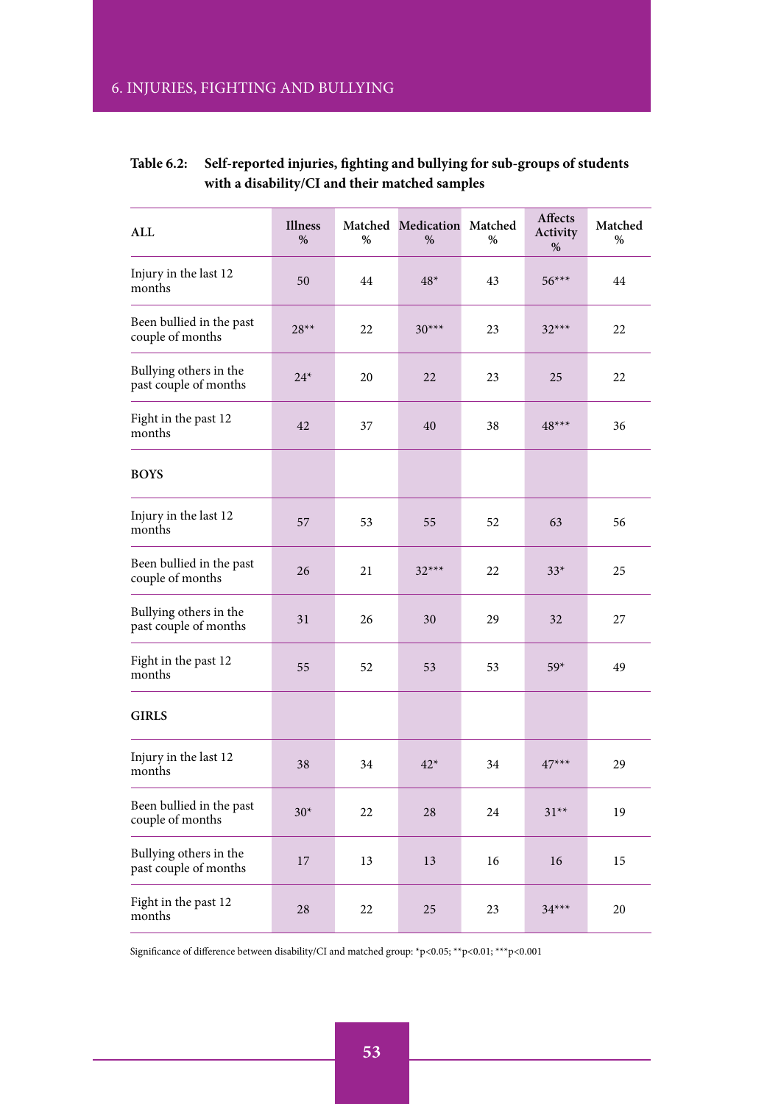| <b>ALL</b>                                      | Illness<br>% | %      | Matched Medication Matched<br>$\%$ | $\%$ | Affects<br>Activity<br>% | Matched<br>$\%$ |
|-------------------------------------------------|--------------|--------|------------------------------------|------|--------------------------|-----------------|
| Injury in the last 12<br>months                 | 50           | 44     | $48*$                              | 43   | $56***$                  | 44              |
| Been bullied in the past<br>couple of months    | $28**$       | 22     | $30***$                            | 23   | $32***$                  | 22              |
| Bullying others in the<br>past couple of months | $24*$        | 20     | 22                                 | 23   | 25                       | 22              |
| Fight in the past 12<br>months                  | 42           | 37     | 40                                 | 38   | $48***$                  | 36              |
| <b>BOYS</b>                                     |              |        |                                    |      |                          |                 |
| Injury in the last 12<br>months                 | 57           | 53     | 55                                 | 52   | 63                       | 56              |
| Been bullied in the past<br>couple of months    | 26           | 21     | $32***$                            | 22   | $33*$                    | 25              |
| Bullying others in the<br>past couple of months | 31           | 26     | 30                                 | 29   | 32                       | 27              |
| Fight in the past 12<br>months                  | 55           | 52     | 53                                 | 53   | $59*$                    | 49              |
| <b>GIRLS</b>                                    |              |        |                                    |      |                          |                 |
| Injury in the last 12<br>months                 | 38           | 34     | $42*$                              | 34   | $47***$                  | 29              |
| Been bullied in the past<br>couple of months    | $30*$        | 22     | 28                                 | 24   | $31**$                   | 19              |
| Bullying others in the<br>past couple of months | 17           | 13     | 13                                 | 16   | 16                       | 15              |
| Fight in the past 12<br>months                  | 28           | $22\,$ | $25\,$                             | 23   | $34***$                  | 20              |

## **Table 6.2: Self-reported injuries, fighting and bullying for sub-groups of students with a disability/CI and their matched samples**

Significance of difference between disability/CI and matched group: \*p<0.05; \*\*p<0.01; \*\*\*p<0.001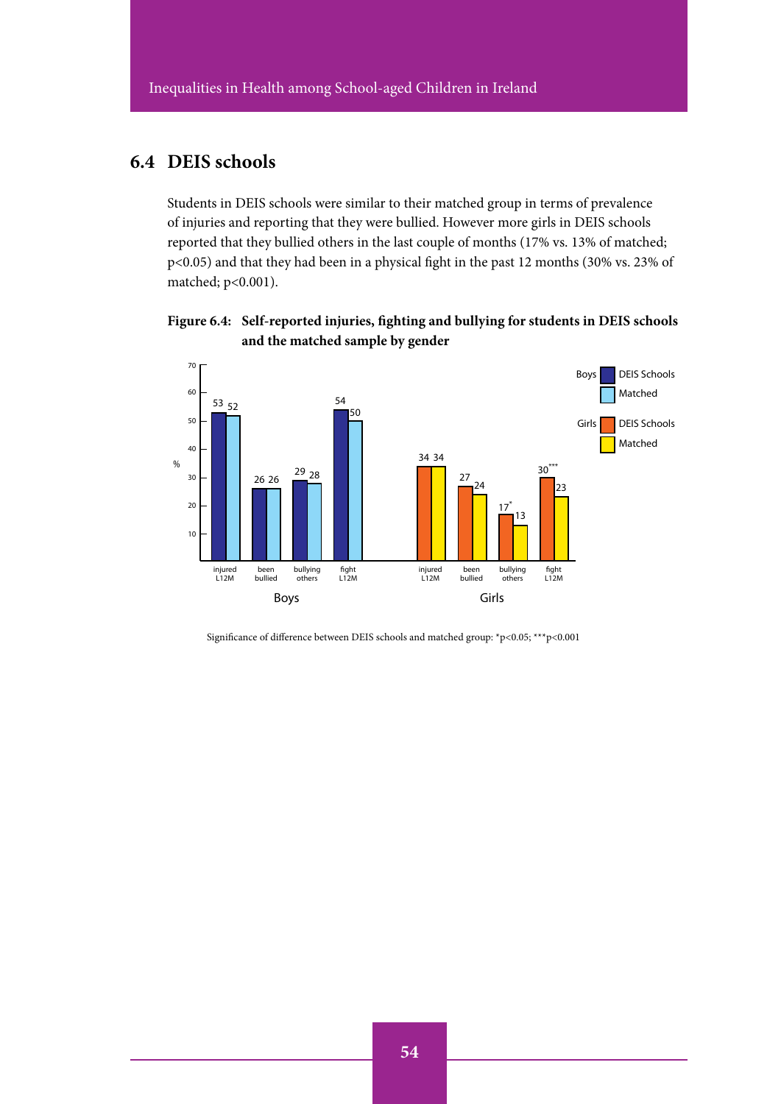## <span id="page-54-0"></span>**6.4 DEIS schools**

Students in DEIS schools were similar to their matched group in terms of prevalence of injuries and reporting that they were bullied. However more girls in DEIS schools reported that they bullied others in the last couple of months (17% vs. 13% of matched; p<0.05) and that they had been in a physical fight in the past 12 months (30% vs. 23% of matched; p<0.001).

#### **Figure 6.4: Self-reported injuries, fighting and bullying for students in DEIS schools and the matched sample by gender**



Significance of difference between DEIS schools and matched group: \*p<0.05; \*\*\*p<0.001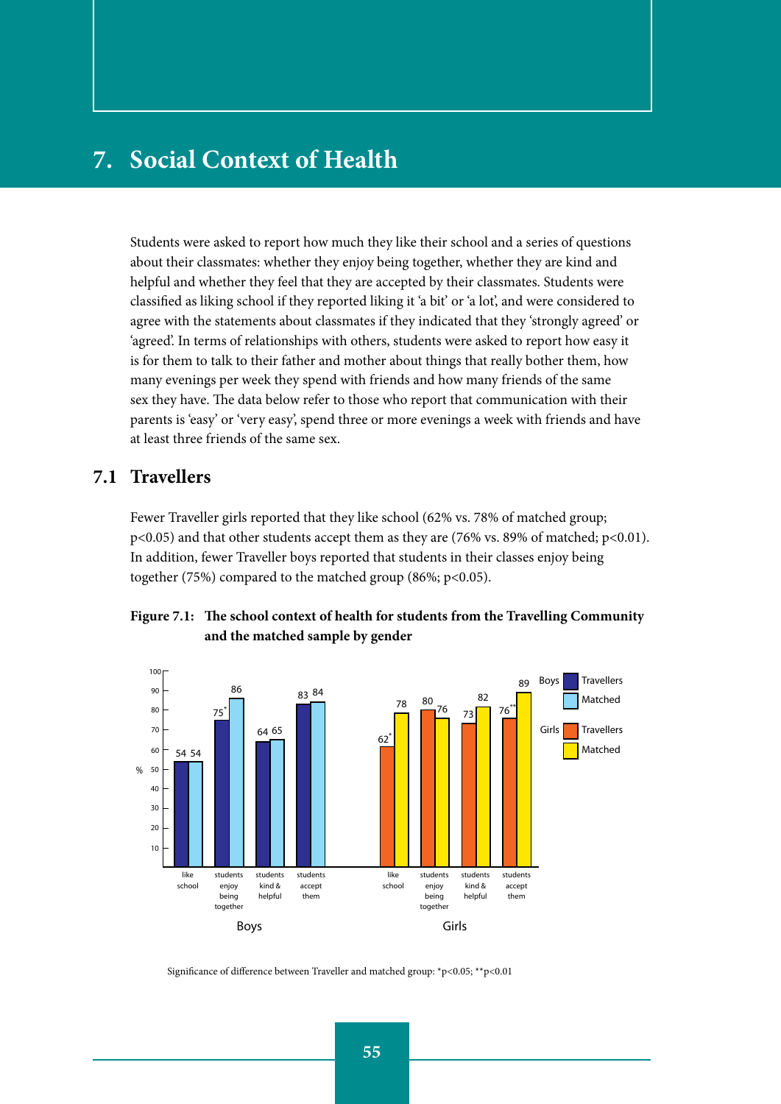# <span id="page-55-0"></span>**7. Social Context of Health**

Students were asked to report how much they like their school and a series of questions about their classmates: whether they enjoy being together, whether they are kind and helpful and whether they feel that they are accepted by their classmates. Students were classified as liking school if they reported liking it 'a bit' or 'a lot', and were considered to agree with the statements about classmates if they indicated that they 'strongly agreed' or 'agreed'. In terms of relationships with others, students were asked to report how easy it is for them to talk to their father and mother about things that really bother them, how many evenings per week they spend with friends and how many friends of the same sex they have. The data below refer to those who report that communication with their parents is 'easy' or 'very easy', spend three or more evenings a week with friends and have at least three friends of the same sex.

### **7.1 Travellers**

Fewer Traveller girls reported that they like school (62% vs. 78% of matched group; p<0.05) and that other students accept them as they are (76% vs. 89% of matched; p<0.01). In addition, fewer Traveller boys reported that students in their classes enjoy being together (75%) compared to the matched group (86%; p<0.05).

#### **Figure 7.1: The school context of health for students from the Travelling Community and the matched sample by gender**



Significance of difference between Traveller and matched group: \*p<0.05; \*\*p<0.01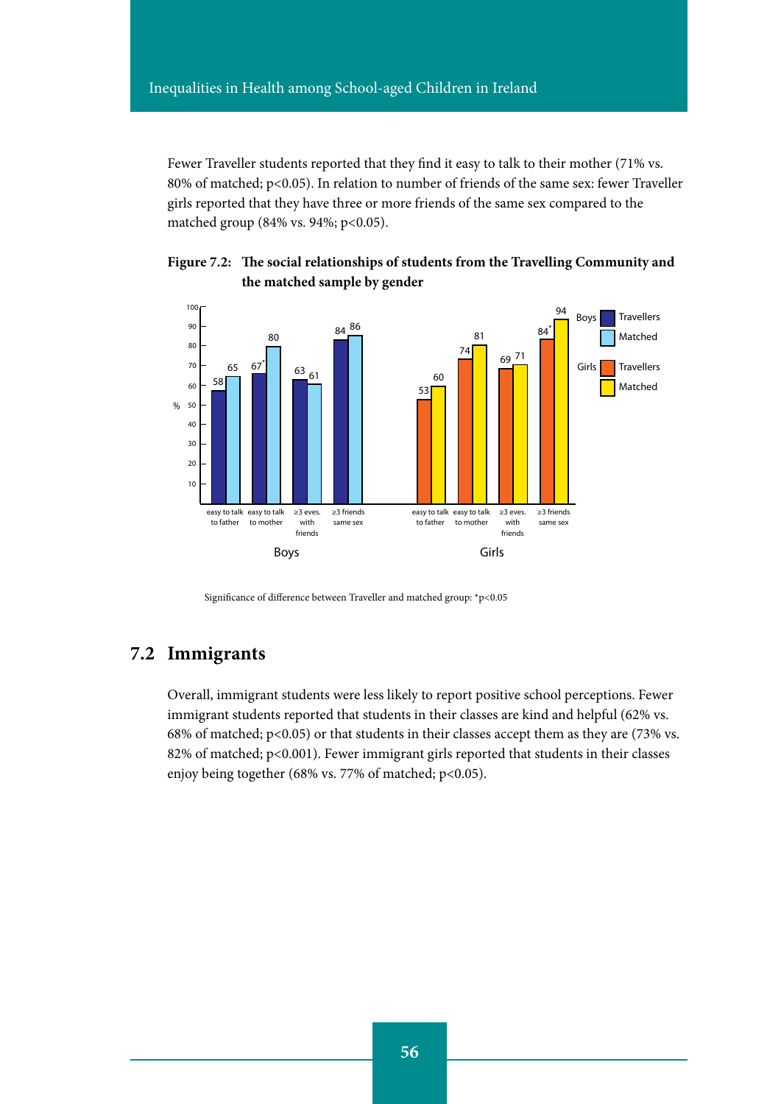<span id="page-56-0"></span>Fewer Traveller students reported that they find it easy to talk to their mother (71% vs. 80% of matched; p<0.05). In relation to number of friends of the same sex: fewer Traveller girls reported that they have three or more friends of the same sex compared to the matched group (84% vs. 94%; p<0.05).







# **7.2 Immigrants**

Overall, immigrant students were less likely to report positive school perceptions. Fewer immigrant students reported that students in their classes are kind and helpful (62% vs. 68% of matched; p<0.05) or that students in their classes accept them as they are (73% vs. 82% of matched; p<0.001). Fewer immigrant girls reported that students in their classes enjoy being together (68% vs. 77% of matched; p<0.05).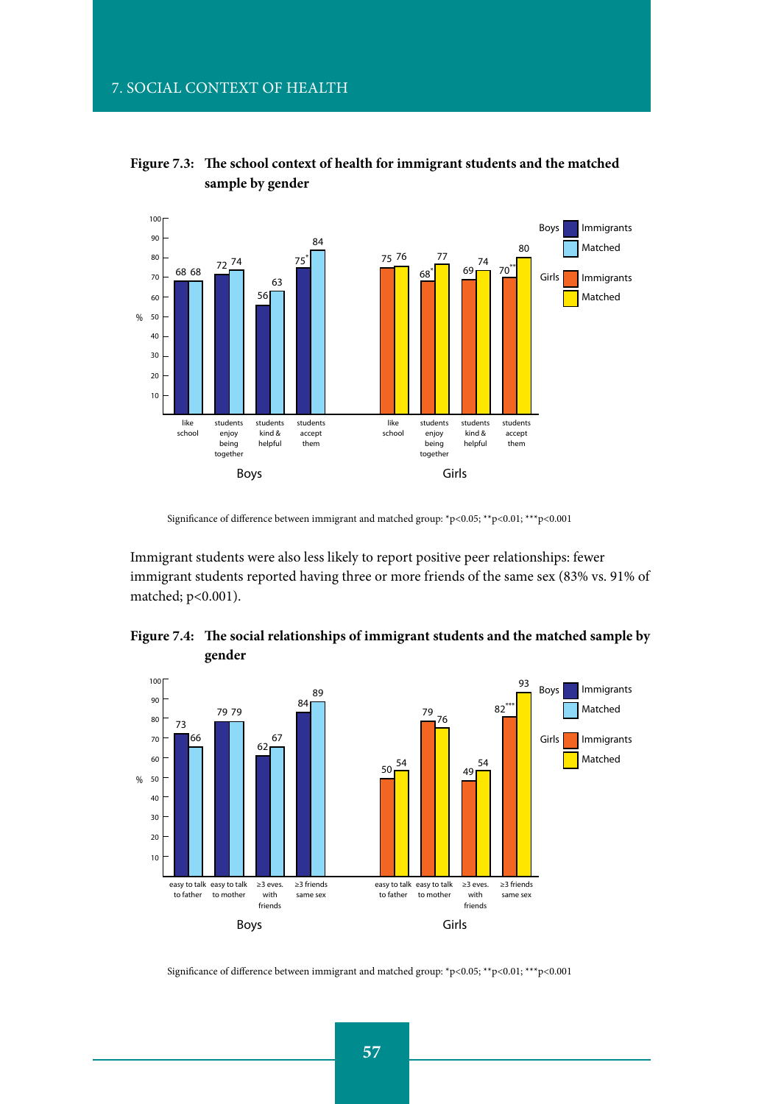

**Figure 7.3: The school context of health for immigrant students and the matched sample by gender**

Significance of difference between immigrant and matched group: \*p<0.05; \*\*p<0.01; \*\*\*p<0.001

Immigrant students were also less likely to report positive peer relationships: fewer immigrant students reported having three or more friends of the same sex (83% vs. 91% of matched; p<0.001).





Significance of difference between immigrant and matched group: \*p<0.05; \*\*p<0.01; \*\*\*p<0.001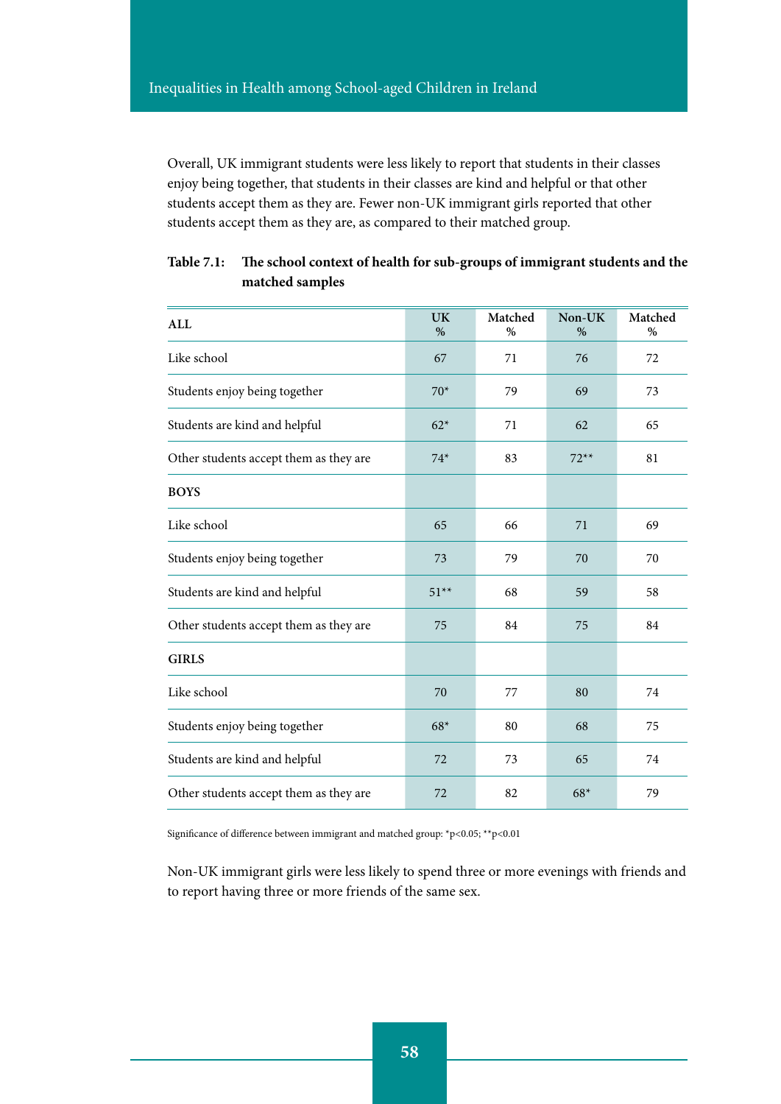Overall, UK immigrant students were less likely to report that students in their classes enjoy being together, that students in their classes are kind and helpful or that other students accept them as they are. Fewer non-UK immigrant girls reported that other students accept them as they are, as compared to their matched group.

| <b>ALL</b>                             | <b>UK</b><br>$\%$ | Matched<br>$\%$ | Non-UK<br>% | Matched<br>% |
|----------------------------------------|-------------------|-----------------|-------------|--------------|
| Like school                            | 67                | 71              | 76          | 72           |
| Students enjoy being together          | $70*$             | 79              | 69          | 73           |
| Students are kind and helpful          | $62*$             | 71              | 62          | 65           |
| Other students accept them as they are | $74*$             | 83              | $72**$      | 81           |
| <b>BOYS</b>                            |                   |                 |             |              |
| Like school                            | 65                | 66              | 71          | 69           |
| Students enjoy being together          | 73                | 79              | 70          | 70           |
| Students are kind and helpful          | $51**$            | 68              | 59          | 58           |
| Other students accept them as they are | 75                | 84              | 75          | 84           |
| <b>GIRLS</b>                           |                   |                 |             |              |
| Like school                            | 70                | 77              | 80          | 74           |
| Students enjoy being together          | $68*$             | 80              | 68          | 75           |
| Students are kind and helpful          | 72                | 73              | 65          | 74           |
| Other students accept them as they are | 72                | 82              | $68*$       | 79           |

#### **Table 7.1: The school context of health for sub-groups of immigrant students and the matched samples**

Significance of difference between immigrant and matched group: \*p<0.05; \*\*p<0.01

Non-UK immigrant girls were less likely to spend three or more evenings with friends and to report having three or more friends of the same sex.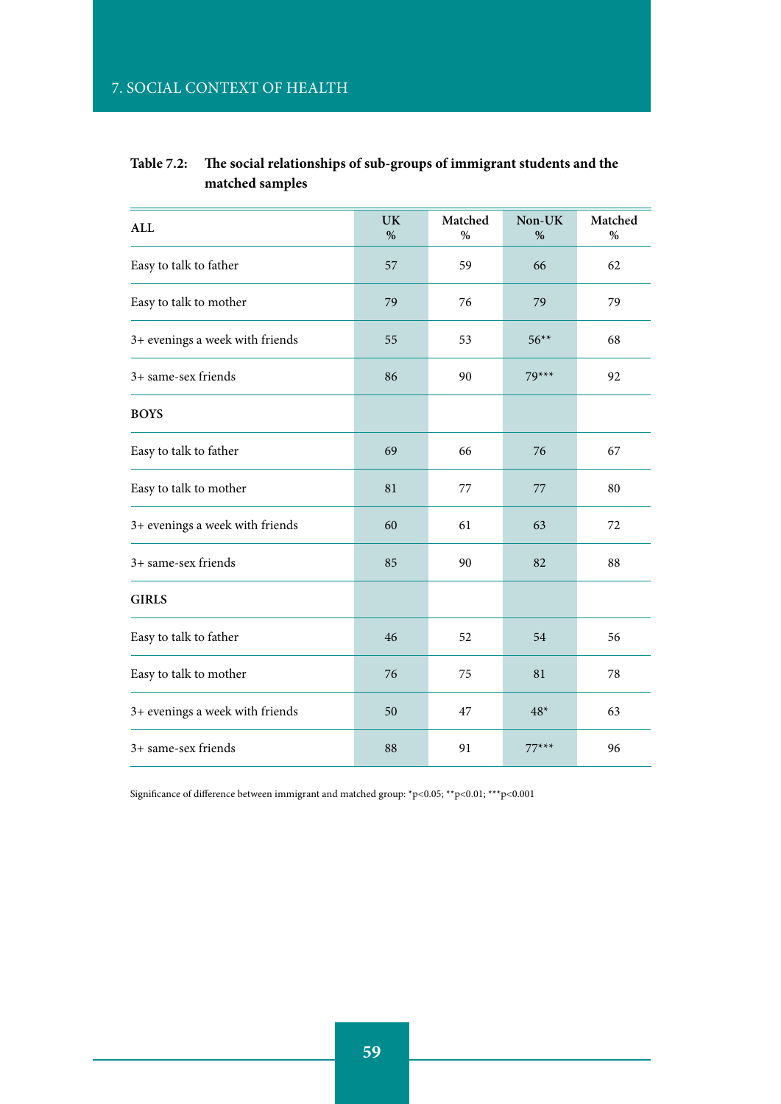| <b>ALL</b>                      | <b>UK</b><br>$\%$ | Matched<br>$\%$ | Non-UK<br>% | Matched<br>$\%$ |
|---------------------------------|-------------------|-----------------|-------------|-----------------|
| Easy to talk to father          | 57                | 59              | 66          | 62              |
| Easy to talk to mother          | 79                | 76              | 79          | 79              |
| 3+ evenings a week with friends | 55                | 53              | $56***$     | 68              |
| 3+ same-sex friends             | 86                | 90              | $79***$     | 92              |
| <b>BOYS</b>                     |                   |                 |             |                 |
| Easy to talk to father          | 69                | 66              | 76          | 67              |
| Easy to talk to mother          | 81                | 77              | 77          | 80              |
| 3+ evenings a week with friends | 60                | 61              | 63          | 72              |
| 3+ same-sex friends             | 85                | 90              | 82          | 88              |
| <b>GIRLS</b>                    |                   |                 |             |                 |
| Easy to talk to father          | 46                | 52              | 54          | 56              |
| Easy to talk to mother          | 76                | 75              | 81          | 78              |
| 3+ evenings a week with friends | 50                | 47              | $48^{\ast}$ | 63              |
| 3+ same-sex friends             | 88                | 91              | $77***$     | 96              |

#### **Table 7.2: The social relationships of sub-groups of immigrant students and the matched samples**

Significance of difference between immigrant and matched group: \*p<0.05; \*\*p<0.01; \*\*\*p<0.001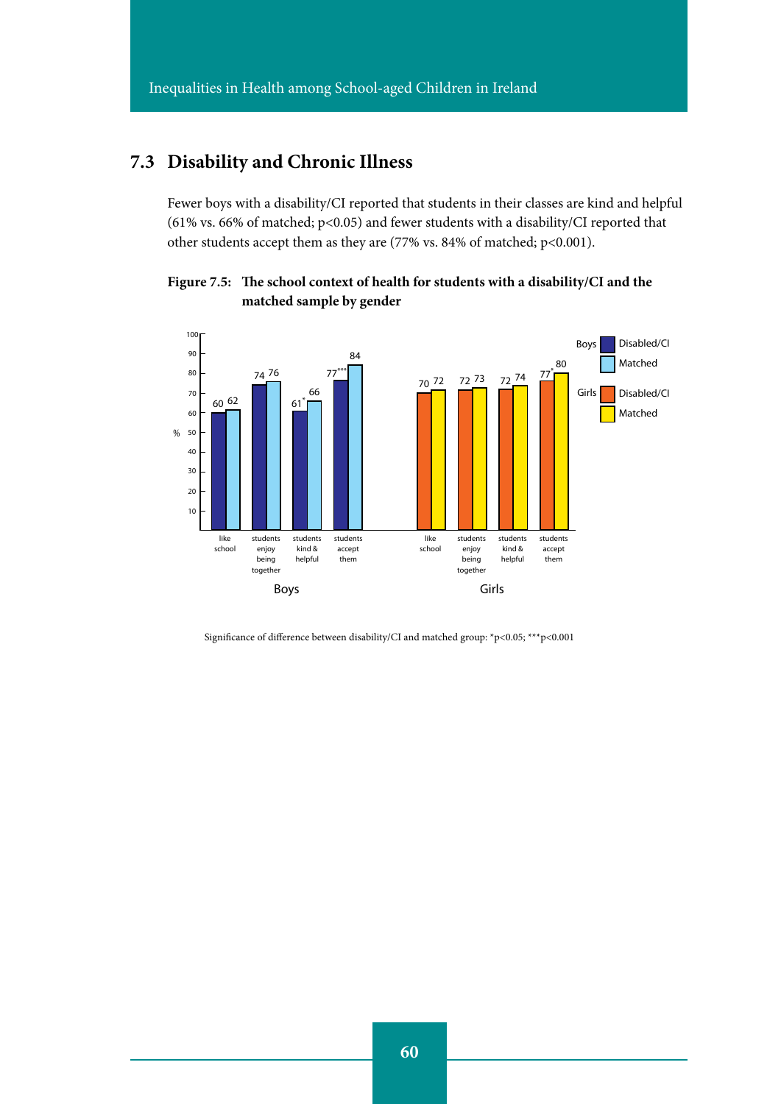# <span id="page-60-0"></span>**7.3 Disability and Chronic Illness**

Fewer boys with a disability/CI reported that students in their classes are kind and helpful (61% vs. 66% of matched;  $p$ <0.05) and fewer students with a disability/CI reported that other students accept them as they are (77% vs. 84% of matched; p<0.001).

**Figure 7.5: The school context of health for students with a disability/CI and the matched sample by gender**



Significance of difference between disability/CI and matched group: \*p<0.05; \*\*\*p<0.001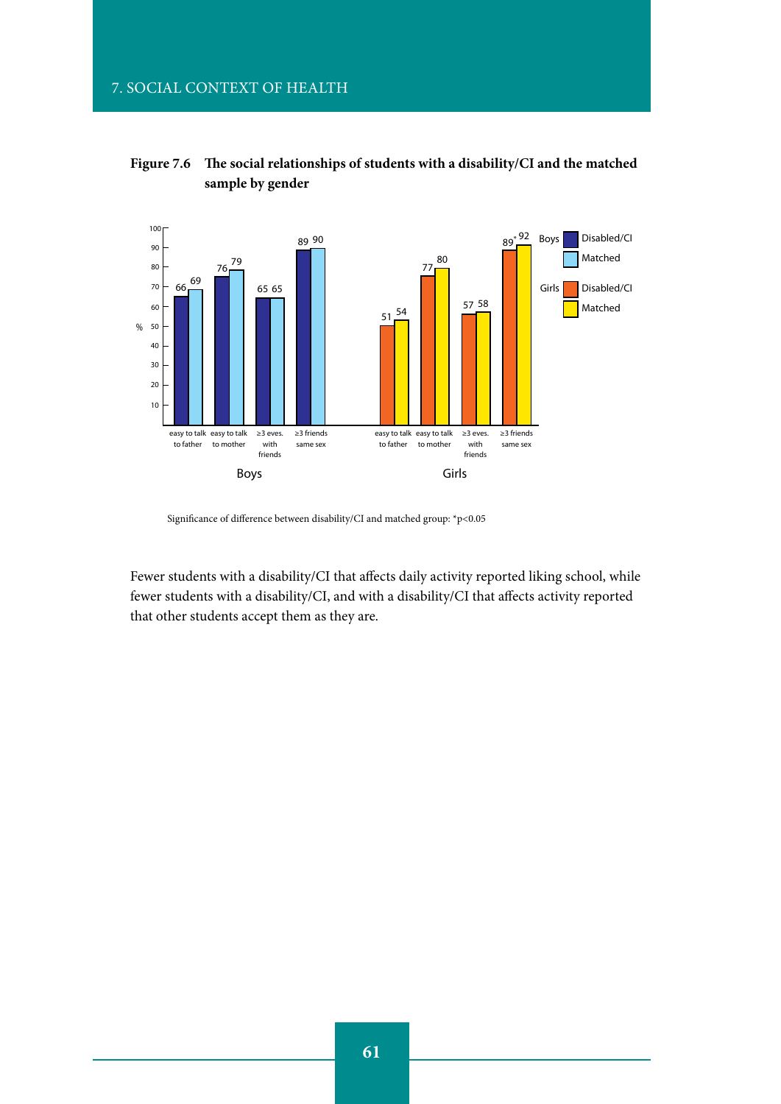

**Figure 7.6 The social relationships of students with a disability/CI and the matched sample by gender**

Significance of difference between disability/CI and matched group: \*p<0.05

Fewer students with a disability/CI that affects daily activity reported liking school, while fewer students with a disability/CI, and with a disability/CI that affects activity reported that other students accept them as they are.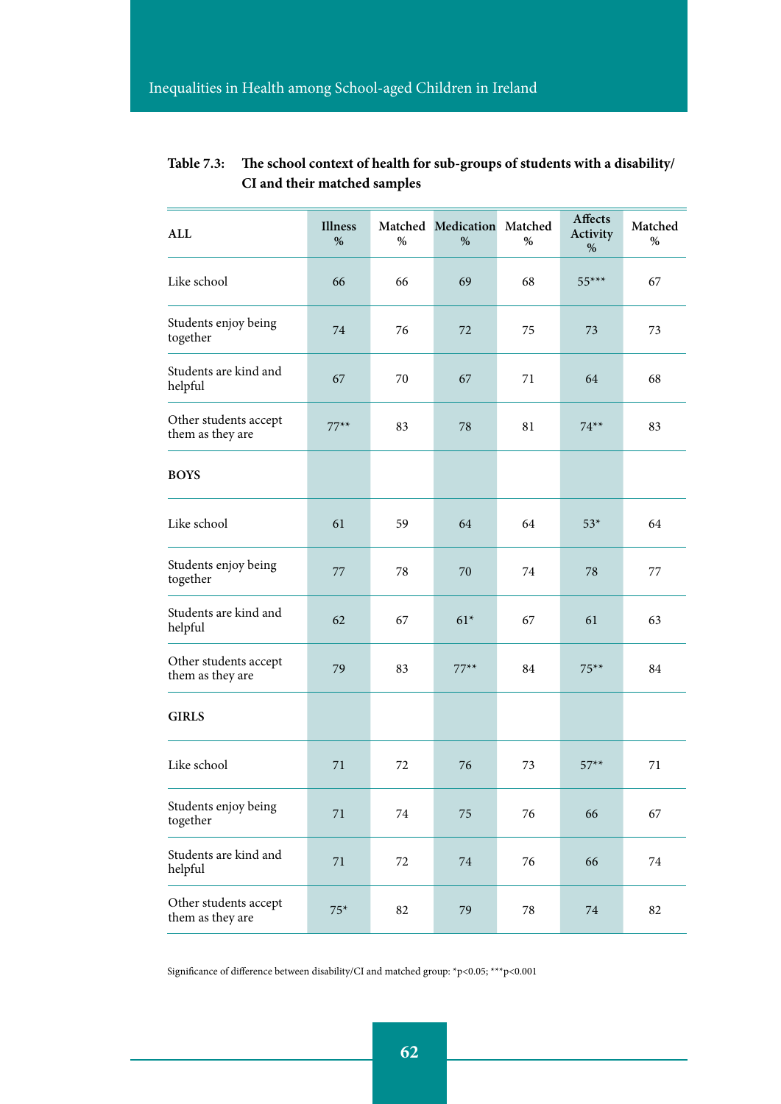| <b>ALL</b>                                | Illness<br>$\%$ | $\%$   | Matched Medication Matched<br>$\%$ | $\%$ | Affects<br>Activity<br>% | Matched<br>$\%$ |
|-------------------------------------------|-----------------|--------|------------------------------------|------|--------------------------|-----------------|
| Like school                               | 66              | 66     | 69                                 | 68   | $55***$                  | 67              |
| Students enjoy being<br>together          | 74              | 76     | 72                                 | 75   | 73                       | 73              |
| Students are kind and<br>helpful          | 67              | 70     | 67                                 | 71   | 64                       | 68              |
| Other students accept<br>them as they are | $77***$         | 83     | 78                                 | 81   | $74**$                   | 83              |
| <b>BOYS</b>                               |                 |        |                                    |      |                          |                 |
| Like school                               | 61              | 59     | 64                                 | 64   | $53*$                    | 64              |
| Students enjoy being<br>together          | 77              | 78     | 70                                 | 74   | 78                       | 77              |
| Students are kind and<br>helpful          | 62              | 67     | $61*$                              | 67   | 61                       | 63              |
| Other students accept<br>them as they are | 79              | 83     | $77***$                            | 84   | $75***$                  | 84              |
| <b>GIRLS</b>                              |                 |        |                                    |      |                          |                 |
| Like school                               | 71              | 72     | 76                                 | 73   | $57**$                   | 71              |
| Students enjoy being<br>together          | $71\,$          | $74\,$ | 75                                 | 76   | 66                       | 67              |
| Students are kind and<br>helpful          | $71\,$          | $72\,$ | 74                                 | 76   | 66                       | 74              |
| Other students accept<br>them as they are | $75*$           | 82     | 79                                 | 78   | $74\,$                   | 82              |

#### **Table 7.3: The school context of health for sub-groups of students with a disability/ CI and their matched samples**

Significance of difference between disability/CI and matched group: \*p<0.05; \*\*\*p<0.001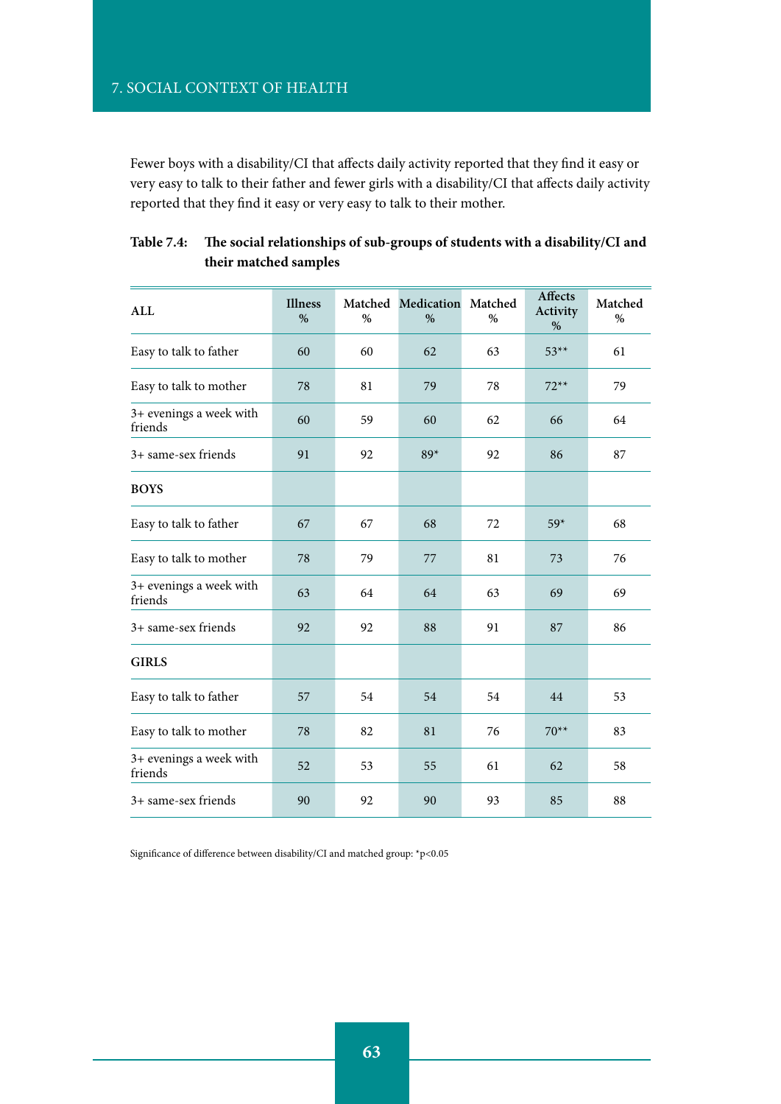Fewer boys with a disability/CI that affects daily activity reported that they find it easy or very easy to talk to their father and fewer girls with a disability/CI that affects daily activity reported that they find it easy or very easy to talk to their mother.

| <b>ALL</b>                         | <b>Illness</b><br>$\%$ | %  | Matched Medication<br>% | Matched<br>$\%$ | <b>Affects</b><br>Activity<br>% | Matched<br>$\%$ |
|------------------------------------|------------------------|----|-------------------------|-----------------|---------------------------------|-----------------|
| Easy to talk to father             | 60                     | 60 | 62                      | 63              | $53**$                          | 61              |
| Easy to talk to mother             | 78                     | 81 | 79                      | 78              | $72**$                          | 79              |
| 3+ evenings a week with<br>friends | 60                     | 59 | 60                      | 62              | 66                              | 64              |
| 3+ same-sex friends                | 91                     | 92 | $89*$                   | 92              | 86                              | 87              |
| <b>BOYS</b>                        |                        |    |                         |                 |                                 |                 |
| Easy to talk to father             | 67                     | 67 | 68                      | 72              | $59*$                           | 68              |
| Easy to talk to mother             | 78                     | 79 | 77                      | 81              | 73                              | 76              |
| 3+ evenings a week with<br>friends | 63                     | 64 | 64                      | 63              | 69                              | 69              |
| 3+ same-sex friends                | 92                     | 92 | 88                      | 91              | 87                              | 86              |
| <b>GIRLS</b>                       |                        |    |                         |                 |                                 |                 |
| Easy to talk to father             | 57                     | 54 | 54                      | 54              | 44                              | 53              |
| Easy to talk to mother             | 78                     | 82 | 81                      | 76              | $70^{**}$                       | 83              |
| 3+ evenings a week with<br>friends | 52                     | 53 | 55                      | 61              | 62                              | 58              |
| 3+ same-sex friends                | 90                     | 92 | 90                      | 93              | 85                              | 88              |

#### **Table 7.4: The social relationships of sub-groups of students with a disability/CI and their matched samples**

Significance of difference between disability/CI and matched group: \*p<0.05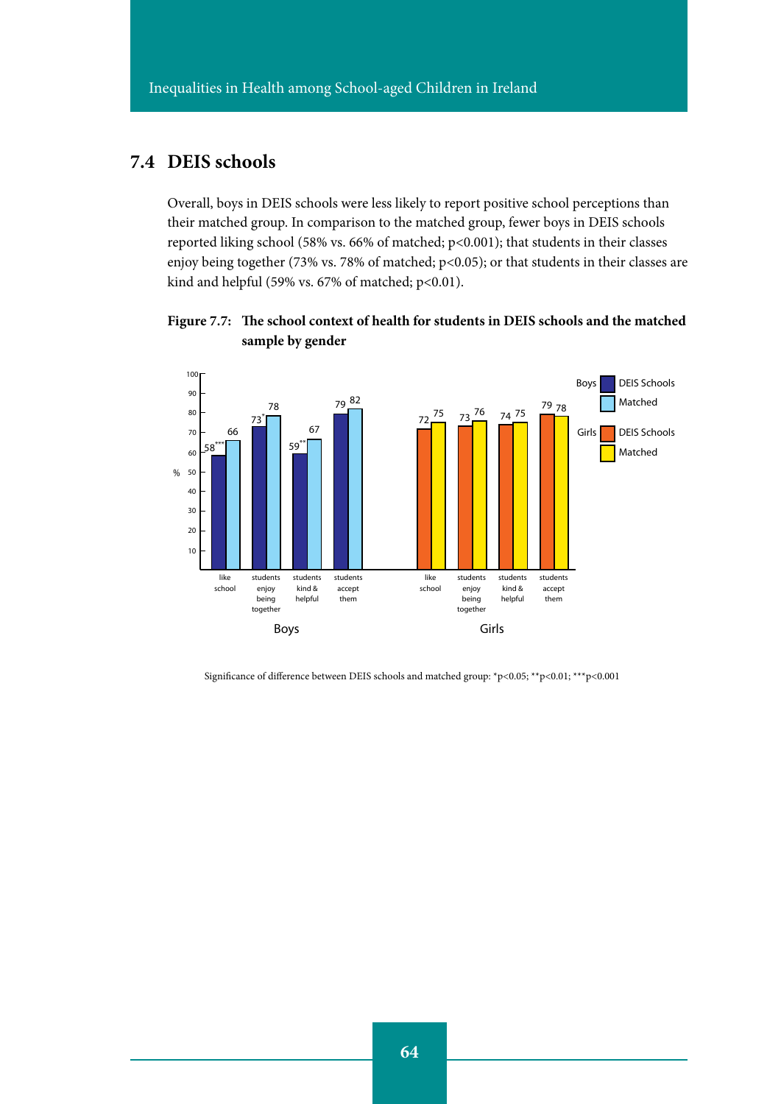## <span id="page-64-0"></span>**7.4 DEIS schools**

Overall, boys in DEIS schools were less likely to report positive school perceptions than their matched group. In comparison to the matched group, fewer boys in DEIS schools reported liking school (58% vs. 66% of matched; p<0.001); that students in their classes enjoy being together (73% vs. 78% of matched; p<0.05); or that students in their classes are kind and helpful (59% vs. 67% of matched;  $p<0.01$ ).

#### **Figure 7.7: The school context of health for students in DEIS schools and the matched sample by gender**



Significance of difference between DEIS schools and matched group: \*p<0.05; \*\*p<0.01; \*\*\*p<0.001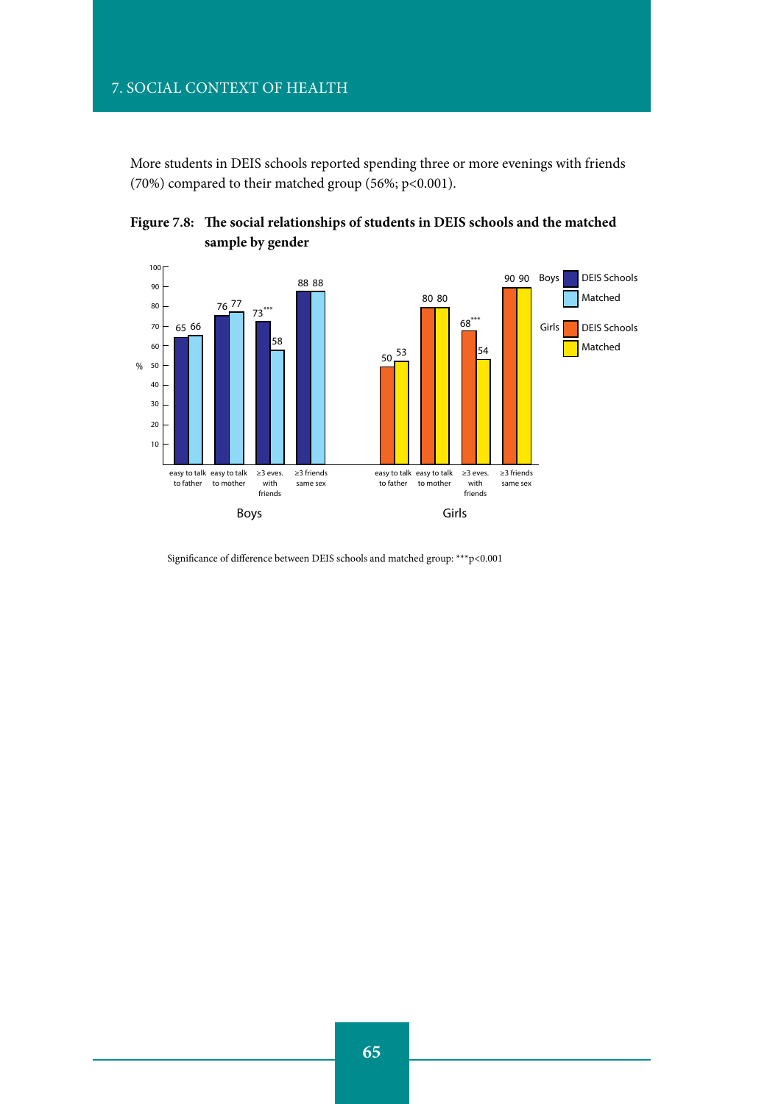More students in DEIS schools reported spending three or more evenings with friends (70%) compared to their matched group (56%; p<0.001).



**Figure 7.8: The social relationships of students in DEIS schools and the matched sample by gender**

Significance of difference between DEIS schools and matched group: \*\*\*p<0.001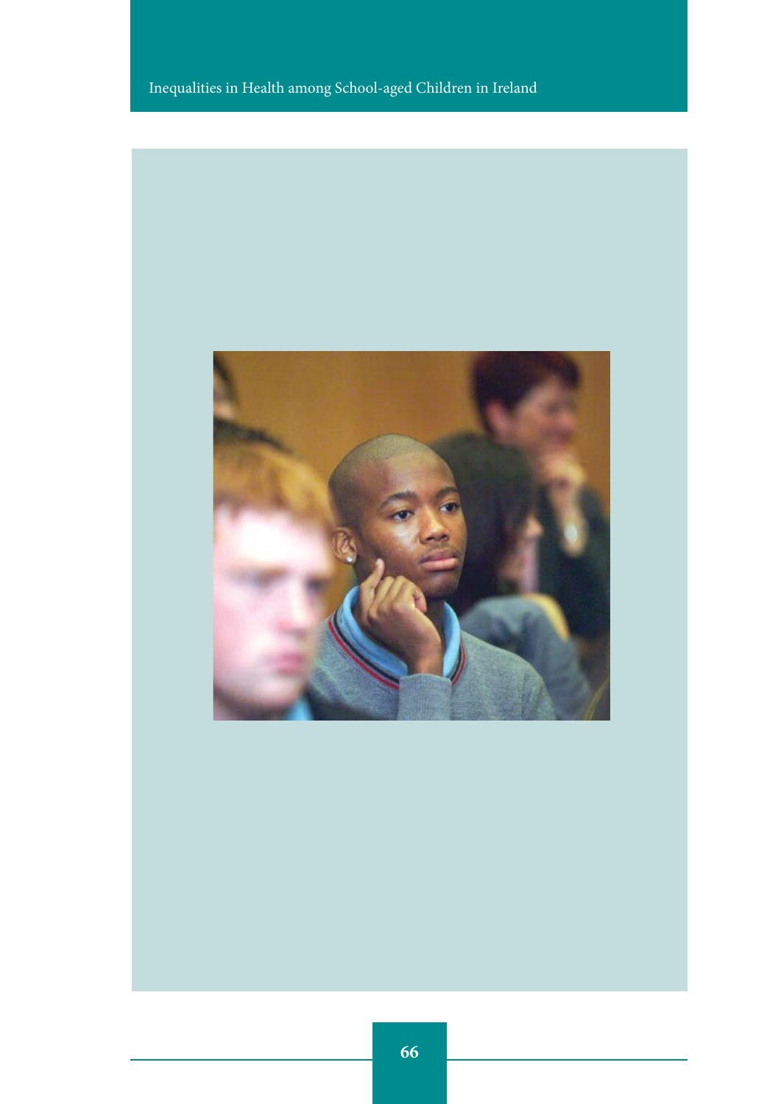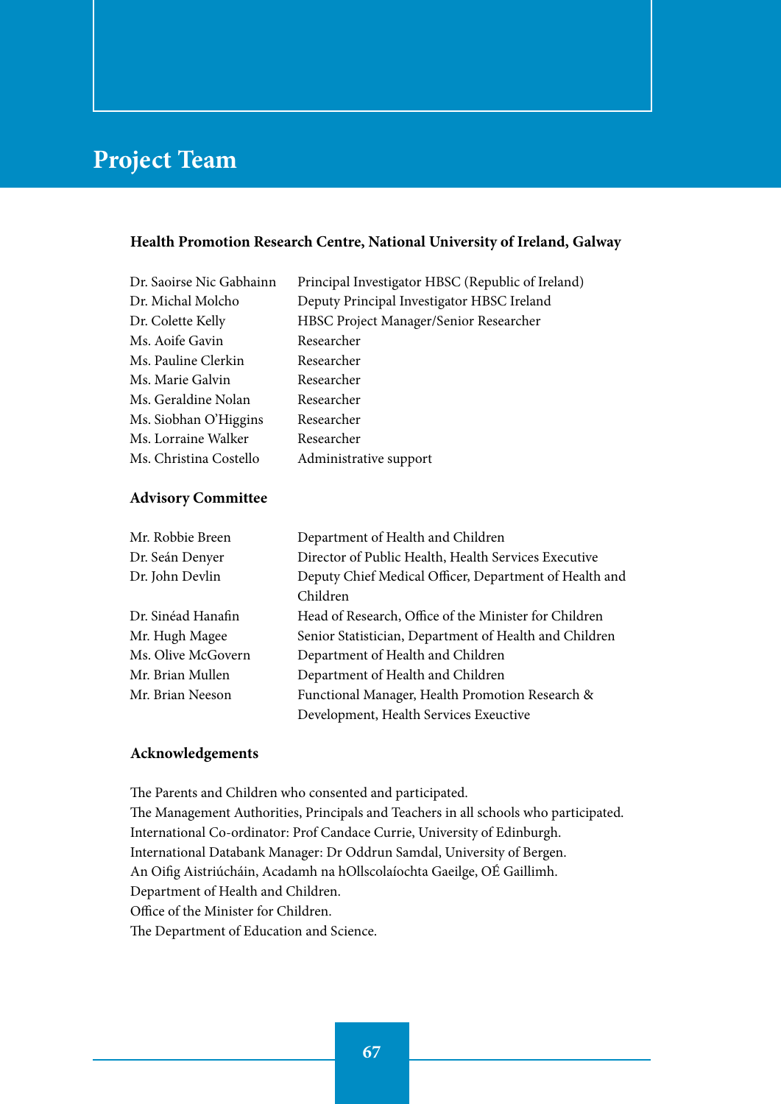# <span id="page-67-0"></span>**Project Team**

#### **Health Promotion Research Centre, National University of Ireland, Galway**

| Dr. Saoirse Nic Gabhainn | Principal Investigator HBSC (Republic of Ireland) |
|--------------------------|---------------------------------------------------|
| Dr. Michal Molcho        | Deputy Principal Investigator HBSC Ireland        |
| Dr. Colette Kelly        | HBSC Project Manager/Senior Researcher            |
| Ms. Aoife Gavin          | Researcher                                        |
| Ms. Pauline Clerkin      | Researcher                                        |
| Ms. Marie Galvin         | Researcher                                        |
| Ms. Geraldine Nolan      | Researcher                                        |
| Ms. Siobhan O'Higgins    | Researcher                                        |
| Ms. Lorraine Walker      | Researcher                                        |
| Ms. Christina Costello   | Administrative support                            |

#### **Advisory Committee**

| Mr. Robbie Breen   | Department of Health and Children                      |
|--------------------|--------------------------------------------------------|
| Dr. Seán Denyer    | Director of Public Health, Health Services Executive   |
| Dr. John Devlin    | Deputy Chief Medical Officer, Department of Health and |
|                    | Children                                               |
| Dr. Sinéad Hanafin | Head of Research, Office of the Minister for Children  |
| Mr. Hugh Magee     | Senior Statistician, Department of Health and Children |
| Ms. Olive McGovern | Department of Health and Children                      |
| Mr. Brian Mullen   | Department of Health and Children                      |
| Mr. Brian Neeson   | Functional Manager, Health Promotion Research &        |
|                    | Development, Health Services Exeuctive                 |

#### **Acknowledgements**

The Parents and Children who consented and participated. The Management Authorities, Principals and Teachers in all schools who participated. International Co-ordinator: Prof Candace Currie, University of Edinburgh. International Databank Manager: Dr Oddrun Samdal, University of Bergen. An Oifig Aistriúcháin, Acadamh na hOllscolaíochta Gaeilge, OÉ Gaillimh. Department of Health and Children. Office of the Minister for Children. The Department of Education and Science.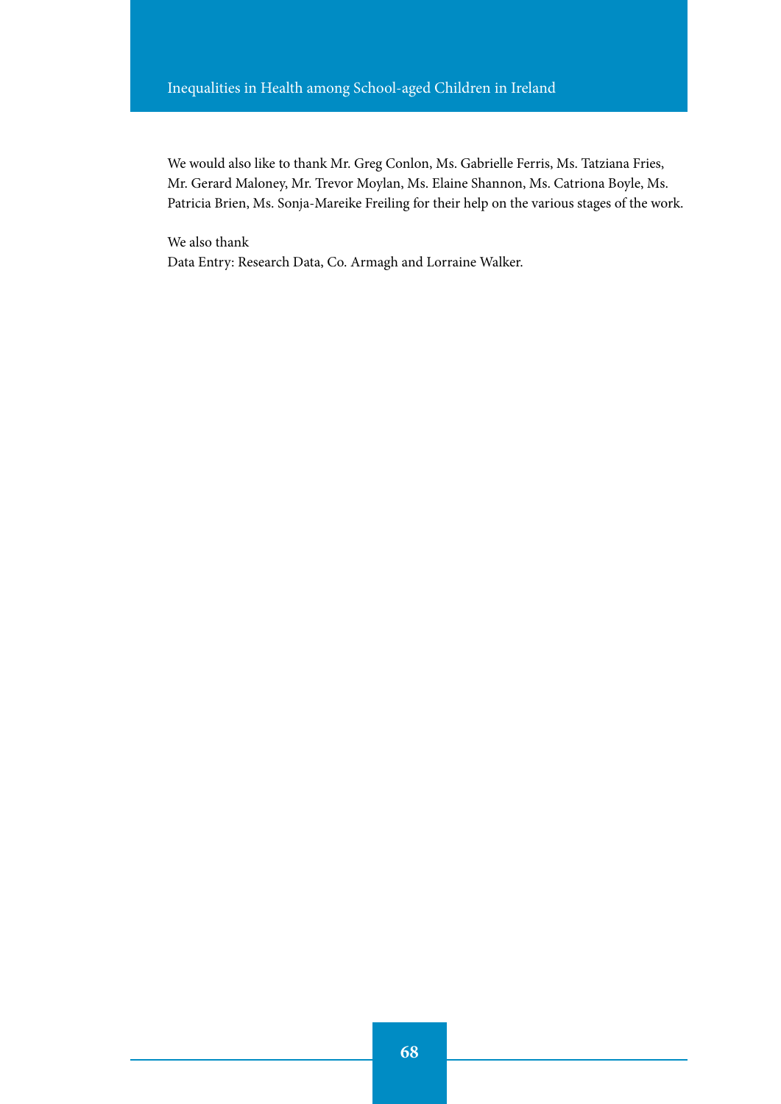We would also like to thank Mr. Greg Conlon, Ms. Gabrielle Ferris, Ms. Tatziana Fries, Mr. Gerard Maloney, Mr. Trevor Moylan, Ms. Elaine Shannon, Ms. Catriona Boyle, Ms. Patricia Brien, Ms. Sonja-Mareike Freiling for their help on the various stages of the work.

We also thank Data Entry: Research Data, Co. Armagh and Lorraine Walker.